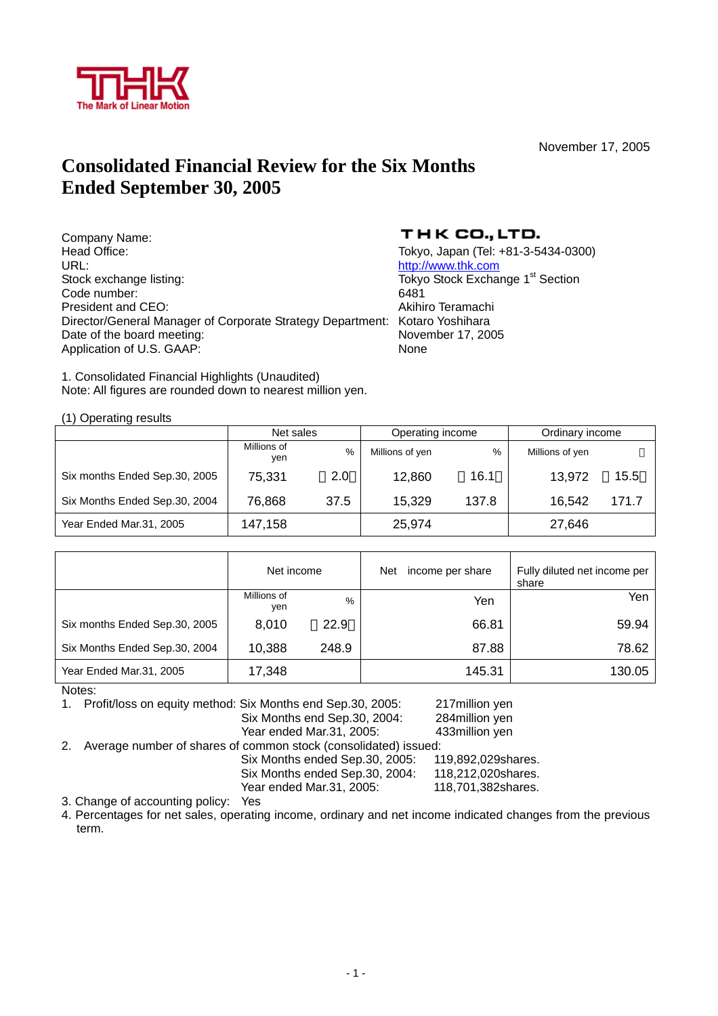

November 17, 2005

### **Consolidated Financial Review for the Six Months Ended September 30, 2005**

Company Name:<br>Head Office: Head Office: Tokyo, Japan (Tel: +81-3-5434-0300) Stock exchange listing: Tokyo Stock Exchange 1<sup>st</sup> Section Code number: 6481 President and CEO: Akihiro Teramachi Director/General Manager of Corporate Strategy Department: Kotaro Yoshihara Date of the board meeting: November 17, 2005 Application of U.S. GAAP: None

### THK CO., LTD.

http://www.thk.com

1. Consolidated Financial Highlights (Unaudited) Note: All figures are rounded down to nearest million yen.

(1) Operating results

|                               | Net sales          |               | Operating income |       | Ordinary income |       |
|-------------------------------|--------------------|---------------|------------------|-------|-----------------|-------|
|                               | Millions of<br>ven | $\frac{0}{0}$ | Millions of yen  | $\%$  | Millions of yen |       |
| Six months Ended Sep.30, 2005 | 75,331             | 2.0           | 12,860           | 16.1  | 13,972          | 15.5  |
| Six Months Ended Sep.30, 2004 | 76,868             | 37.5          | 15,329           | 137.8 | 16.542          | 171.7 |
| Year Ended Mar.31, 2005       | 147,158            |               | 25,974           |       | 27,646          |       |

|                               | Net income         |       | Net | income per share | Fully diluted net income per<br>share |
|-------------------------------|--------------------|-------|-----|------------------|---------------------------------------|
|                               | Millions of<br>yen | $\%$  |     | Yen              | Yen                                   |
| Six months Ended Sep.30, 2005 | 8,010              | 22.9  |     | 66.81            | 59.94                                 |
| Six Months Ended Sep.30, 2004 | 10,388             | 248.9 |     | 87.88            | 78.62                                 |
| Year Ended Mar.31, 2005       | 17,348             |       |     | 145.31           | 130.05                                |

Notes:

1. Profit/loss on equity method: Six Months end Sep.30, 2005: 217million yen Six Months end Sep.30, 2004: 284million yen Year ended Mar.31, 2005: 433million yen 2. Average number of shares of common stock (consolidated) issued:

 Six Months ended Sep.30, 2005: 119,892,029shares. Six Months ended Sep.30, 2004: 118,212,020shares.<br>Year ended Mar.31, 2005: 118,701,382shares. Year ended Mar.31, 2005:

3. Change of accounting policy: Yes

4. Percentages for net sales, operating income, ordinary and net income indicated changes from the previous term.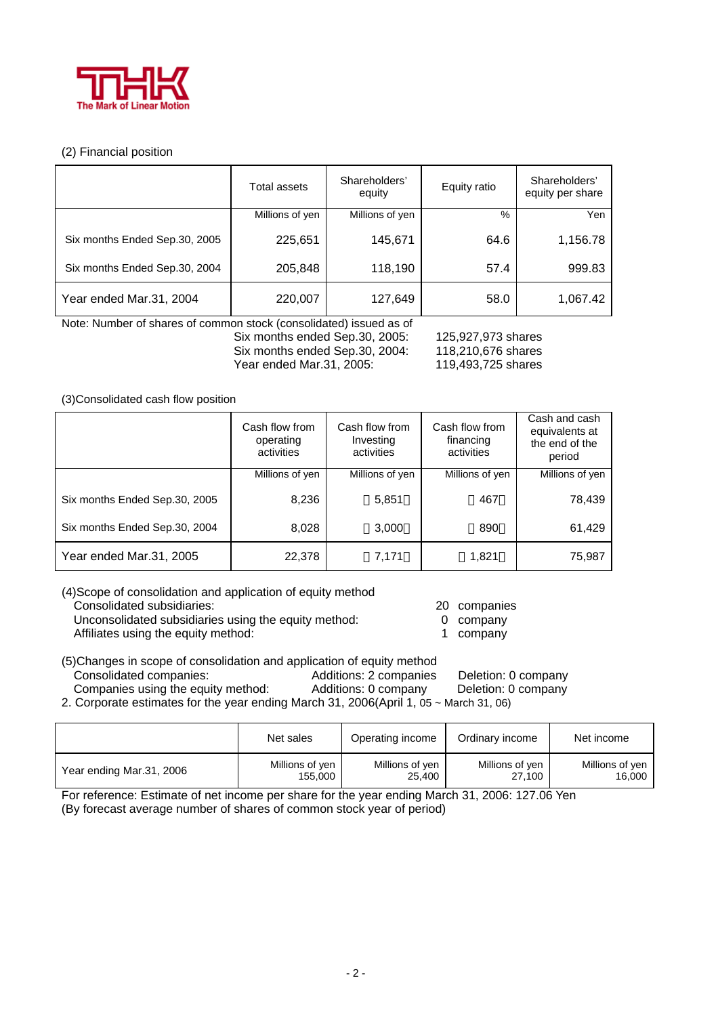

### (2) Financial position

|                               | <b>Total assets</b> | Shareholders'<br>equity | Equity ratio | Shareholders'<br>equity per share |
|-------------------------------|---------------------|-------------------------|--------------|-----------------------------------|
|                               | Millions of yen     | Millions of yen         | $\%$         | Yen                               |
| Six months Ended Sep.30, 2005 | 225,651             | 145,671                 | 64.6         | 1,156.78                          |
| Six months Ended Sep.30, 2004 | 205,848             | 118,190                 | 57.4         | 999.83                            |
| Year ended Mar.31, 2004       | 220,007             | 127,649                 | 58.0         | 1,067.42                          |

Note: Number of shares of common stock (consolidated) issued as of Six months ended Sep.30, 2005: 125,927,973 shares<br>Six months ended Sep.30, 2004: 118,210,676 shares Six months ended Sep.30, 2004: Year ended Mar.31, 2005: 119,493,725 shares

(3)Consolidated cash flow position

|                               | Cash flow from<br>operating<br>activities | Cash flow from<br>Investing<br>activities | Cash flow from<br>financing<br>activities | Cash and cash<br>equivalents at<br>the end of the<br>period |
|-------------------------------|-------------------------------------------|-------------------------------------------|-------------------------------------------|-------------------------------------------------------------|
|                               | Millions of yen                           | Millions of yen                           | Millions of yen                           | Millions of yen                                             |
| Six months Ended Sep.30, 2005 | 8,236                                     | 5,851                                     | 467                                       | 78,439                                                      |
| Six months Ended Sep.30, 2004 | 8,028                                     | 3,000                                     | 890                                       | 61,429                                                      |
| Year ended Mar.31, 2005       | 22,378                                    | 7,171                                     | 1,821                                     | 75,987                                                      |

(4)Scope of consolidation and application of equity method Consolidated subsidiaries: 20 companies Unconsolidated subsidiaries using the equity method: 0 company Affiliates using the equity method: 1 company

- -
	-

(5)Changes in scope of consolidation and application of equity method Consolidated companies: Additions: 2 companies Deletion: 0 company Companies using the equity method: Additions: 0 company Deletion: 0 company

2. Corporate estimates for the year ending March 31, 2006(April 1, 05 ~ March 31, 06)

|                          | Net sales       | Operating income | Ordinary income | Net income      |
|--------------------------|-----------------|------------------|-----------------|-----------------|
| Year ending Mar.31, 2006 | Millions of yen | Millions of yen  | Millions of yen | Millions of yen |
|                          | 155.000         | 25,400           | 27,100          | 16,000          |

For reference: Estimate of net income per share for the year ending March 31, 2006: 127.06 Yen

(By forecast average number of shares of common stock year of period)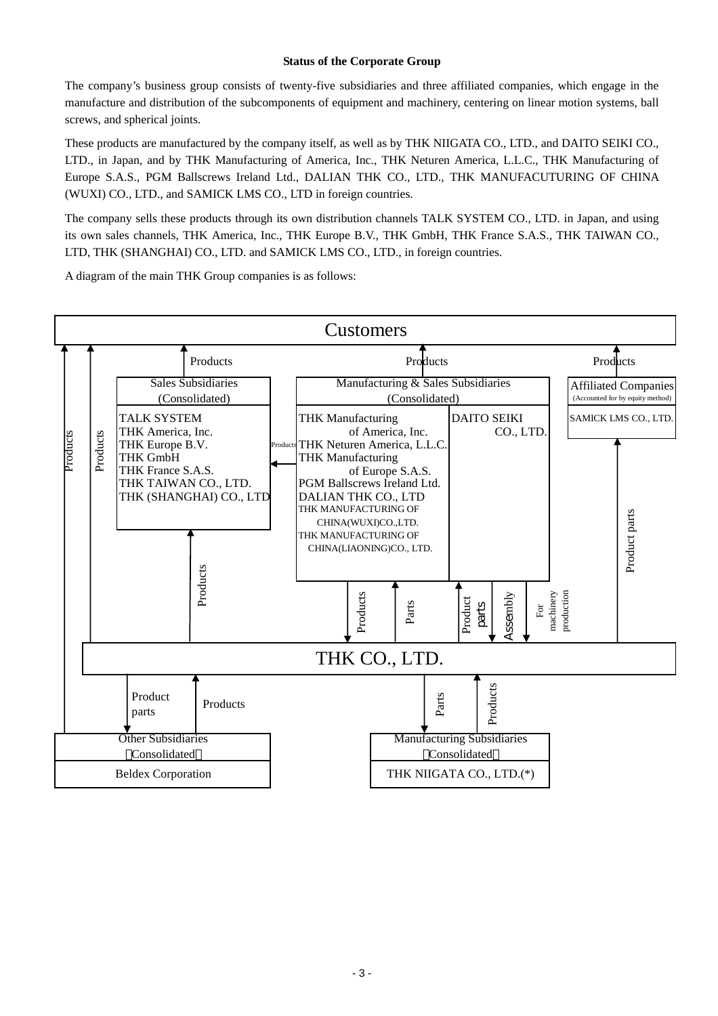### **Status of the Corporate Group**

The company's business group consists of twenty-five subsidiaries and three affiliated companies, which engage in the manufacture and distribution of the subcomponents of equipment and machinery, centering on linear motion systems, ball screws, and spherical joints.

These products are manufactured by the company itself, as well as by THK NIIGATA CO., LTD., and DAITO SEIKI CO., LTD., in Japan, and by THK Manufacturing of America, Inc., THK Neturen America, L.L.C., THK Manufacturing of Europe S.A.S., PGM Ballscrews Ireland Ltd., DALIAN THK CO., LTD., THK MANUFACUTURING OF CHINA (WUXI) CO., LTD., and SAMICK LMS CO., LTD in foreign countries.

The company sells these products through its own distribution channels TALK SYSTEM CO., LTD. in Japan, and using its own sales channels, THK America, Inc., THK Europe B.V., THK GmbH, THK France S.A.S., THK TAIWAN CO., LTD, THK (SHANGHAI) CO., LTD. and SAMICK LMS CO., LTD., in foreign countries.

A diagram of the main THK Group companies is as follows:

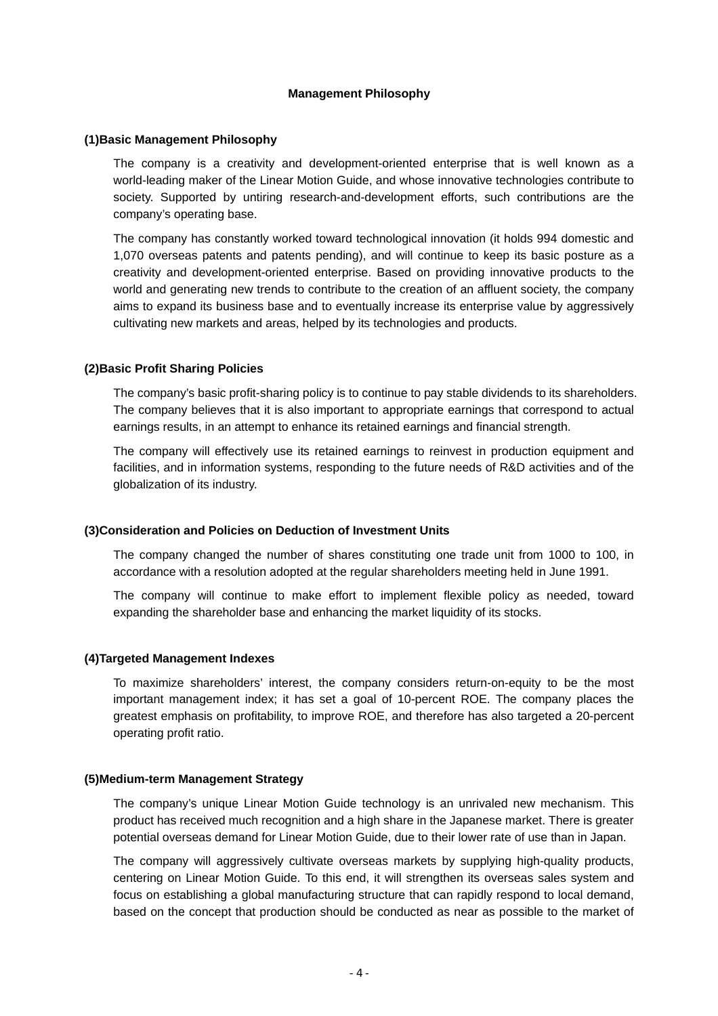### **Management Philosophy**

### **(1)Basic Management Philosophy**

The company is a creativity and development-oriented enterprise that is well known as a world-leading maker of the Linear Motion Guide, and whose innovative technologies contribute to society. Supported by untiring research-and-development efforts, such contributions are the company's operating base.

The company has constantly worked toward technological innovation (it holds 994 domestic and 1,070 overseas patents and patents pending), and will continue to keep its basic posture as a creativity and development-oriented enterprise. Based on providing innovative products to the world and generating new trends to contribute to the creation of an affluent society, the company aims to expand its business base and to eventually increase its enterprise value by aggressively cultivating new markets and areas, helped by its technologies and products.

### **(2)Basic Profit Sharing Policies**

The company's basic profit-sharing policy is to continue to pay stable dividends to its shareholders. The company believes that it is also important to appropriate earnings that correspond to actual earnings results, in an attempt to enhance its retained earnings and financial strength.

The company will effectively use its retained earnings to reinvest in production equipment and facilities, and in information systems, responding to the future needs of R&D activities and of the globalization of its industry.

### **(3)Consideration and Policies on Deduction of Investment Units**

The company changed the number of shares constituting one trade unit from 1000 to 100, in accordance with a resolution adopted at the regular shareholders meeting held in June 1991.

The company will continue to make effort to implement flexible policy as needed, toward expanding the shareholder base and enhancing the market liquidity of its stocks.

### **(4)Targeted Management Indexes**

To maximize shareholders' interest, the company considers return-on-equity to be the most important management index; it has set a goal of 10-percent ROE. The company places the greatest emphasis on profitability, to improve ROE, and therefore has also targeted a 20-percent operating profit ratio.

### **(5)Medium-term Management Strategy**

The company's unique Linear Motion Guide technology is an unrivaled new mechanism. This product has received much recognition and a high share in the Japanese market. There is greater potential overseas demand for Linear Motion Guide, due to their lower rate of use than in Japan.

The company will aggressively cultivate overseas markets by supplying high-quality products, centering on Linear Motion Guide. To this end, it will strengthen its overseas sales system and focus on establishing a global manufacturing structure that can rapidly respond to local demand, based on the concept that production should be conducted as near as possible to the market of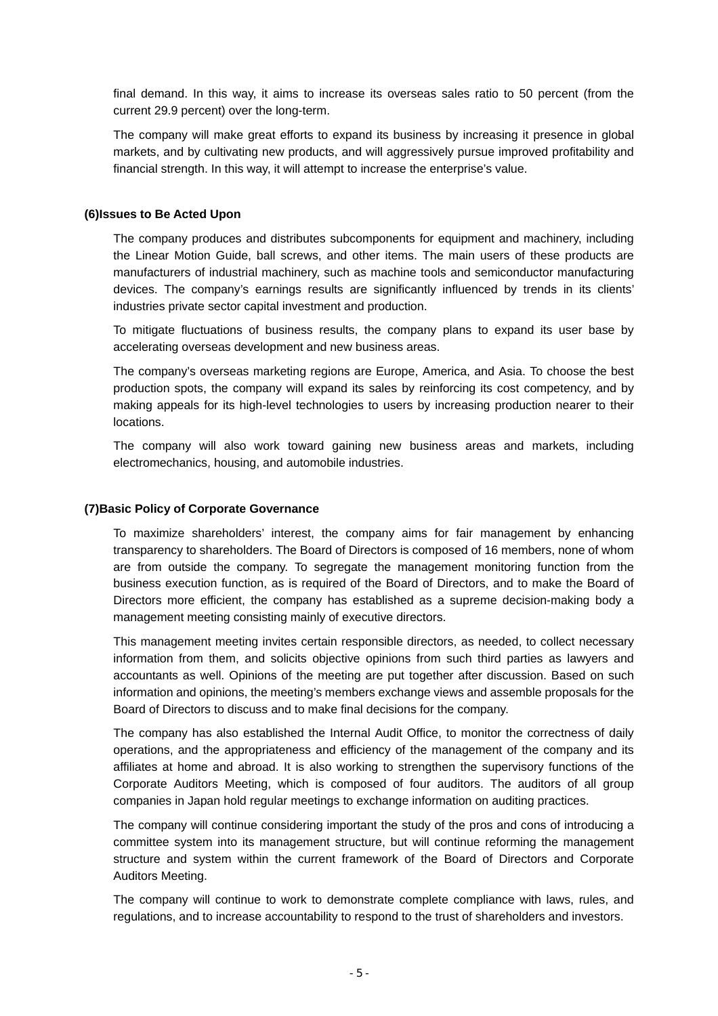final demand. In this way, it aims to increase its overseas sales ratio to 50 percent (from the current 29.9 percent) over the long-term.

The company will make great efforts to expand its business by increasing it presence in global markets, and by cultivating new products, and will aggressively pursue improved profitability and financial strength. In this way, it will attempt to increase the enterprise's value.

### **(6)Issues to Be Acted Upon**

The company produces and distributes subcomponents for equipment and machinery, including the Linear Motion Guide, ball screws, and other items. The main users of these products are manufacturers of industrial machinery, such as machine tools and semiconductor manufacturing devices. The company's earnings results are significantly influenced by trends in its clients' industries private sector capital investment and production.

To mitigate fluctuations of business results, the company plans to expand its user base by accelerating overseas development and new business areas.

The company's overseas marketing regions are Europe, America, and Asia. To choose the best production spots, the company will expand its sales by reinforcing its cost competency, and by making appeals for its high-level technologies to users by increasing production nearer to their locations.

The company will also work toward gaining new business areas and markets, including electromechanics, housing, and automobile industries.

### **(7)Basic Policy of Corporate Governance**

To maximize shareholders' interest, the company aims for fair management by enhancing transparency to shareholders. The Board of Directors is composed of 16 members, none of whom are from outside the company. To segregate the management monitoring function from the business execution function, as is required of the Board of Directors, and to make the Board of Directors more efficient, the company has established as a supreme decision-making body a management meeting consisting mainly of executive directors.

This management meeting invites certain responsible directors, as needed, to collect necessary information from them, and solicits objective opinions from such third parties as lawyers and accountants as well. Opinions of the meeting are put together after discussion. Based on such information and opinions, the meeting's members exchange views and assemble proposals for the Board of Directors to discuss and to make final decisions for the company.

The company has also established the Internal Audit Office, to monitor the correctness of daily operations, and the appropriateness and efficiency of the management of the company and its affiliates at home and abroad. It is also working to strengthen the supervisory functions of the Corporate Auditors Meeting, which is composed of four auditors. The auditors of all group companies in Japan hold regular meetings to exchange information on auditing practices.

The company will continue considering important the study of the pros and cons of introducing a committee system into its management structure, but will continue reforming the management structure and system within the current framework of the Board of Directors and Corporate Auditors Meeting.

The company will continue to work to demonstrate complete compliance with laws, rules, and regulations, and to increase accountability to respond to the trust of shareholders and investors.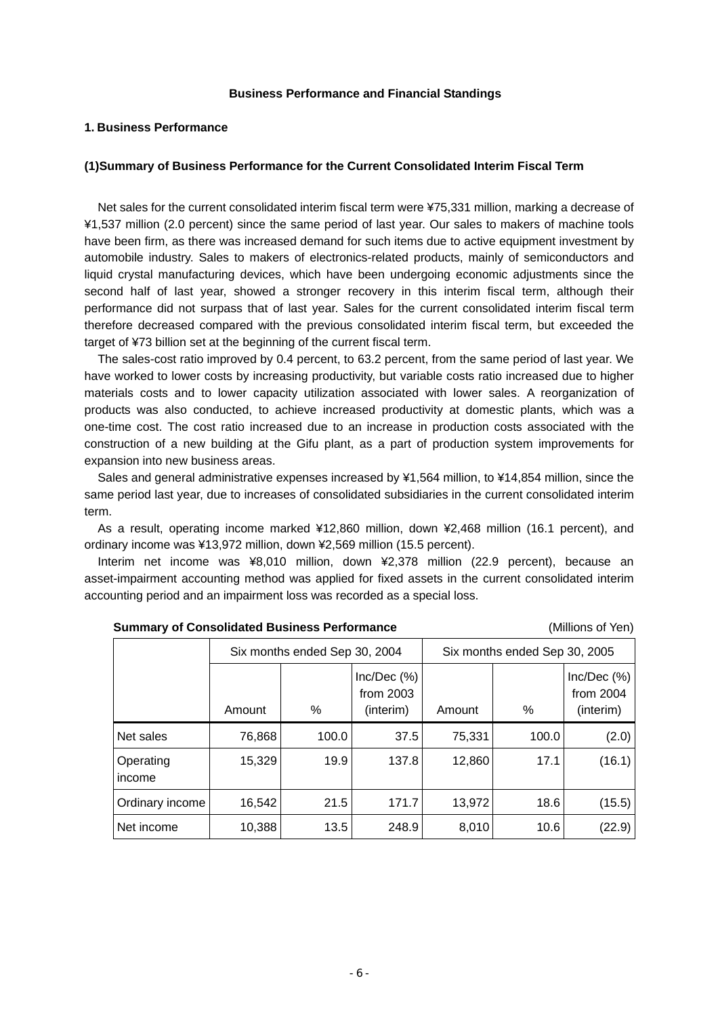### **Business Performance and Financial Standings**

### **1. Business Performance**

### **(1)Summary of Business Performance for the Current Consolidated Interim Fiscal Term**

Net sales for the current consolidated interim fiscal term were ¥75,331 million, marking a decrease of ¥1,537 million (2.0 percent) since the same period of last year. Our sales to makers of machine tools have been firm, as there was increased demand for such items due to active equipment investment by automobile industry. Sales to makers of electronics-related products, mainly of semiconductors and liquid crystal manufacturing devices, which have been undergoing economic adjustments since the second half of last year, showed a stronger recovery in this interim fiscal term, although their performance did not surpass that of last year. Sales for the current consolidated interim fiscal term therefore decreased compared with the previous consolidated interim fiscal term, but exceeded the target of ¥73 billion set at the beginning of the current fiscal term.

The sales-cost ratio improved by 0.4 percent, to 63.2 percent, from the same period of last year. We have worked to lower costs by increasing productivity, but variable costs ratio increased due to higher materials costs and to lower capacity utilization associated with lower sales. A reorganization of products was also conducted, to achieve increased productivity at domestic plants, which was a one-time cost. The cost ratio increased due to an increase in production costs associated with the construction of a new building at the Gifu plant, as a part of production system improvements for expansion into new business areas.

Sales and general administrative expenses increased by ¥1,564 million, to ¥14,854 million, since the same period last year, due to increases of consolidated subsidiaries in the current consolidated interim term.

As a result, operating income marked ¥12,860 million, down ¥2,468 million (16.1 percent), and ordinary income was ¥13,972 million, down ¥2,569 million (15.5 percent).

Interim net income was ¥8,010 million, down ¥2,378 million (22.9 percent), because an asset-impairment accounting method was applied for fixed assets in the current consolidated interim accounting period and an impairment loss was recorded as a special loss.

| <b>Summary of Consolidated Business Performance</b> |  |  |  |
|-----------------------------------------------------|--|--|--|
|-----------------------------------------------------|--|--|--|

(Millions of Yen)

|                     |        | Six months ended Sep 30, 2004 |                                            | Six months ended Sep 30, 2005 |       |                                      |  |
|---------------------|--------|-------------------------------|--------------------------------------------|-------------------------------|-------|--------------------------------------|--|
|                     | Amount | %                             | $Inc/Dec$ $(\%)$<br>from 2003<br>(interim) | Amount                        | $\%$  | Inc/Dec(%)<br>from 2004<br>(interim) |  |
| Net sales           | 76,868 | 100.0                         | 37.5                                       | 75.331                        | 100.0 | (2.0)                                |  |
| Operating<br>income | 15,329 | 19.9                          | 137.8                                      | 12,860                        | 17.1  | (16.1)                               |  |
| Ordinary income     | 16,542 | 21.5                          | 171.7                                      | 13,972                        | 18.6  | (15.5)                               |  |
| Net income          | 10,388 | 13.5                          | 248.9                                      | 8,010                         | 10.6  | (22.9)                               |  |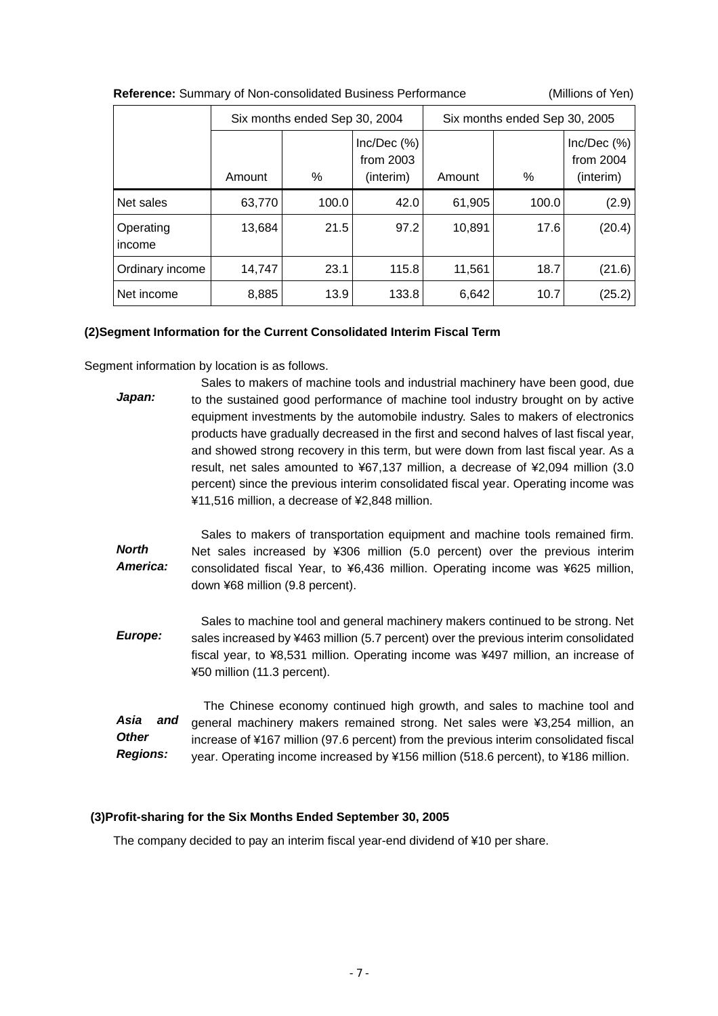| <b>INCIDENTIAL</b> COMMUNIST OF FRONT CONSUMATION DUSTINGS TO HOMING ICC. |        |                               |                                      |        |                               |                                      |
|---------------------------------------------------------------------------|--------|-------------------------------|--------------------------------------|--------|-------------------------------|--------------------------------------|
|                                                                           |        | Six months ended Sep 30, 2004 |                                      |        | Six months ended Sep 30, 2005 |                                      |
|                                                                           | Amount | %                             | Inc/Dec(%)<br>from 2003<br>(interim) | Amount | %                             | Inc/Dec(%)<br>from 2004<br>(interim) |
| Net sales                                                                 | 63,770 | 100.0                         | 42.0                                 | 61,905 | 100.0                         | (2.9)                                |
| Operating<br>income                                                       | 13,684 | 21.5                          | 97.2                                 | 10,891 | 17.6                          | (20.4)                               |
| Ordinary income                                                           | 14,747 | 23.1                          | 115.8                                | 11,561 | 18.7                          | (21.6)                               |
| Net income                                                                | 8,885  | 13.9                          | 133.8                                | 6,642  | 10.7                          | (25.2)                               |

### **Reference:** Summary of Non-consolidated Business Performance (Millions of Yen)

### **(2)Segment Information for the Current Consolidated Interim Fiscal Term**

Segment information by location is as follows.

*Japan:*  Sales to makers of machine tools and industrial machinery have been good, due to the sustained good performance of machine tool industry brought on by active equipment investments by the automobile industry. Sales to makers of electronics products have gradually decreased in the first and second halves of last fiscal year, and showed strong recovery in this term, but were down from last fiscal year. As a result, net sales amounted to ¥67,137 million, a decrease of ¥2,094 million (3.0 percent) since the previous interim consolidated fiscal year. Operating income was ¥11,516 million, a decrease of ¥2,848 million.

*North America:*  Sales to makers of transportation equipment and machine tools remained firm. Net sales increased by ¥306 million (5.0 percent) over the previous interim consolidated fiscal Year, to ¥6,436 million. Operating income was ¥625 million, down ¥68 million (9.8 percent).

*Europe:*  Sales to machine tool and general machinery makers continued to be strong. Net sales increased by ¥463 million (5.7 percent) over the previous interim consolidated fiscal year, to ¥8,531 million. Operating income was ¥497 million, an increase of ¥50 million (11.3 percent).

*Asia and Other Regions:*  The Chinese economy continued high growth, and sales to machine tool and general machinery makers remained strong. Net sales were ¥3,254 million, an increase of ¥167 million (97.6 percent) from the previous interim consolidated fiscal year. Operating income increased by ¥156 million (518.6 percent), to ¥186 million.

### **(3)Profit-sharing for the Six Months Ended September 30, 2005**

The company decided to pay an interim fiscal year-end dividend of ¥10 per share.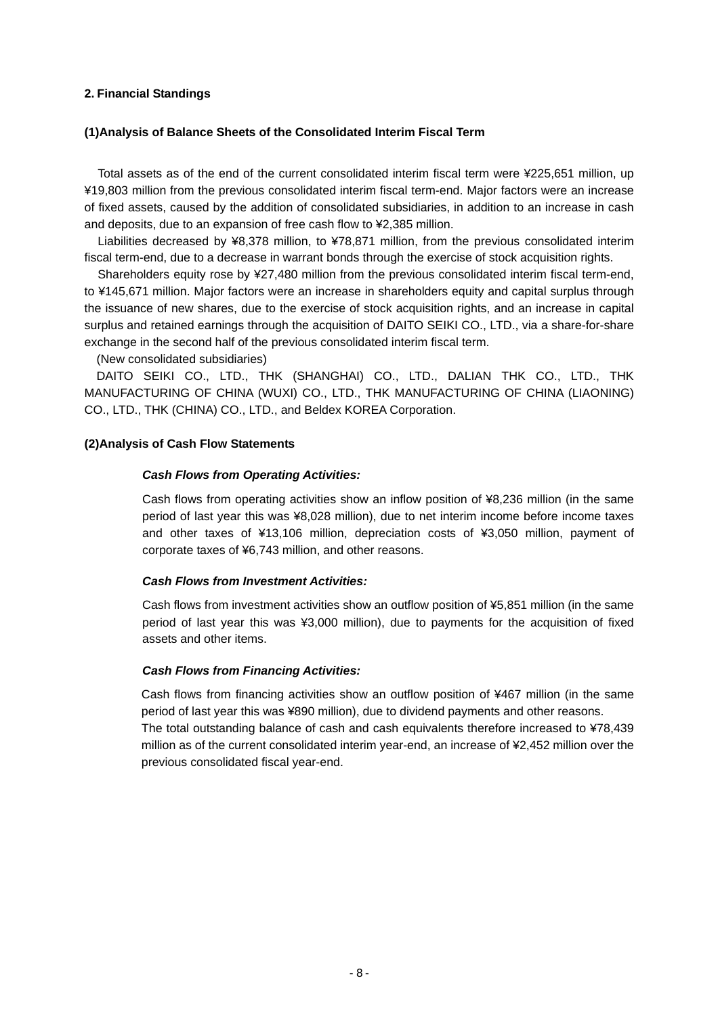### **2. Financial Standings**

### **(1)Analysis of Balance Sheets of the Consolidated Interim Fiscal Term**

Total assets as of the end of the current consolidated interim fiscal term were ¥225,651 million, up ¥19,803 million from the previous consolidated interim fiscal term-end. Major factors were an increase of fixed assets, caused by the addition of consolidated subsidiaries, in addition to an increase in cash and deposits, due to an expansion of free cash flow to ¥2,385 million.

Liabilities decreased by ¥8,378 million, to ¥78,871 million, from the previous consolidated interim fiscal term-end, due to a decrease in warrant bonds through the exercise of stock acquisition rights.

Shareholders equity rose by ¥27,480 million from the previous consolidated interim fiscal term-end, to ¥145,671 million. Major factors were an increase in shareholders equity and capital surplus through the issuance of new shares, due to the exercise of stock acquisition rights, and an increase in capital surplus and retained earnings through the acquisition of DAITO SEIKI CO., LTD., via a share-for-share exchange in the second half of the previous consolidated interim fiscal term.

(New consolidated subsidiaries)

DAITO SEIKI CO., LTD., THK (SHANGHAI) CO., LTD., DALIAN THK CO., LTD., THK MANUFACTURING OF CHINA (WUXI) CO., LTD., THK MANUFACTURING OF CHINA (LIAONING) CO., LTD., THK (CHINA) CO., LTD., and Beldex KOREA Corporation.

### **(2)Analysis of Cash Flow Statements**

### *Cash Flows from Operating Activities:*

Cash flows from operating activities show an inflow position of ¥8,236 million (in the same period of last year this was ¥8,028 million), due to net interim income before income taxes and other taxes of ¥13,106 million, depreciation costs of ¥3,050 million, payment of corporate taxes of ¥6,743 million, and other reasons.

### *Cash Flows from Investment Activities:*

Cash flows from investment activities show an outflow position of ¥5,851 million (in the same period of last year this was ¥3,000 million), due to payments for the acquisition of fixed assets and other items.

### *Cash Flows from Financing Activities:*

Cash flows from financing activities show an outflow position of ¥467 million (in the same period of last year this was ¥890 million), due to dividend payments and other reasons. The total outstanding balance of cash and cash equivalents therefore increased to ¥78,439 million as of the current consolidated interim year-end, an increase of ¥2,452 million over the previous consolidated fiscal year-end.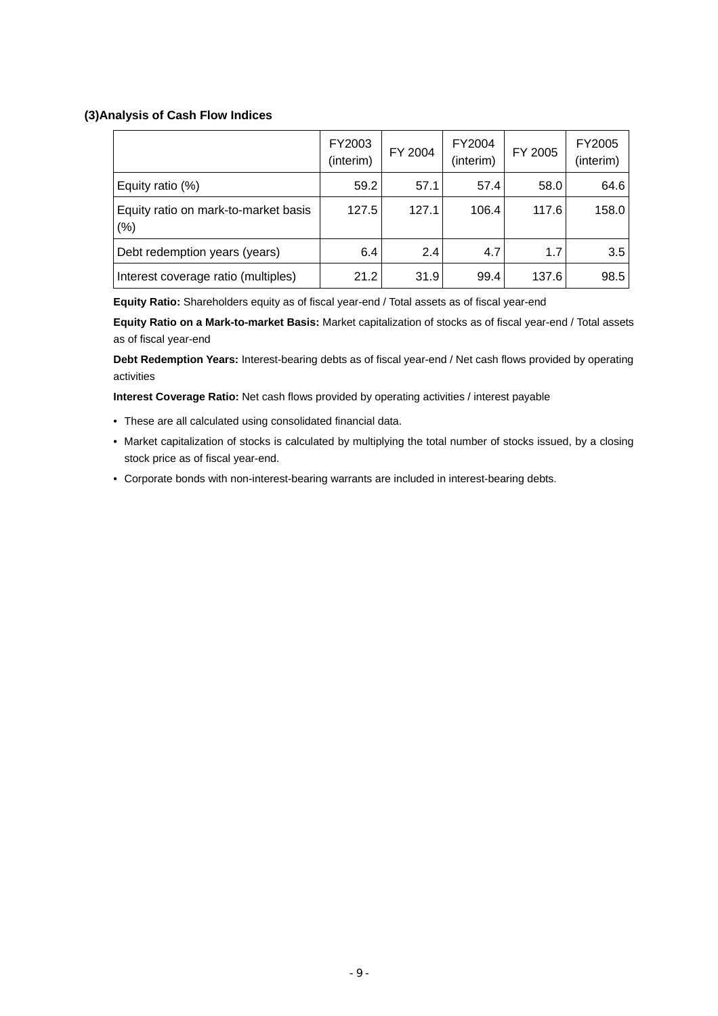### **(3)Analysis of Cash Flow Indices**

|                                              | FY2003<br>(interim) | FY 2004 | FY2004<br>(interim) | FY 2005 | FY2005<br>(interim) |
|----------------------------------------------|---------------------|---------|---------------------|---------|---------------------|
| Equity ratio (%)                             | 59.2                | 57.1    | 57.4                | 58.0    | 64.6                |
| Equity ratio on mark-to-market basis<br>(% ) | 127.5               | 127.1   | 106.4               | 117.6   | 158.0               |
| Debt redemption years (years)                | 6.4                 | 2.4     | 4.7                 | 1.7     | 3.5                 |
| Interest coverage ratio (multiples)          | 21.2                | 31.9    | 99.4                | 137.6   | 98.5                |

**Equity Ratio:** Shareholders equity as of fiscal year-end / Total assets as of fiscal year-end

**Equity Ratio on a Mark-to-market Basis:** Market capitalization of stocks as of fiscal year-end / Total assets as of fiscal year-end

**Debt Redemption Years:** Interest-bearing debts as of fiscal year-end / Net cash flows provided by operating activities

**Interest Coverage Ratio:** Net cash flows provided by operating activities / interest payable

- These are all calculated using consolidated financial data.
- Market capitalization of stocks is calculated by multiplying the total number of stocks issued, by a closing stock price as of fiscal year-end.
- Corporate bonds with non-interest-bearing warrants are included in interest-bearing debts.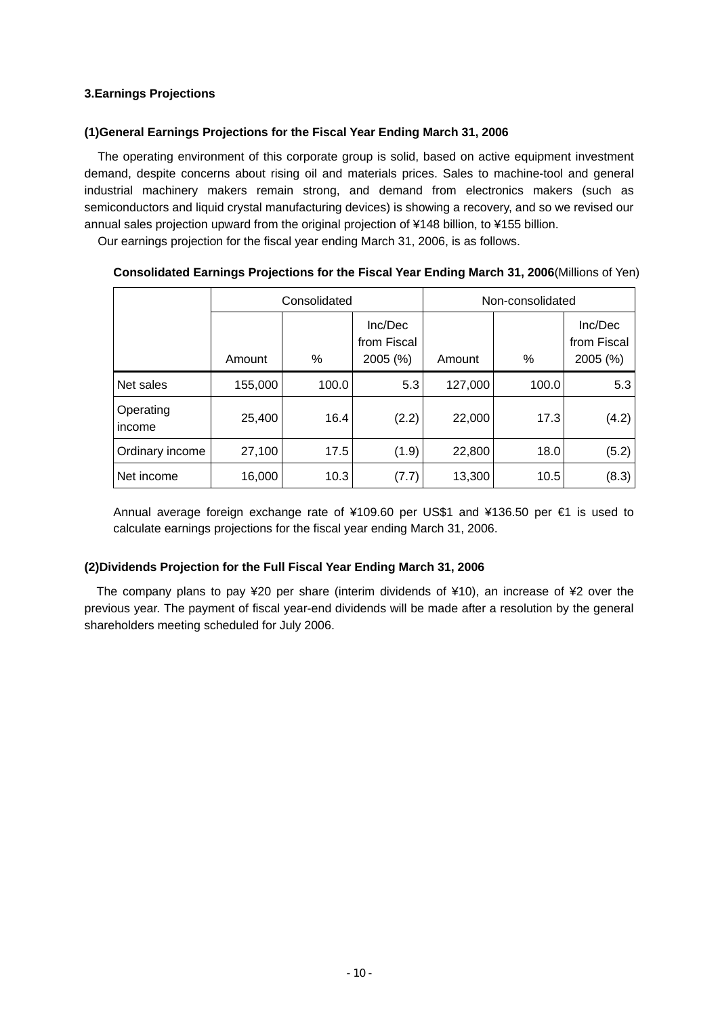### **3.Earnings Projections**

### **(1)General Earnings Projections for the Fiscal Year Ending March 31, 2006**

The operating environment of this corporate group is solid, based on active equipment investment demand, despite concerns about rising oil and materials prices. Sales to machine-tool and general industrial machinery makers remain strong, and demand from electronics makers (such as semiconductors and liquid crystal manufacturing devices) is showing a recovery, and so we revised our annual sales projection upward from the original projection of ¥148 billion, to ¥155 billion.

Our earnings projection for the fiscal year ending March 31, 2006, is as follows.

|                     |         | Consolidated |                                    | Non-consolidated |       |                                    |  |
|---------------------|---------|--------------|------------------------------------|------------------|-------|------------------------------------|--|
|                     | Amount  | %            | Inc/Dec<br>from Fiscal<br>2005 (%) | Amount           | %     | Inc/Dec<br>from Fiscal<br>2005 (%) |  |
| Net sales           | 155,000 | 100.0        | 5.3                                | 127,000          | 100.0 | 5.3                                |  |
| Operating<br>income | 25,400  | 16.4         | (2.2)                              | 22,000           | 17.3  | (4.2)                              |  |
| Ordinary income     | 27,100  | 17.5         | (1.9)                              | 22,800           | 18.0  | (5.2)                              |  |
| Net income          | 16,000  | 10.3         | (7.7)                              | 13,300           | 10.5  | (8.3)                              |  |

### **Consolidated Earnings Projections for the Fiscal Year Ending March 31, 2006**(Millions of Yen)

Annual average foreign exchange rate of ¥109.60 per US\$1 and ¥136.50 per €1 is used to calculate earnings projections for the fiscal year ending March 31, 2006.

### **(2)Dividends Projection for the Full Fiscal Year Ending March 31, 2006**

The company plans to pay ¥20 per share (interim dividends of ¥10), an increase of ¥2 over the previous year. The payment of fiscal year-end dividends will be made after a resolution by the general shareholders meeting scheduled for July 2006.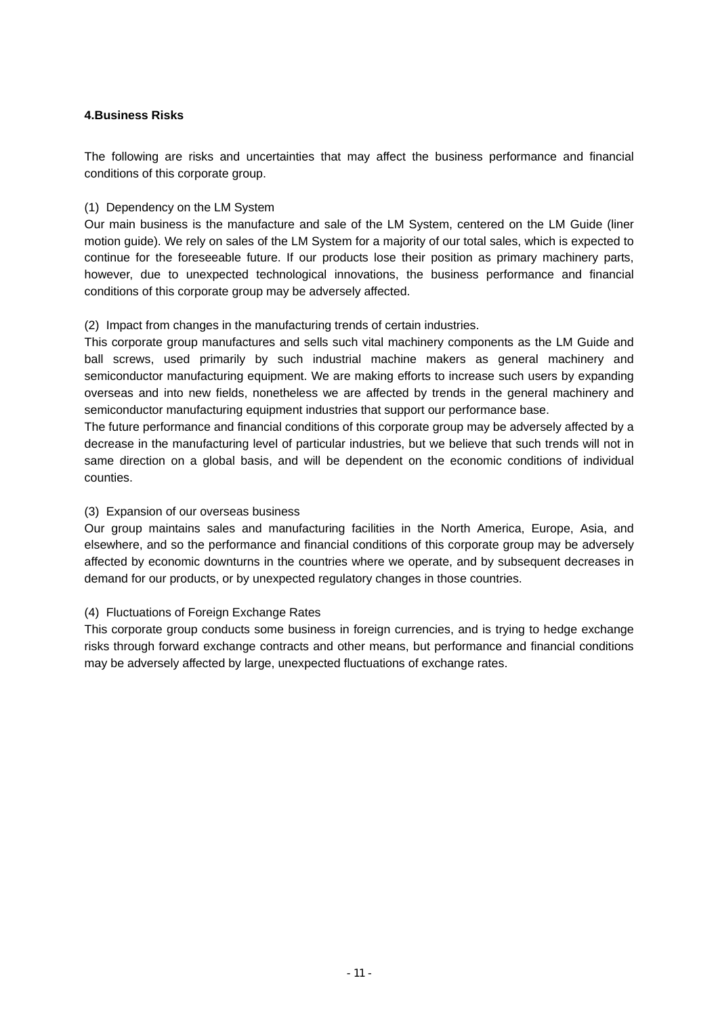### **4.Business Risks**

The following are risks and uncertainties that may affect the business performance and financial conditions of this corporate group.

### (1) Dependency on the LM System

Our main business is the manufacture and sale of the LM System, centered on the LM Guide (liner motion guide). We rely on sales of the LM System for a majority of our total sales, which is expected to continue for the foreseeable future. If our products lose their position as primary machinery parts, however, due to unexpected technological innovations, the business performance and financial conditions of this corporate group may be adversely affected.

### (2) Impact from changes in the manufacturing trends of certain industries.

This corporate group manufactures and sells such vital machinery components as the LM Guide and ball screws, used primarily by such industrial machine makers as general machinery and semiconductor manufacturing equipment. We are making efforts to increase such users by expanding overseas and into new fields, nonetheless we are affected by trends in the general machinery and semiconductor manufacturing equipment industries that support our performance base.

The future performance and financial conditions of this corporate group may be adversely affected by a decrease in the manufacturing level of particular industries, but we believe that such trends will not in same direction on a global basis, and will be dependent on the economic conditions of individual counties.

### (3) Expansion of our overseas business

Our group maintains sales and manufacturing facilities in the North America, Europe, Asia, and elsewhere, and so the performance and financial conditions of this corporate group may be adversely affected by economic downturns in the countries where we operate, and by subsequent decreases in demand for our products, or by unexpected regulatory changes in those countries.

### (4) Fluctuations of Foreign Exchange Rates

This corporate group conducts some business in foreign currencies, and is trying to hedge exchange risks through forward exchange contracts and other means, but performance and financial conditions may be adversely affected by large, unexpected fluctuations of exchange rates.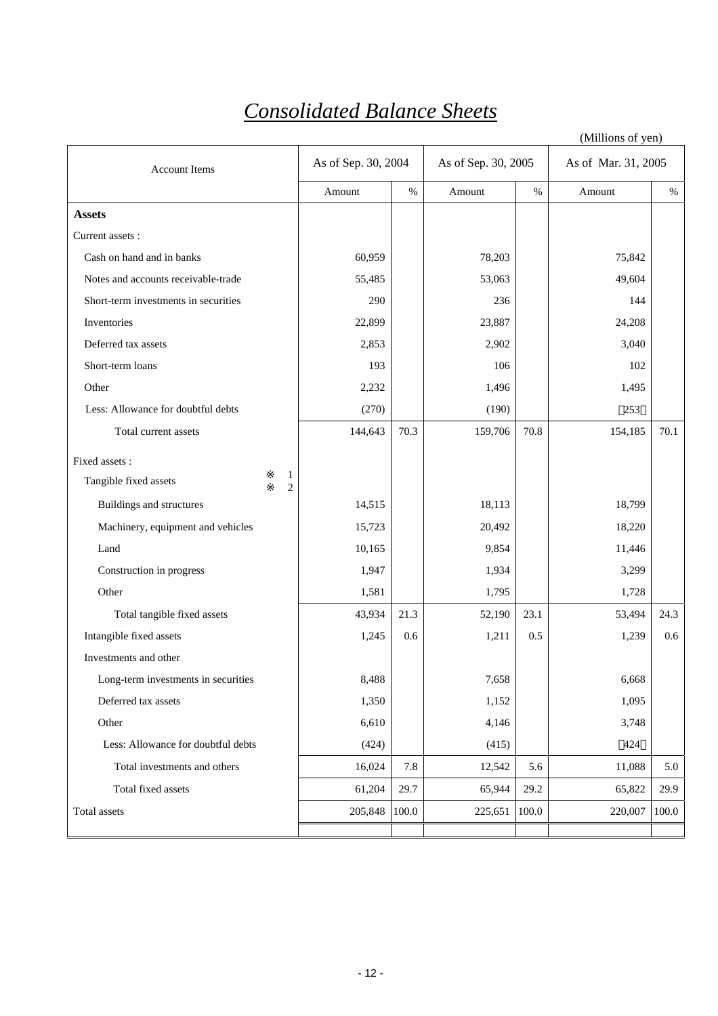## *Consolidated Balance Sheets*

|                                              |                     |       |                     |       | (Millions of yen)   |       |
|----------------------------------------------|---------------------|-------|---------------------|-------|---------------------|-------|
| <b>Account Items</b>                         | As of Sep. 30, 2004 |       | As of Sep. 30, 2005 |       | As of Mar. 31, 2005 |       |
|                                              | Amount              | $\%$  | Amount              | $\%$  | Amount              | $\%$  |
| <b>Assets</b>                                |                     |       |                     |       |                     |       |
| Current assets:                              |                     |       |                     |       |                     |       |
| Cash on hand and in banks                    | 60,959              |       | 78,203              |       | 75,842              |       |
| Notes and accounts receivable-trade          | 55,485              |       | 53,063              |       | 49,604              |       |
| Short-term investments in securities         | 290                 |       | 236                 |       | 144                 |       |
| Inventories                                  | 22,899              |       | 23,887              |       | 24,208              |       |
| Deferred tax assets                          | 2,853               |       | 2,902               |       | 3,040               |       |
| Short-term loans                             | 193                 |       | 106                 |       | 102                 |       |
| Other                                        | 2,232               |       | 1,496               |       | 1,495               |       |
| Less: Allowance for doubtful debts           | (270)               |       | (190)               |       | 253                 |       |
| Total current assets                         | 144,643             | 70.3  | 159,706             | 70.8  | 154,185             | 70.1  |
| Fixed assets :                               |                     |       |                     |       |                     |       |
| 1<br>Tangible fixed assets<br>$\overline{c}$ |                     |       |                     |       |                     |       |
| Buildings and structures                     | 14,515              |       | 18,113              |       | 18,799              |       |
| Machinery, equipment and vehicles            | 15,723              |       | 20,492              |       | 18,220              |       |
| Land                                         | 10,165              |       | 9,854               |       | 11,446              |       |
| Construction in progress                     | 1,947               |       | 1,934               |       | 3,299               |       |
| Other                                        | 1,581               |       | 1,795               |       | 1,728               |       |
| Total tangible fixed assets                  | 43,934              | 21.3  | 52,190              | 23.1  | 53,494              | 24.3  |
| Intangible fixed assets                      | 1,245               | 0.6   | 1,211               | 0.5   | 1,239               | 0.6   |
| Investments and other                        |                     |       |                     |       |                     |       |
| Long-term investments in securities          | 8,488               |       | 7,658               |       | 6,668               |       |
| Deferred tax assets                          | 1,350               |       | 1,152               |       | 1,095               |       |
| Other                                        | 6,610               |       | 4,146               |       | 3,748               |       |
| Less: Allowance for doubtful debts           | (424)               |       | (415)               |       | 424                 |       |
| Total investments and others                 | 16,024              | 7.8   | 12,542              | 5.6   | 11,088              | 5.0   |
| Total fixed assets                           | 61,204              | 29.7  | 65,944              | 29.2  | 65,822              | 29.9  |
| Total assets                                 | 205,848             | 100.0 | 225,651             | 100.0 | 220,007             | 100.0 |
|                                              |                     |       |                     |       |                     |       |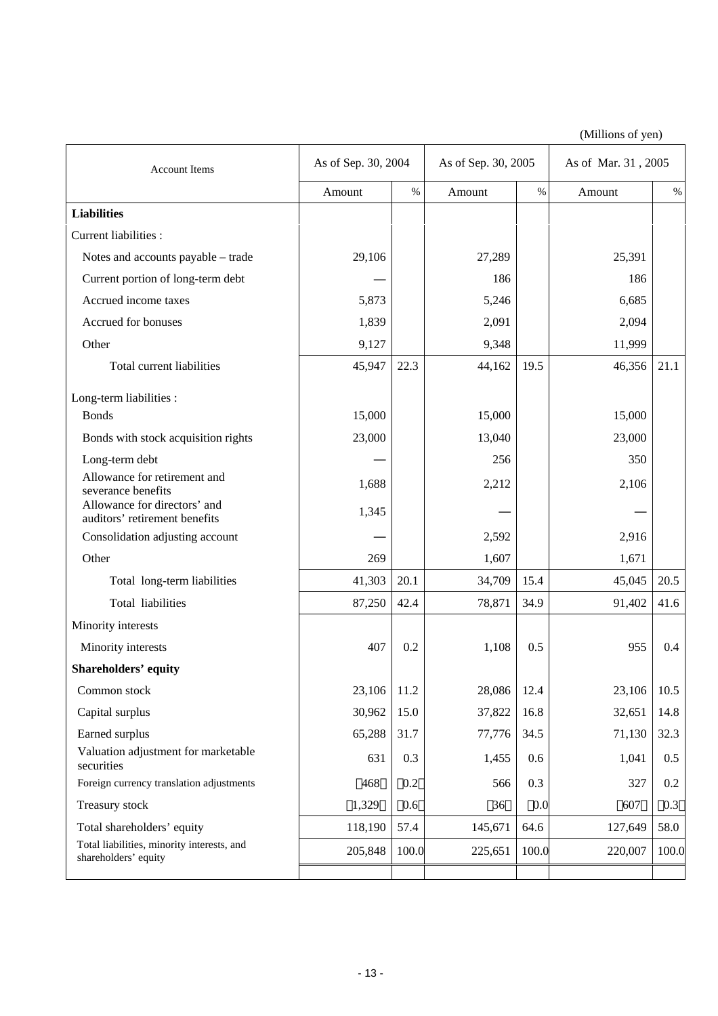(Millions of yen)

| <b>Account Items</b>                                                                | As of Sep. 30, 2004 |       | As of Sep. 30, 2005 |       | As of Mar. 31, 2005 |       |  |
|-------------------------------------------------------------------------------------|---------------------|-------|---------------------|-------|---------------------|-------|--|
|                                                                                     | Amount              | $\%$  | Amount              | $\%$  | Amount              | $\%$  |  |
| <b>Liabilities</b>                                                                  |                     |       |                     |       |                     |       |  |
| Current liabilities :                                                               |                     |       |                     |       |                     |       |  |
| Notes and accounts payable - trade                                                  | 29,106              |       | 27,289              |       | 25,391              |       |  |
| Current portion of long-term debt                                                   |                     |       | 186                 |       | 186                 |       |  |
| Accrued income taxes                                                                | 5,873               |       | 5,246               |       | 6,685               |       |  |
| Accrued for bonuses                                                                 | 1,839               |       | 2,091               |       | 2,094               |       |  |
| Other                                                                               | 9,127               |       | 9,348               |       | 11,999              |       |  |
| Total current liabilities                                                           | 45,947              | 22.3  | 44,162              | 19.5  | 46,356              | 21.1  |  |
| Long-term liabilities :                                                             |                     |       |                     |       |                     |       |  |
| <b>Bonds</b>                                                                        | 15,000              |       | 15,000              |       | 15,000              |       |  |
| Bonds with stock acquisition rights                                                 | 23,000              |       | 13,040              |       | 23,000              |       |  |
| Long-term debt                                                                      |                     |       | 256                 |       | 350                 |       |  |
| Allowance for retirement and                                                        | 1,688               |       | 2,212               |       | 2,106               |       |  |
| severance benefits<br>Allowance for directors' and<br>auditors' retirement benefits | 1,345               |       |                     |       |                     |       |  |
| Consolidation adjusting account                                                     |                     |       | 2,592               |       | 2,916               |       |  |
| Other                                                                               | 269                 |       | 1,607               |       | 1,671               |       |  |
| Total long-term liabilities                                                         | 41,303              | 20.1  | 34,709              | 15.4  | 45,045              | 20.5  |  |
| Total liabilities                                                                   | 87,250              | 42.4  | 78,871              | 34.9  | 91,402              | 41.6  |  |
| Minority interests                                                                  |                     |       |                     |       |                     |       |  |
| Minority interests                                                                  | 407                 | 0.2   | 1,108               | 0.5   | 955                 | 0.4   |  |
| <b>Shareholders' equity</b>                                                         |                     |       |                     |       |                     |       |  |
| Common stock                                                                        | 23,106              | 11.2  | 28,086              | 12.4  | 23,106              | 10.5  |  |
| Capital surplus                                                                     | 30,962              | 15.0  | 37,822              | 16.8  | 32,651              | 14.8  |  |
| Earned surplus                                                                      | 65,288              | 31.7  | 77,776              | 34.5  | 71,130              | 32.3  |  |
| Valuation adjustment for marketable<br>securities                                   | 631                 | 0.3   | 1,455               | 0.6   | 1,041               | 0.5   |  |
| Foreign currency translation adjustments                                            | 468                 | 0.2   | 566                 | 0.3   | 327                 | 0.2   |  |
| Treasury stock                                                                      | 1,329               | 0.6   | 36                  | 0.0   | 607                 | 0.3   |  |
| Total shareholders' equity                                                          | 118,190             | 57.4  | 145,671             | 64.6  | 127,649             | 58.0  |  |
| Total liabilities, minority interests, and<br>shareholders' equity                  | 205,848             | 100.0 | 225,651             | 100.0 | 220,007             | 100.0 |  |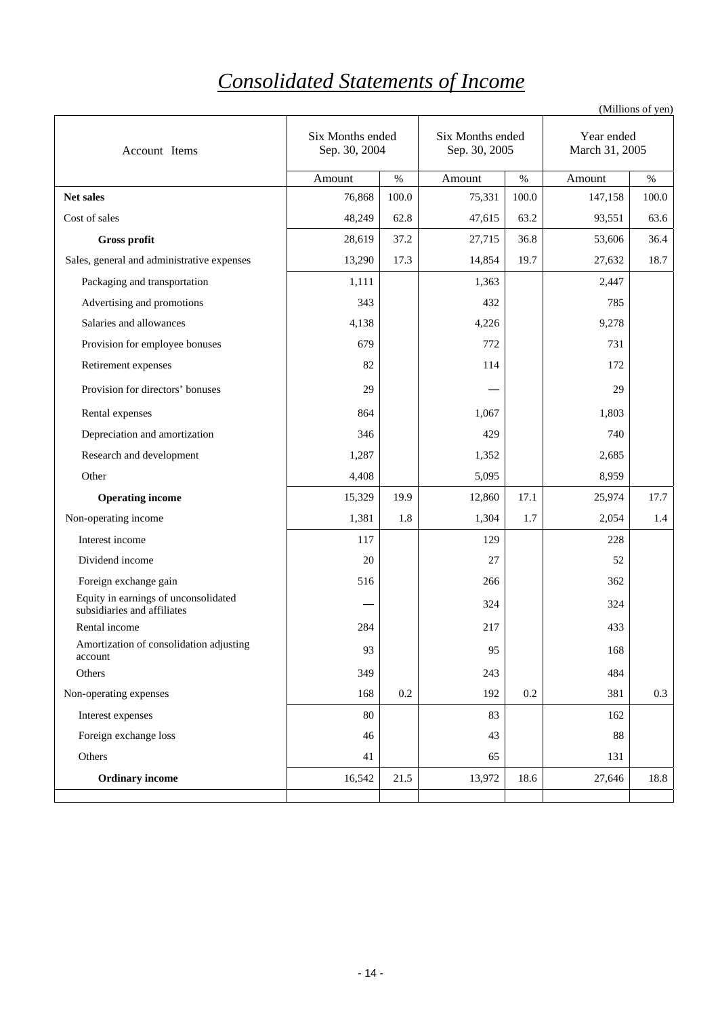# *Consolidated Statements of Income*

| Account Items                                                       | Six Months ended<br>Sep. 30, 2004 |         | Six Months ended<br>Sep. 30, 2005 |       | Year ended<br>March 31, 2005 |       |
|---------------------------------------------------------------------|-----------------------------------|---------|-----------------------------------|-------|------------------------------|-------|
|                                                                     | Amount                            | $\%$    | Amount                            | $\%$  | Amount                       | $\%$  |
| Net sales                                                           | 76,868                            | 100.0   | 75,331                            | 100.0 | 147,158                      | 100.0 |
| Cost of sales                                                       | 48,249                            | 62.8    | 47,615                            | 63.2  | 93,551                       | 63.6  |
| Gross profit                                                        | 28,619                            | 37.2    | 27,715                            | 36.8  | 53,606                       | 36.4  |
| Sales, general and administrative expenses                          | 13,290                            | 17.3    | 14,854                            | 19.7  | 27,632                       | 18.7  |
| Packaging and transportation                                        | 1,111                             |         | 1,363                             |       | 2,447                        |       |
| Advertising and promotions                                          | 343                               |         | 432                               |       | 785                          |       |
| Salaries and allowances                                             | 4,138                             |         | 4,226                             |       | 9,278                        |       |
| Provision for employee bonuses                                      | 679                               |         | 772                               |       | 731                          |       |
| Retirement expenses                                                 | 82                                |         | 114                               |       | 172                          |       |
| Provision for directors' bonuses                                    | 29                                |         |                                   |       | 29                           |       |
| Rental expenses                                                     | 864                               |         | 1,067                             |       | 1,803                        |       |
| Depreciation and amortization                                       | 346                               |         | 429                               |       | 740                          |       |
| Research and development                                            | 1,287                             |         | 1,352                             |       | 2,685                        |       |
| Other                                                               | 4,408                             |         | 5,095                             |       | 8,959                        |       |
| <b>Operating income</b>                                             | 15,329                            | 19.9    | 12,860                            | 17.1  | 25,974                       | 17.7  |
| Non-operating income                                                | 1,381                             | 1.8     | 1,304                             | 1.7   | 2,054                        | 1.4   |
| Interest income                                                     | 117                               |         | 129                               |       | 228                          |       |
| Dividend income                                                     | 20                                |         | 27                                |       | 52                           |       |
| Foreign exchange gain                                               | 516                               |         | 266                               |       | 362                          |       |
| Equity in earnings of unconsolidated<br>subsidiaries and affiliates |                                   |         | 324                               |       | 324                          |       |
| Rental income                                                       | 284                               |         | 217                               |       | 433                          |       |
| Amortization of consolidation adjusting<br>account                  | 93                                |         | 95                                |       | 168                          |       |
| Others                                                              | 349                               |         | 243                               |       | 484                          |       |
| Non-operating expenses                                              | 168                               | $0.2\,$ | 192                               | 0.2   | 381                          | 0.3   |
| Interest expenses                                                   | 80                                |         | 83                                |       | 162                          |       |
| Foreign exchange loss                                               | 46                                |         | 43                                |       | 88                           |       |
| Others                                                              | 41                                |         | 65                                |       | 131                          |       |
| <b>Ordinary income</b>                                              | 16,542                            | 21.5    | 13,972                            | 18.6  | 27,646                       | 18.8  |
|                                                                     |                                   |         |                                   |       |                              |       |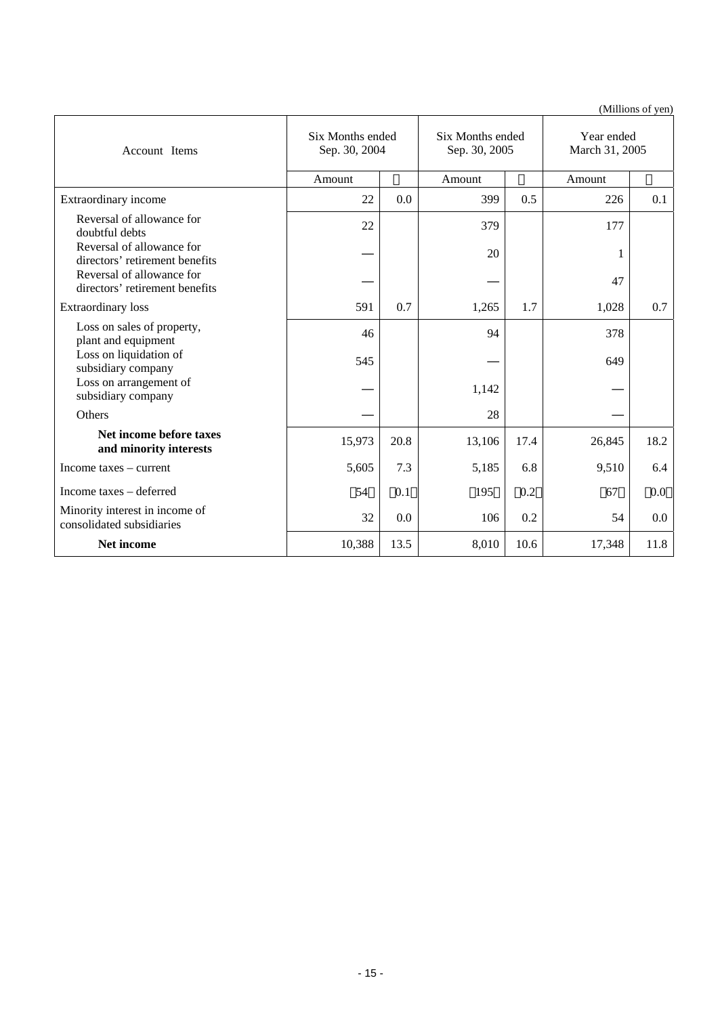(Millions of yen)

| Account Items                                               | Six Months ended<br>Sep. 30, 2004 |      | Six Months ended<br>Sep. 30, 2005 |      | Year ended<br>March 31, 2005 |      |
|-------------------------------------------------------------|-----------------------------------|------|-----------------------------------|------|------------------------------|------|
|                                                             | Amount                            |      | Amount                            |      | Amount                       |      |
| Extraordinary income                                        | 22                                | 0.0  | 399                               | 0.5  | 226                          | 0.1  |
| Reversal of allowance for<br>doubtful debts                 | 22                                |      | 379                               |      | 177                          |      |
| Reversal of allowance for<br>directors' retirement benefits |                                   |      | 20                                |      | 1                            |      |
| Reversal of allowance for<br>directors' retirement benefits |                                   |      |                                   |      | 47                           |      |
| <b>Extraordinary</b> loss                                   | 591                               | 0.7  | 1,265                             | 1.7  | 1,028                        | 0.7  |
| Loss on sales of property,<br>plant and equipment           | 46                                |      | 94                                |      | 378                          |      |
| Loss on liquidation of<br>subsidiary company                | 545                               |      |                                   |      | 649                          |      |
| Loss on arrangement of<br>subsidiary company                |                                   |      | 1,142                             |      |                              |      |
| Others                                                      |                                   |      | 28                                |      |                              |      |
| Net income before taxes<br>and minority interests           | 15,973                            | 20.8 | 13,106                            | 17.4 | 26,845                       | 18.2 |
| Income taxes $-$ current                                    | 5,605                             | 7.3  | 5,185                             | 6.8  | 9,510                        | 6.4  |
| Income taxes - deferred                                     | 54                                | 0.1  | 195                               | 0.2  | 67                           | 0.0  |
| Minority interest in income of<br>consolidated subsidiaries | 32                                | 0.0  | 106                               | 0.2  | 54                           | 0.0  |
| Net income                                                  | 10,388                            | 13.5 | 8,010                             | 10.6 | 17,348                       | 11.8 |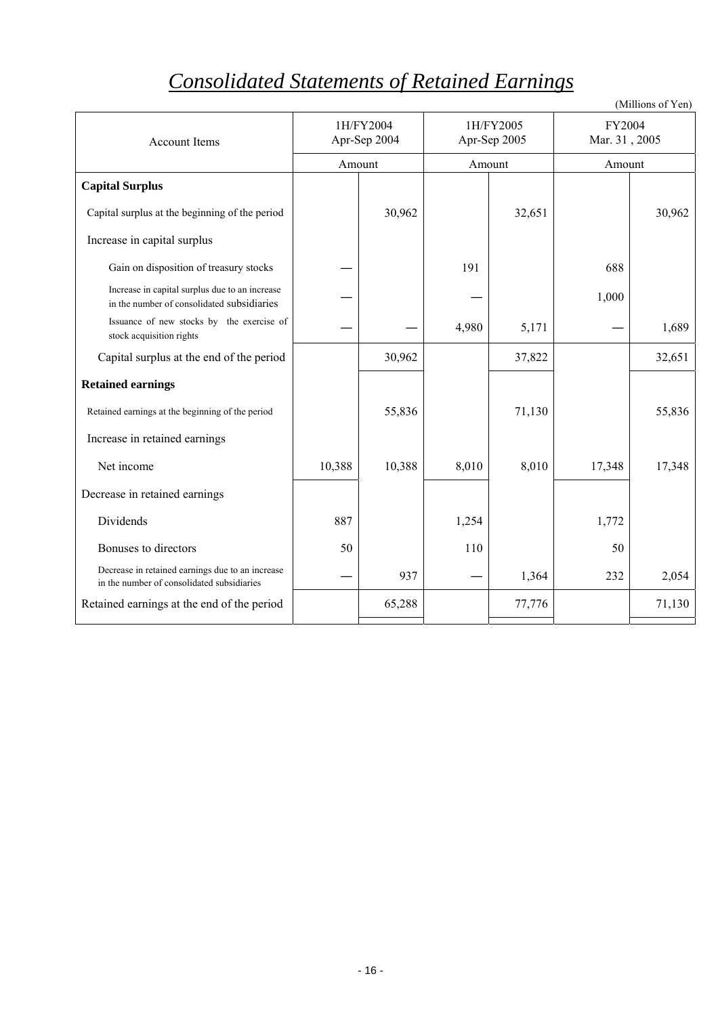# *Consolidated Statements of Retained Earnings*

|                                                                                                |        |                           |       |                           |                         | (Millions of Yen) |
|------------------------------------------------------------------------------------------------|--------|---------------------------|-------|---------------------------|-------------------------|-------------------|
| <b>Account Items</b>                                                                           |        | 1H/FY2004<br>Apr-Sep 2004 |       | 1H/FY2005<br>Apr-Sep 2005 | FY2004<br>Mar. 31, 2005 |                   |
|                                                                                                |        | Amount                    |       | Amount                    | Amount                  |                   |
| <b>Capital Surplus</b>                                                                         |        |                           |       |                           |                         |                   |
| Capital surplus at the beginning of the period                                                 |        | 30,962                    |       | 32,651                    |                         | 30,962            |
| Increase in capital surplus                                                                    |        |                           |       |                           |                         |                   |
| Gain on disposition of treasury stocks                                                         |        |                           | 191   |                           | 688                     |                   |
| Increase in capital surplus due to an increase<br>in the number of consolidated subsidiaries   |        |                           |       |                           | 1,000                   |                   |
| Issuance of new stocks by the exercise of<br>stock acquisition rights                          |        |                           | 4,980 | 5,171                     |                         | 1,689             |
| Capital surplus at the end of the period                                                       |        | 30,962                    |       | 37,822                    |                         | 32,651            |
| <b>Retained earnings</b>                                                                       |        |                           |       |                           |                         |                   |
| Retained earnings at the beginning of the period                                               |        | 55,836                    |       | 71,130                    |                         | 55,836            |
| Increase in retained earnings                                                                  |        |                           |       |                           |                         |                   |
| Net income                                                                                     | 10,388 | 10,388                    | 8,010 | 8,010                     | 17,348                  | 17,348            |
| Decrease in retained earnings                                                                  |        |                           |       |                           |                         |                   |
| Dividends                                                                                      | 887    |                           | 1,254 |                           | 1,772                   |                   |
| Bonuses to directors                                                                           | 50     |                           | 110   |                           | 50                      |                   |
| Decrease in retained earnings due to an increase<br>in the number of consolidated subsidiaries |        | 937                       |       | 1,364                     | 232                     | 2,054             |
| Retained earnings at the end of the period                                                     |        | 65,288                    |       | 77,776                    |                         | 71,130            |
|                                                                                                |        |                           |       |                           |                         |                   |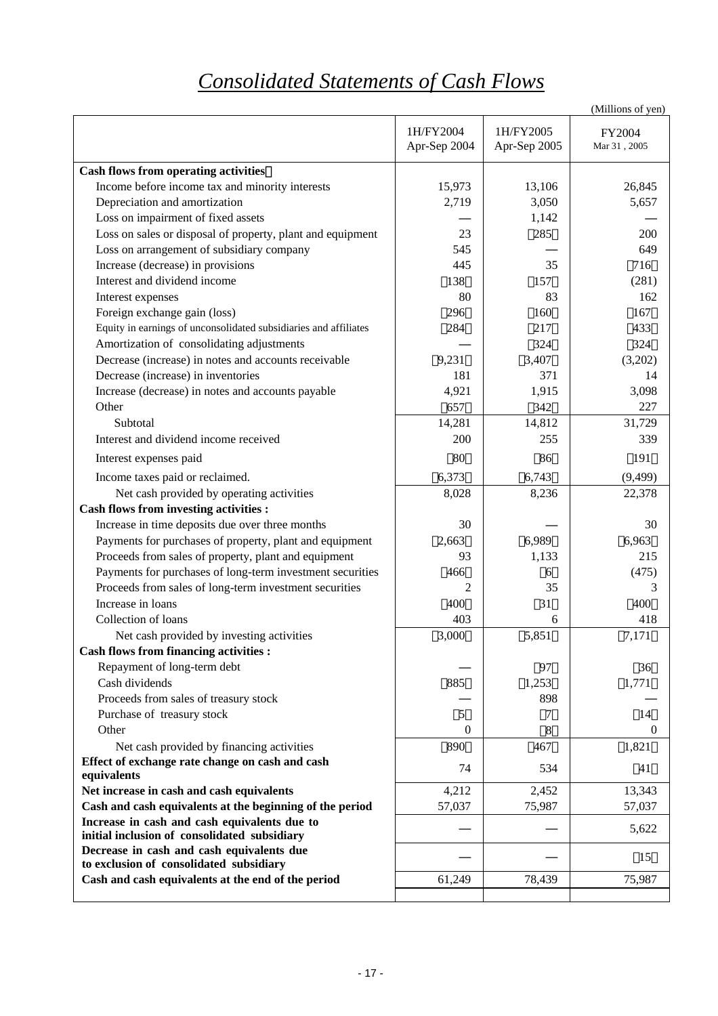# *Consolidated Statements of Cash Flows*

|                                                                                      |                           |                           | (Millions of yen)              |
|--------------------------------------------------------------------------------------|---------------------------|---------------------------|--------------------------------|
|                                                                                      | 1H/FY2004<br>Apr-Sep 2004 | 1H/FY2005<br>Apr-Sep 2005 | FY2004<br>$\rm{Mar}$ 31 , 2005 |
| <b>Cash flows from operating activities</b>                                          |                           |                           |                                |
| Income before income tax and minority interests                                      | 15,973                    | 13,106                    | 26,845                         |
| Depreciation and amortization                                                        | 2,719                     | 3,050                     | 5,657                          |
| Loss on impairment of fixed assets                                                   |                           | 1,142                     |                                |
| Loss on sales or disposal of property, plant and equipment                           | 23                        | 285                       | 200                            |
| Loss on arrangement of subsidiary company                                            | 545                       |                           | 649                            |
| Increase (decrease) in provisions                                                    | 445                       | 35                        | 716                            |
| Interest and dividend income                                                         | 138                       | 157                       | (281)                          |
| Interest expenses                                                                    | 80                        | 83                        | 162                            |
| Foreign exchange gain (loss)                                                         | 296                       | 160                       | 167                            |
| Equity in earnings of unconsolidated subsidiaries and affiliates                     | 284                       | 217                       | 433                            |
| Amortization of consolidating adjustments                                            |                           | 324                       | 324                            |
| Decrease (increase) in notes and accounts receivable                                 | 9,231                     | 3,407                     | (3,202)                        |
| Decrease (increase) in inventories                                                   | 181                       | 371                       | 14                             |
| Increase (decrease) in notes and accounts payable                                    | 4,921                     | 1,915                     | 3,098                          |
| Other                                                                                | 657                       | 342                       | 227                            |
| Subtotal                                                                             | 14,281                    | 14,812                    | 31,729                         |
| Interest and dividend income received                                                | 200                       | 255                       | 339                            |
| Interest expenses paid                                                               | 80                        | 86                        | 191                            |
| Income taxes paid or reclaimed.                                                      | 6,373                     | 6,743                     | (9, 499)                       |
| Net cash provided by operating activities                                            | 8,028                     | 8,236                     | 22,378                         |
| <b>Cash flows from investing activities :</b>                                        |                           |                           |                                |
| Increase in time deposits due over three months                                      | 30                        |                           | 30                             |
| Payments for purchases of property, plant and equipment                              | 2,663                     | 6,989                     | 6,963                          |
| Proceeds from sales of property, plant and equipment                                 | 93                        | 1,133                     | 215                            |
| Payments for purchases of long-term investment securities                            | 466                       | 6                         | (475)                          |
| Proceeds from sales of long-term investment securities                               | 2                         | 35                        | 3                              |
| Increase in loans                                                                    | 400                       | 31                        | 400                            |
| Collection of loans                                                                  | 403                       | 6                         | 418                            |
| Net cash provided by investing activities                                            | 3,000                     | 5,851                     | 7,171                          |
| <b>Cash flows from financing activities :</b>                                        |                           |                           |                                |
| Repayment of long-term debt                                                          |                           | 97                        | 36                             |
| Cash dividends                                                                       | 885                       | 1,253                     | 1,771                          |
| Proceeds from sales of treasury stock                                                |                           | 898                       |                                |
| Purchase of treasury stock                                                           | 5                         | $\tau$                    | 14                             |
| Other                                                                                | $\overline{0}$            | 8                         | $\theta$                       |
| Net cash provided by financing activities                                            | 890                       | 467                       | 1,821                          |
| Effect of exchange rate change on cash and cash<br>equivalents                       | 74                        | 534                       | 41                             |
| Net increase in cash and cash equivalents                                            | 4,212                     | 2,452                     | 13,343                         |
| Cash and cash equivalents at the beginning of the period                             | 57,037                    | 75,987                    | 57,037                         |
| Increase in cash and cash equivalents due to                                         |                           |                           | 5,622                          |
| initial inclusion of consolidated subsidiary                                         |                           |                           |                                |
| Decrease in cash and cash equivalents due<br>to exclusion of consolidated subsidiary |                           |                           | 15                             |
| Cash and cash equivalents at the end of the period                                   | 61,249                    | 78,439                    | 75,987                         |
|                                                                                      |                           |                           |                                |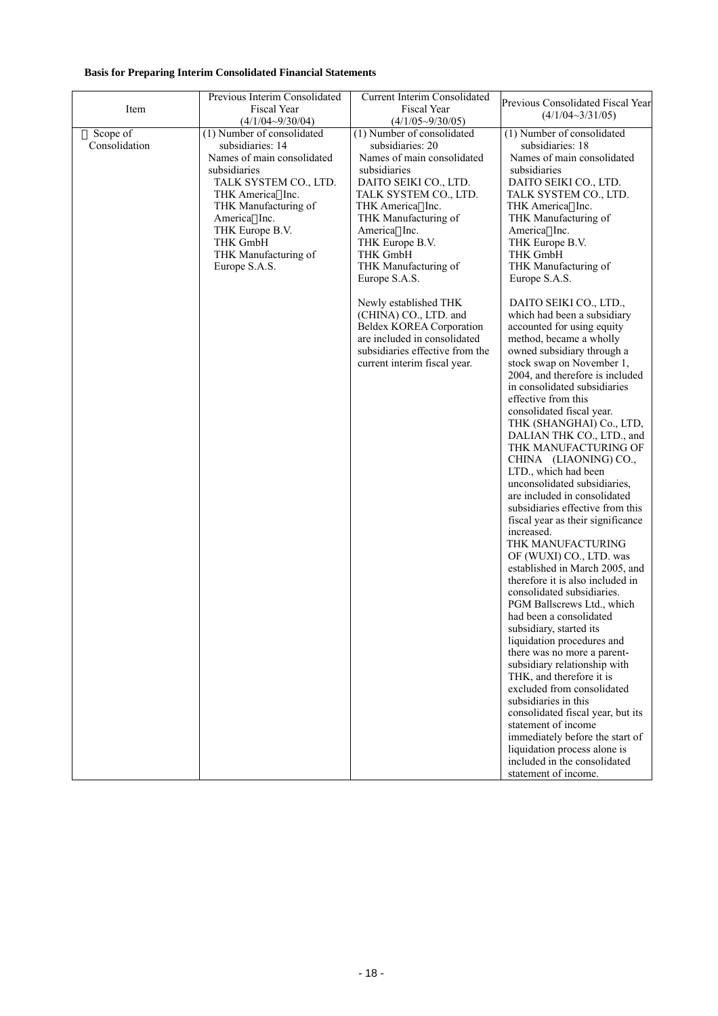### **Basis for Preparing Interim Consolidated Financial Statements**

| Item                      | Previous Interim Consolidated<br><b>Fiscal Year</b><br>$(4/1/04 - 9/30/04)$                                                                                                                                                                               | <b>Current Interim Consolidated</b><br>Fiscal Year<br>$(4/1/05 \sim 9/30/05)$                                                                                                                                                                                                      | Previous Consolidated Fiscal Year<br>$(4/1/04 \sim 3/31/05)$                                                                                                                                                                                                                                                                                                                                                                                                                                                                                                                                                                                                                                                                                                                                                                                                                                                                                                                                                                                                                                                                                                                                            |
|---------------------------|-----------------------------------------------------------------------------------------------------------------------------------------------------------------------------------------------------------------------------------------------------------|------------------------------------------------------------------------------------------------------------------------------------------------------------------------------------------------------------------------------------------------------------------------------------|---------------------------------------------------------------------------------------------------------------------------------------------------------------------------------------------------------------------------------------------------------------------------------------------------------------------------------------------------------------------------------------------------------------------------------------------------------------------------------------------------------------------------------------------------------------------------------------------------------------------------------------------------------------------------------------------------------------------------------------------------------------------------------------------------------------------------------------------------------------------------------------------------------------------------------------------------------------------------------------------------------------------------------------------------------------------------------------------------------------------------------------------------------------------------------------------------------|
| Scope of<br>Consolidation | (1) Number of consolidated<br>subsidiaries: 14<br>Names of main consolidated<br>subsidiaries<br>TALK SYSTEM CO., LTD.<br>THK America Inc.<br>THK Manufacturing of<br>America Inc.<br>THK Europe B.V.<br>THK GmbH<br>THK Manufacturing of<br>Europe S.A.S. | (1) Number of consolidated<br>subsidiaries: 20<br>Names of main consolidated<br>subsidiaries<br>DAITO SEIKI CO., LTD.<br>TALK SYSTEM CO., LTD.<br>THK America Inc.<br>THK Manufacturing of<br>America Inc.<br>THK Europe B.V.<br>THK GmbH<br>THK Manufacturing of<br>Europe S.A.S. | (1) Number of consolidated<br>subsidiaries: 18<br>Names of main consolidated<br>subsidiaries<br>DAITO SEIKI CO., LTD.<br>TALK SYSTEM CO., LTD.<br>THK America Inc.<br>THK Manufacturing of<br>America Inc.<br>THK Europe B.V.<br>THK GmbH<br>THK Manufacturing of<br>Europe S.A.S.                                                                                                                                                                                                                                                                                                                                                                                                                                                                                                                                                                                                                                                                                                                                                                                                                                                                                                                      |
|                           |                                                                                                                                                                                                                                                           | Newly established THK<br>(CHINA) CO., LTD. and<br>Beldex KOREA Corporation<br>are included in consolidated<br>subsidiaries effective from the<br>current interim fiscal year.                                                                                                      | DAITO SEIKI CO., LTD.,<br>which had been a subsidiary<br>accounted for using equity<br>method, became a wholly<br>owned subsidiary through a<br>stock swap on November 1,<br>2004, and therefore is included<br>in consolidated subsidiaries<br>effective from this<br>consolidated fiscal year.<br>THK (SHANGHAI) Co., LTD,<br>DALIAN THK CO., LTD., and<br>THK MANUFACTURING OF<br>CHINA (LIAONING) CO.,<br>LTD., which had been<br>unconsolidated subsidiaries,<br>are included in consolidated<br>subsidiaries effective from this<br>fiscal year as their significance<br>increased.<br>THK MANUFACTURING<br>OF (WUXI) CO., LTD. was<br>established in March 2005, and<br>therefore it is also included in<br>consolidated subsidiaries.<br>PGM Ballscrews Ltd., which<br>had been a consolidated<br>subsidiary, started its<br>liquidation procedures and<br>there was no more a parent-<br>subsidiary relationship with<br>THK, and therefore it is<br>excluded from consolidated<br>subsidiaries in this<br>consolidated fiscal year, but its<br>statement of income<br>immediately before the start of<br>liquidation process alone is<br>included in the consolidated<br>statement of income. |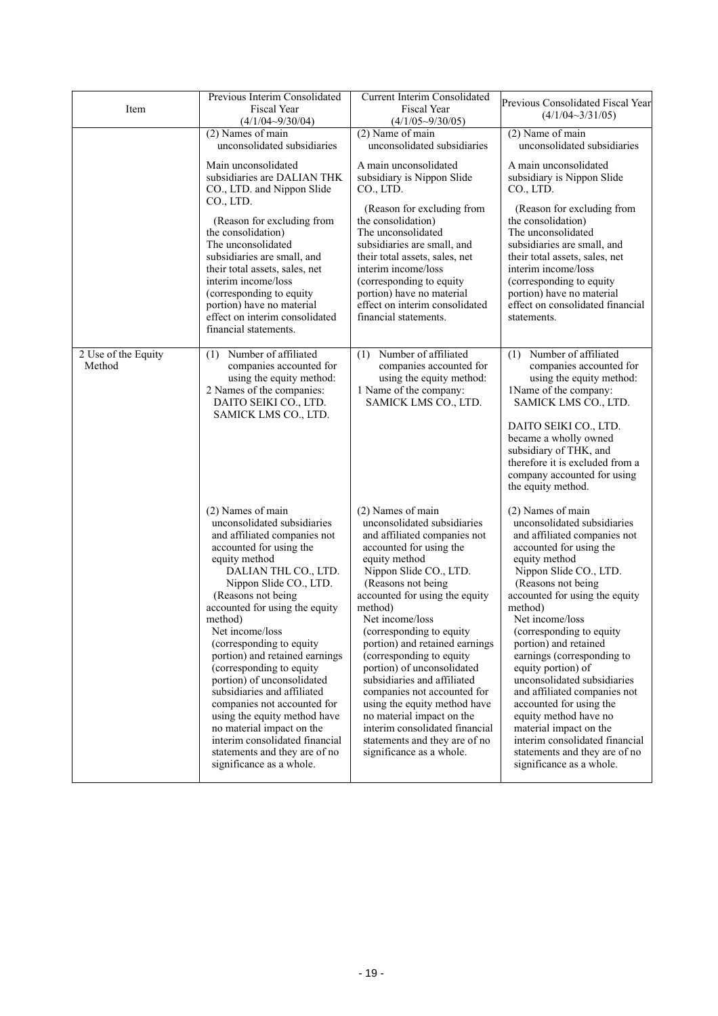| Item                          | Previous Interim Consolidated<br><b>Fiscal Year</b><br>$(4/1/04 - 9/30/04)$                                                                                                                                                                                                                                                                                                                                                                                                                                                                                                                                            | <b>Current Interim Consolidated</b><br>Fiscal Year<br>$(4/1/05 \sim 9/30/05)$                                                                                                                                                                                                                                                                                                                                                                                                                                                                                                                  | Previous Consolidated Fiscal Year<br>$(4/1/04 \sim 3/31/05)$                                                                                                                                                                                                                                                                                                                                                                                                                                                                                                                                      |
|-------------------------------|------------------------------------------------------------------------------------------------------------------------------------------------------------------------------------------------------------------------------------------------------------------------------------------------------------------------------------------------------------------------------------------------------------------------------------------------------------------------------------------------------------------------------------------------------------------------------------------------------------------------|------------------------------------------------------------------------------------------------------------------------------------------------------------------------------------------------------------------------------------------------------------------------------------------------------------------------------------------------------------------------------------------------------------------------------------------------------------------------------------------------------------------------------------------------------------------------------------------------|---------------------------------------------------------------------------------------------------------------------------------------------------------------------------------------------------------------------------------------------------------------------------------------------------------------------------------------------------------------------------------------------------------------------------------------------------------------------------------------------------------------------------------------------------------------------------------------------------|
|                               | $(2)$ Names of main<br>unconsolidated subsidiaries                                                                                                                                                                                                                                                                                                                                                                                                                                                                                                                                                                     | (2) Name of main<br>unconsolidated subsidiaries                                                                                                                                                                                                                                                                                                                                                                                                                                                                                                                                                | (2) Name of main<br>unconsolidated subsidiaries                                                                                                                                                                                                                                                                                                                                                                                                                                                                                                                                                   |
|                               | Main unconsolidated<br>subsidiaries are DALIAN THK<br>CO., LTD. and Nippon Slide                                                                                                                                                                                                                                                                                                                                                                                                                                                                                                                                       | A main unconsolidated<br>subsidiary is Nippon Slide<br>CO., LTD.                                                                                                                                                                                                                                                                                                                                                                                                                                                                                                                               | A main unconsolidated<br>subsidiary is Nippon Slide<br>CO., LTD.                                                                                                                                                                                                                                                                                                                                                                                                                                                                                                                                  |
|                               | CO., LTD.<br>(Reason for excluding from<br>the consolidation)<br>The unconsolidated<br>subsidiaries are small, and<br>their total assets, sales, net<br>interim income/loss<br>(corresponding to equity<br>portion) have no material<br>effect on interim consolidated<br>financial statements.                                                                                                                                                                                                                                                                                                                        | (Reason for excluding from<br>the consolidation)<br>The unconsolidated<br>subsidiaries are small, and<br>their total assets, sales, net<br>interim income/loss<br>(corresponding to equity<br>portion) have no material<br>effect on interim consolidated<br>financial statements.                                                                                                                                                                                                                                                                                                             | (Reason for excluding from<br>the consolidation)<br>The unconsolidated<br>subsidiaries are small, and<br>their total assets, sales, net<br>interim income/loss<br>(corresponding to equity<br>portion) have no material<br>effect on consolidated financial<br>statements.                                                                                                                                                                                                                                                                                                                        |
| 2 Use of the Equity<br>Method | Number of affiliated<br>(1)<br>companies accounted for<br>using the equity method:<br>2 Names of the companies:<br>DAITO SEIKI CO., LTD.<br>SAMICK LMS CO., LTD.                                                                                                                                                                                                                                                                                                                                                                                                                                                       | Number of affiliated<br>(1)<br>companies accounted for<br>using the equity method:<br>1 Name of the company:<br>SAMICK LMS CO., LTD.                                                                                                                                                                                                                                                                                                                                                                                                                                                           | Number of affiliated<br>(1)<br>companies accounted for<br>using the equity method:<br>1Name of the company:<br>SAMICK LMS CO., LTD.<br>DAITO SEIKI CO., LTD.<br>became a wholly owned<br>subsidiary of THK, and<br>therefore it is excluded from a<br>company accounted for using<br>the equity method.                                                                                                                                                                                                                                                                                           |
|                               | (2) Names of main<br>unconsolidated subsidiaries<br>and affiliated companies not<br>accounted for using the<br>equity method<br>DALIAN THL CO., LTD.<br>Nippon Slide CO., LTD.<br>(Reasons not being<br>accounted for using the equity<br>method)<br>Net income/loss<br>(corresponding to equity<br>portion) and retained earnings<br>(corresponding to equity<br>portion) of unconsolidated<br>subsidiaries and affiliated<br>companies not accounted for<br>using the equity method have<br>no material impact on the<br>interim consolidated financial<br>statements and they are of no<br>significance as a whole. | (2) Names of main<br>unconsolidated subsidiaries<br>and affiliated companies not<br>accounted for using the<br>equity method<br>Nippon Slide CO., LTD.<br>(Reasons not being<br>accounted for using the equity<br>method)<br>Net income/loss<br>(corresponding to equity<br>portion) and retained earnings<br>(corresponding to equity<br>portion) of unconsolidated<br>subsidiaries and affiliated<br>companies not accounted for<br>using the equity method have<br>no material impact on the<br>interim consolidated financial<br>statements and they are of no<br>significance as a whole. | (2) Names of main<br>unconsolidated subsidiaries<br>and affiliated companies not<br>accounted for using the<br>equity method<br>Nippon Slide CO., LTD.<br>(Reasons not being<br>accounted for using the equity<br>method)<br>Net income/loss<br>(corresponding to equity<br>portion) and retained<br>earnings (corresponding to<br>equity portion) of<br>unconsolidated subsidiaries<br>and affiliated companies not<br>accounted for using the<br>equity method have no<br>material impact on the<br>interim consolidated financial<br>statements and they are of no<br>significance as a whole. |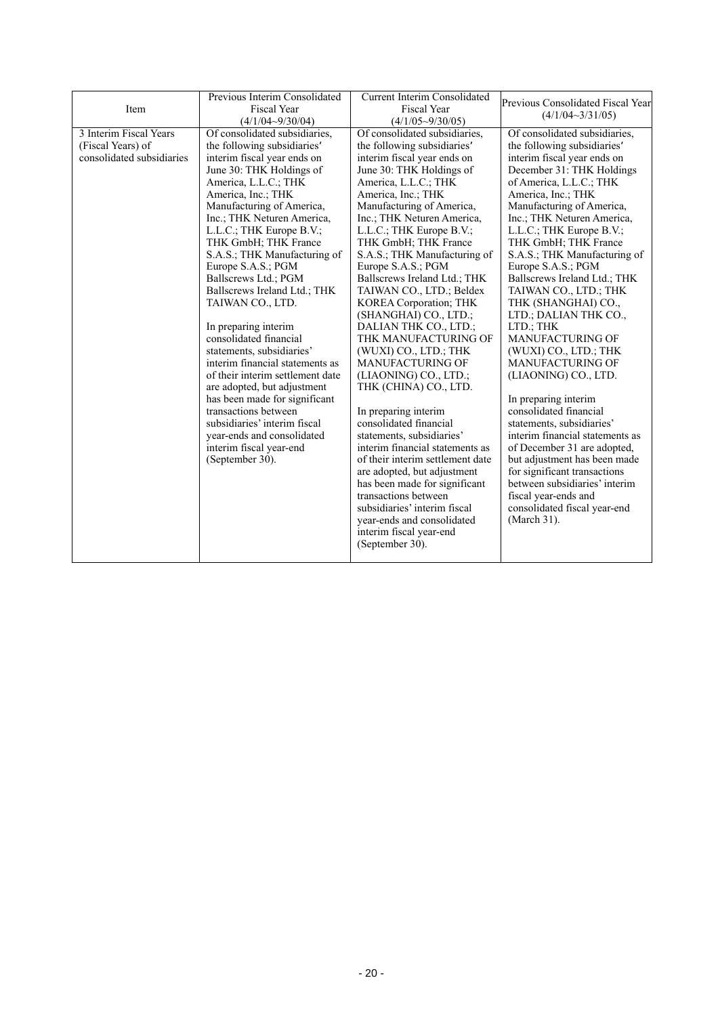|                           | Previous Interim Consolidated    | <b>Current Interim Consolidated</b> | Previous Consolidated Fiscal Year |
|---------------------------|----------------------------------|-------------------------------------|-----------------------------------|
| Item                      | <b>Fiscal Year</b>               | <b>Fiscal Year</b>                  | $(4/1/04 \sim 3/31/05)$           |
|                           | $(4/1/04 - 9/30/04)$             | $(4/1/05\sim9/30/05)$               |                                   |
| 3 Interim Fiscal Years    | Of consolidated subsidiaries,    | Of consolidated subsidiaries,       | Of consolidated subsidiaries,     |
| (Fiscal Years) of         | the following subsidiaries       | the following subsidiaries          | the following subsidiaries        |
| consolidated subsidiaries | interim fiscal year ends on      | interim fiscal year ends on         | interim fiscal year ends on       |
|                           | June 30: THK Holdings of         | June 30: THK Holdings of            | December 31: THK Holdings         |
|                           | America, L.L.C.; THK             | America, L.L.C.; THK                | of America, L.L.C.; THK           |
|                           | America, Inc.; THK               | America, Inc.; THK                  | America, Inc.; THK                |
|                           | Manufacturing of America,        | Manufacturing of America,           | Manufacturing of America,         |
|                           | Inc.; THK Neturen America,       | Inc.; THK Neturen America,          | Inc.; THK Neturen America,        |
|                           | L.L.C.; THK Europe B.V.;         | L.L.C.; THK Europe B.V.;            | L.L.C.; THK Europe B.V.;          |
|                           | THK GmbH; THK France             | THK GmbH; THK France                | THK GmbH; THK France              |
|                           | S.A.S.; THK Manufacturing of     | S.A.S.; THK Manufacturing of        | S.A.S.; THK Manufacturing of      |
|                           | Europe S.A.S.; PGM               | Europe S.A.S.; PGM                  | Europe S.A.S.; PGM                |
|                           | Ballscrews Ltd.; PGM             | Ballscrews Ireland Ltd.; THK        | Ballscrews Ireland Ltd.; THK      |
|                           | Ballscrews Ireland Ltd.; THK     | TAIWAN CO., LTD.; Beldex            | TAIWAN CO., LTD.; THK             |
|                           | TAIWAN CO., LTD.                 | KOREA Corporation; THK              | THK (SHANGHAI) CO.,               |
|                           |                                  | (SHANGHAI) CO., LTD.;               | LTD.; DALIAN THK CO.,             |
|                           | In preparing interim             | DALIAN THK CO., LTD.;               | LTD.; THK                         |
|                           | consolidated financial           | THK MANUFACTURING OF                | MANUFACTURING OF                  |
|                           | statements, subsidiaries'        | (WUXI) CO., LTD.; THK               | (WUXI) CO., LTD.; THK             |
|                           | interim financial statements as  | MANUFACTURING OF                    | MANUFACTURING OF                  |
|                           | of their interim settlement date | (LIAONING) CO., LTD.;               | (LIAONING) CO., LTD.              |
|                           | are adopted, but adjustment      | THK (CHINA) CO., LTD.               |                                   |
|                           | has been made for significant    |                                     | In preparing interim              |
|                           | transactions between             | In preparing interim                | consolidated financial            |
|                           | subsidiaries' interim fiscal     | consolidated financial              | statements, subsidiaries'         |
|                           | year-ends and consolidated       | statements, subsidiaries'           | interim financial statements as   |
|                           | interim fiscal year-end          | interim financial statements as     | of December 31 are adopted,       |
|                           | (September 30).                  | of their interim settlement date    | but adjustment has been made      |
|                           |                                  | are adopted, but adjustment         | for significant transactions      |
|                           |                                  | has been made for significant       | between subsidiaries' interim     |
|                           |                                  | transactions between                | fiscal year-ends and              |
|                           |                                  | subsidiaries' interim fiscal        | consolidated fiscal year-end      |
|                           |                                  | year-ends and consolidated          | (March 31).                       |
|                           |                                  | interim fiscal year-end             |                                   |
|                           |                                  | (September 30).                     |                                   |
|                           |                                  |                                     |                                   |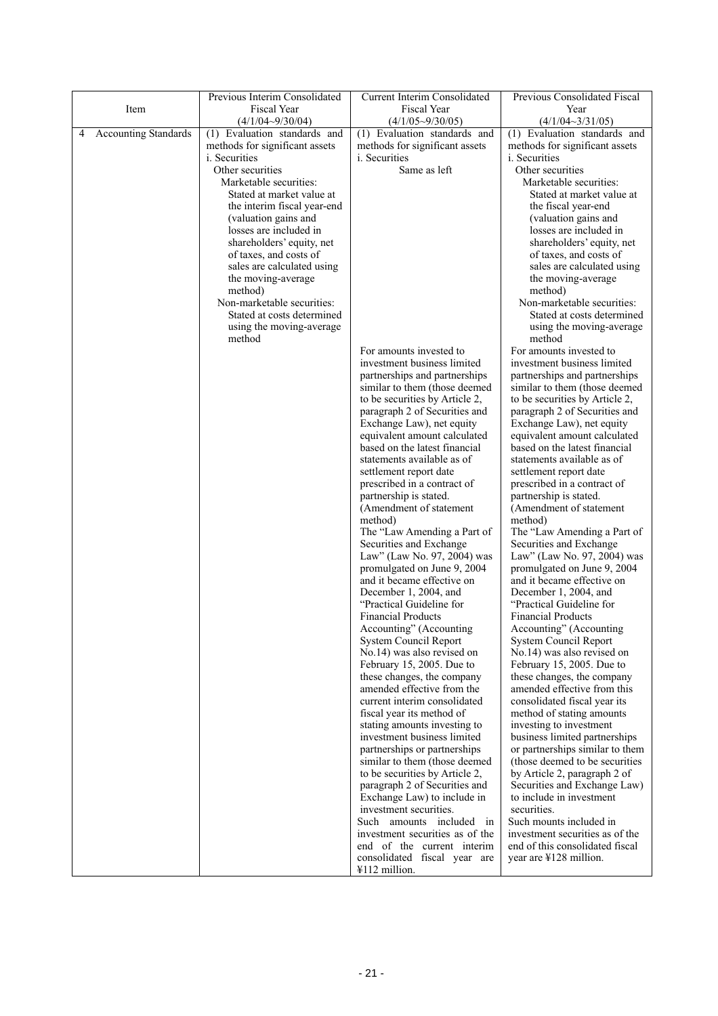|                                  | Previous Interim Consolidated             | <b>Current Interim Consolidated</b>                            | Previous Consolidated Fiscal                                   |
|----------------------------------|-------------------------------------------|----------------------------------------------------------------|----------------------------------------------------------------|
| Item                             | Fiscal Year                               | Fiscal Year                                                    | Year                                                           |
|                                  | $(4/1/04 - 9/30/04)$                      | $(4/1/05 \sim 9/30/05)$                                        | $(4/1/04 \sim 3/31/05)$                                        |
| <b>Accounting Standards</b><br>4 | (1) Evaluation standards and              | (1) Evaluation standards and                                   | (1) Evaluation standards and                                   |
|                                  | methods for significant assets            | methods for significant assets                                 | methods for significant assets                                 |
|                                  | <i>i</i> . Securities<br>Other securities | <i>i</i> . Securities<br>Same as left                          | <i>i.</i> Securities<br>Other securities                       |
|                                  | Marketable securities:                    |                                                                | Marketable securities:                                         |
|                                  | Stated at market value at                 |                                                                | Stated at market value at                                      |
|                                  | the interim fiscal year-end               |                                                                | the fiscal year-end                                            |
|                                  | (valuation gains and                      |                                                                | (valuation gains and                                           |
|                                  | losses are included in                    |                                                                | losses are included in                                         |
|                                  | shareholders' equity, net                 |                                                                | shareholders' equity, net                                      |
|                                  | of taxes, and costs of                    |                                                                | of taxes, and costs of                                         |
|                                  | sales are calculated using                |                                                                | sales are calculated using                                     |
|                                  | the moving-average                        |                                                                | the moving-average                                             |
|                                  | method)                                   |                                                                | method)                                                        |
|                                  | Non-marketable securities:                |                                                                | Non-marketable securities:                                     |
|                                  | Stated at costs determined                |                                                                | Stated at costs determined                                     |
|                                  | using the moving-average                  |                                                                | using the moving-average                                       |
|                                  | method                                    |                                                                | method                                                         |
|                                  |                                           | For amounts invested to                                        | For amounts invested to                                        |
|                                  |                                           | investment business limited                                    | investment business limited                                    |
|                                  |                                           | partnerships and partnerships<br>similar to them (those deemed | partnerships and partnerships<br>similar to them (those deemed |
|                                  |                                           | to be securities by Article 2,                                 | to be securities by Article 2,                                 |
|                                  |                                           | paragraph 2 of Securities and                                  | paragraph 2 of Securities and                                  |
|                                  |                                           | Exchange Law), net equity                                      | Exchange Law), net equity                                      |
|                                  |                                           | equivalent amount calculated                                   | equivalent amount calculated                                   |
|                                  |                                           | based on the latest financial                                  | based on the latest financial                                  |
|                                  |                                           | statements available as of                                     | statements available as of                                     |
|                                  |                                           | settlement report date                                         | settlement report date                                         |
|                                  |                                           | prescribed in a contract of                                    | prescribed in a contract of                                    |
|                                  |                                           | partnership is stated.                                         | partnership is stated.                                         |
|                                  |                                           | (Amendment of statement                                        | (Amendment of statement                                        |
|                                  |                                           | method)                                                        | method)                                                        |
|                                  |                                           | The "Law Amending a Part of                                    | The "Law Amending a Part of                                    |
|                                  |                                           | Securities and Exchange                                        | Securities and Exchange                                        |
|                                  |                                           | Law" (Law No. 97, 2004) was<br>promulgated on June 9, 2004     | Law" (Law No. 97, 2004) was                                    |
|                                  |                                           | and it became effective on                                     | promulgated on June 9, 2004<br>and it became effective on      |
|                                  |                                           | December 1, 2004, and                                          | December 1, 2004, and                                          |
|                                  |                                           | "Practical Guideline for                                       | "Practical Guideline for                                       |
|                                  |                                           | <b>Financial Products</b>                                      | <b>Financial Products</b>                                      |
|                                  |                                           | Accounting" (Accounting                                        | Accounting" (Accounting                                        |
|                                  |                                           | System Council Report                                          | System Council Report                                          |
|                                  |                                           | No.14) was also revised on                                     | No.14) was also revised on                                     |
|                                  |                                           | February 15, 2005. Due to                                      | February 15, 2005. Due to                                      |
|                                  |                                           | these changes, the company                                     | these changes, the company                                     |
|                                  |                                           | amended effective from the                                     | amended effective from this                                    |
|                                  |                                           | current interim consolidated                                   | consolidated fiscal year its                                   |
|                                  |                                           | fiscal year its method of<br>stating amounts investing to      | method of stating amounts                                      |
|                                  |                                           | investment business limited                                    | investing to investment<br>business limited partnerships       |
|                                  |                                           | partnerships or partnerships                                   | or partnerships similar to them                                |
|                                  |                                           | similar to them (those deemed                                  | (those deemed to be securities)                                |
|                                  |                                           | to be securities by Article 2,                                 | by Article 2, paragraph 2 of                                   |
|                                  |                                           | paragraph 2 of Securities and                                  | Securities and Exchange Law)                                   |
|                                  |                                           | Exchange Law) to include in                                    | to include in investment                                       |
|                                  |                                           | investment securities.                                         | securities.                                                    |
|                                  |                                           | Such amounts included in                                       | Such mounts included in                                        |
|                                  |                                           | investment securities as of the                                | investment securities as of the                                |
|                                  |                                           | end of the current interim                                     | end of this consolidated fiscal                                |
|                                  |                                           | consolidated fiscal year are                                   | year are ¥128 million.                                         |
|                                  |                                           | ¥112 million.                                                  |                                                                |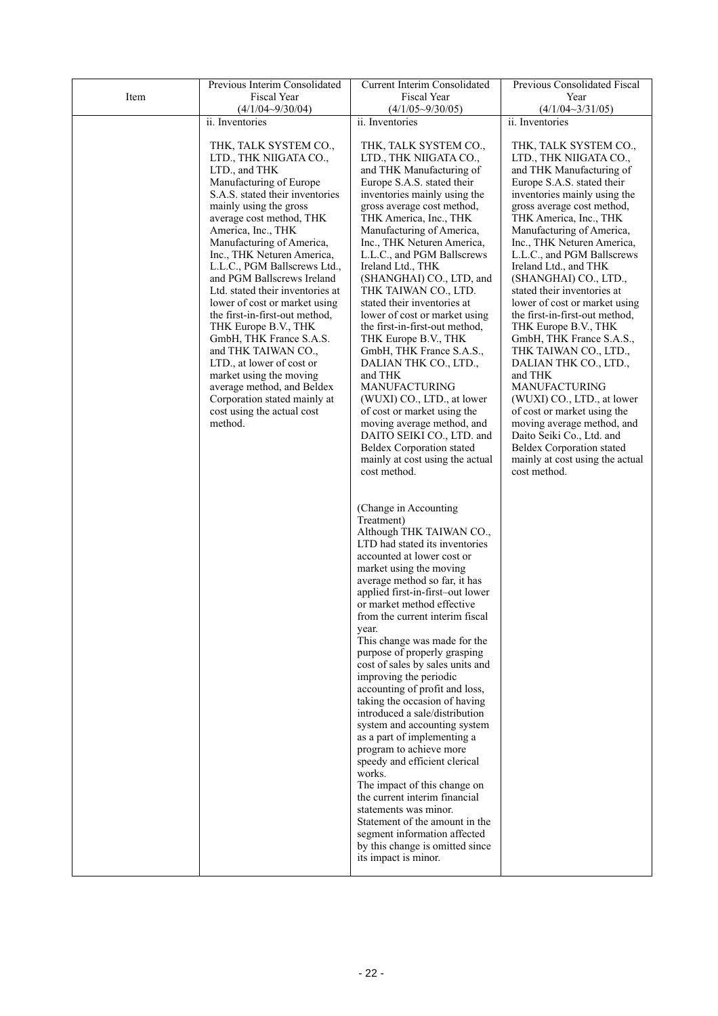|      | Previous Interim Consolidated                           | Current Interim Consolidated                                      | Previous Consolidated Fiscal                              |
|------|---------------------------------------------------------|-------------------------------------------------------------------|-----------------------------------------------------------|
| Item | Fiscal Year                                             | Fiscal Year                                                       | Year                                                      |
|      | $(4/1/04 - 9/30/04)$                                    | $(4/1/05 \sim 9/30/05)$                                           | $(4/1/04 \sim 3/31/05)$                                   |
|      | ii. Inventories                                         | ii. Inventories                                                   | ii. Inventories                                           |
|      | THK, TALK SYSTEM CO.,                                   | THK, TALK SYSTEM CO.,                                             | THK, TALK SYSTEM CO.,                                     |
|      | LTD., THK NIIGATA CO.,                                  | LTD., THK NIIGATA CO.,                                            | LTD., THK NIIGATA CO.,                                    |
|      | LTD., and THK                                           | and THK Manufacturing of                                          | and THK Manufacturing of                                  |
|      | Manufacturing of Europe                                 | Europe S.A.S. stated their                                        | Europe S.A.S. stated their                                |
|      | S.A.S. stated their inventories                         | inventories mainly using the                                      | inventories mainly using the                              |
|      | mainly using the gross                                  | gross average cost method,                                        | gross average cost method,                                |
|      | average cost method, THK                                | THK America, Inc., THK                                            | THK America, Inc., THK                                    |
|      | America, Inc., THK                                      | Manufacturing of America,                                         | Manufacturing of America,                                 |
|      | Manufacturing of America,<br>Inc., THK Neturen America, | Inc., THK Neturen America,<br>L.L.C., and PGM Ballscrews          | Inc., THK Neturen America,<br>L.L.C., and PGM Ballscrews  |
|      | L.L.C., PGM Ballscrews Ltd.,                            | Ireland Ltd., THK                                                 | Ireland Ltd., and THK                                     |
|      | and PGM Ballscrews Ireland                              | (SHANGHAI) CO., LTD, and                                          | (SHANGHAI) CO., LTD.,                                     |
|      | Ltd. stated their inventories at                        | THK TAIWAN CO., LTD.                                              | stated their inventories at                               |
|      | lower of cost or market using                           | stated their inventories at                                       | lower of cost or market using                             |
|      | the first-in-first-out method,                          | lower of cost or market using                                     | the first-in-first-out method,                            |
|      | THK Europe B.V., THK                                    | the first-in-first-out method,                                    | THK Europe B.V., THK                                      |
|      | GmbH, THK France S.A.S.<br>and THK TAIWAN CO.,          | THK Europe B.V., THK<br>GmbH, THK France S.A.S.,                  | GmbH, THK France S.A.S.,<br>THK TAIWAN CO., LTD.,         |
|      | LTD., at lower of cost or                               | DALIAN THK CO., LTD.,                                             | DALIAN THK CO., LTD.,                                     |
|      | market using the moving                                 | and THK                                                           | and THK                                                   |
|      | average method, and Beldex                              | <b>MANUFACTURING</b>                                              | MANUFACTURING                                             |
|      | Corporation stated mainly at                            | (WUXI) CO., LTD., at lower                                        | (WUXI) CO., LTD., at lower                                |
|      | cost using the actual cost<br>method.                   | of cost or market using the<br>moving average method, and         | of cost or market using the<br>moving average method, and |
|      |                                                         | DAITO SEIKI CO., LTD. and                                         | Daito Seiki Co., Ltd. and                                 |
|      |                                                         | Beldex Corporation stated                                         | <b>Beldex Corporation stated</b>                          |
|      |                                                         | mainly at cost using the actual                                   | mainly at cost using the actual                           |
|      |                                                         | cost method.                                                      | cost method.                                              |
|      |                                                         |                                                                   |                                                           |
|      |                                                         | (Change in Accounting                                             |                                                           |
|      |                                                         | Treatment)                                                        |                                                           |
|      |                                                         | Although THK TAIWAN CO.,                                          |                                                           |
|      |                                                         | LTD had stated its inventories                                    |                                                           |
|      |                                                         | accounted at lower cost or                                        |                                                           |
|      |                                                         | market using the moving                                           |                                                           |
|      |                                                         | average method so far, it has<br>applied first-in-first-out lower |                                                           |
|      |                                                         | or market method effective                                        |                                                           |
|      |                                                         | from the current interim fiscal                                   |                                                           |
|      |                                                         | year.                                                             |                                                           |
|      |                                                         | This change was made for the                                      |                                                           |
|      |                                                         | purpose of properly grasping<br>cost of sales by sales units and  |                                                           |
|      |                                                         | improving the periodic                                            |                                                           |
|      |                                                         | accounting of profit and loss,                                    |                                                           |
|      |                                                         | taking the occasion of having                                     |                                                           |
|      |                                                         | introduced a sale/distribution                                    |                                                           |
|      |                                                         | system and accounting system                                      |                                                           |
|      |                                                         | as a part of implementing a<br>program to achieve more            |                                                           |
|      |                                                         | speedy and efficient clerical                                     |                                                           |
|      |                                                         | works.                                                            |                                                           |
|      |                                                         | The impact of this change on                                      |                                                           |
|      |                                                         | the current interim financial                                     |                                                           |
|      |                                                         | statements was minor.                                             |                                                           |
|      |                                                         | Statement of the amount in the<br>segment information affected    |                                                           |
|      |                                                         | by this change is omitted since                                   |                                                           |
|      |                                                         | its impact is minor.                                              |                                                           |
|      |                                                         |                                                                   |                                                           |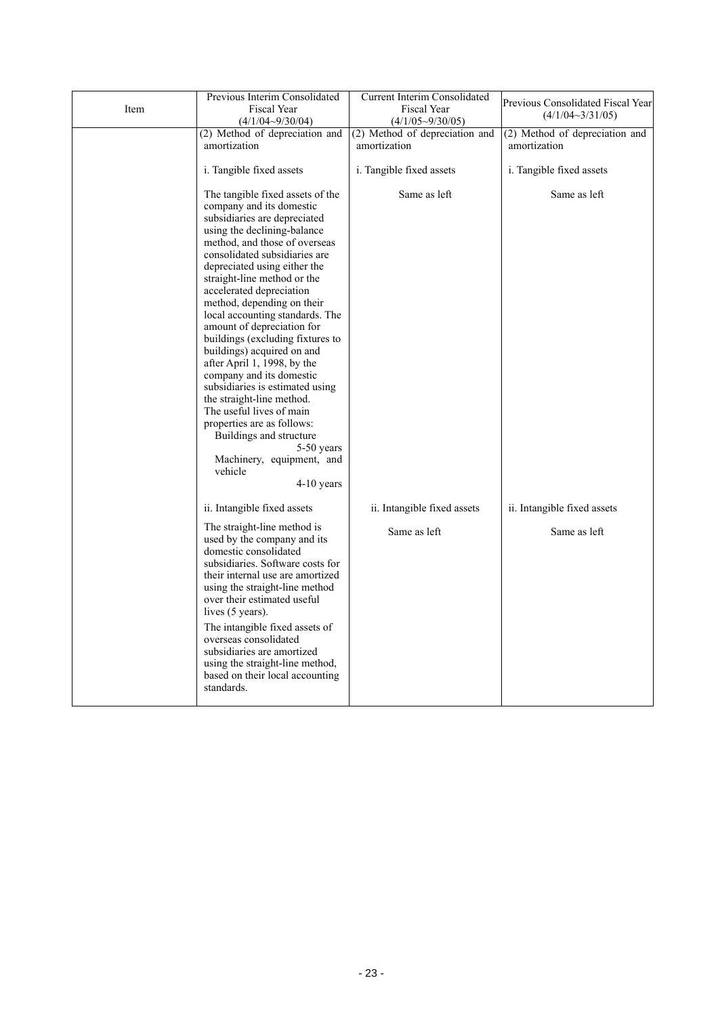|      | Previous Interim Consolidated                                                                                                                                                                                                                                                                                                                                                                                                                                                                                                                                                                                                                                                                                                                   | <b>Current Interim Consolidated</b>           | Previous Consolidated Fiscal Year |
|------|-------------------------------------------------------------------------------------------------------------------------------------------------------------------------------------------------------------------------------------------------------------------------------------------------------------------------------------------------------------------------------------------------------------------------------------------------------------------------------------------------------------------------------------------------------------------------------------------------------------------------------------------------------------------------------------------------------------------------------------------------|-----------------------------------------------|-----------------------------------|
| Item | Fiscal Year<br>$(4/1/04 - 9/30/04)$                                                                                                                                                                                                                                                                                                                                                                                                                                                                                                                                                                                                                                                                                                             | <b>Fiscal Year</b><br>$(4/1/05 \sim 9/30/05)$ | $(4/1/04 \sim 3/31/05)$           |
|      | (2) Method of depreciation and                                                                                                                                                                                                                                                                                                                                                                                                                                                                                                                                                                                                                                                                                                                  | (2) Method of depreciation and                | (2) Method of depreciation and    |
|      | amortization                                                                                                                                                                                                                                                                                                                                                                                                                                                                                                                                                                                                                                                                                                                                    | amortization                                  | amortization                      |
|      | i. Tangible fixed assets                                                                                                                                                                                                                                                                                                                                                                                                                                                                                                                                                                                                                                                                                                                        | i. Tangible fixed assets                      | i. Tangible fixed assets          |
|      | The tangible fixed assets of the<br>company and its domestic<br>subsidiaries are depreciated<br>using the declining-balance<br>method, and those of overseas<br>consolidated subsidiaries are<br>depreciated using either the<br>straight-line method or the<br>accelerated depreciation<br>method, depending on their<br>local accounting standards. The<br>amount of depreciation for<br>buildings (excluding fixtures to<br>buildings) acquired on and<br>after April 1, 1998, by the<br>company and its domestic<br>subsidiaries is estimated using<br>the straight-line method.<br>The useful lives of main<br>properties are as follows:<br>Buildings and structure<br>5-50 years<br>Machinery, equipment, and<br>vehicle<br>$4-10$ years | Same as left                                  | Same as left                      |
|      | ii. Intangible fixed assets                                                                                                                                                                                                                                                                                                                                                                                                                                                                                                                                                                                                                                                                                                                     | ii. Intangible fixed assets                   | ii. Intangible fixed assets       |
|      | The straight-line method is<br>used by the company and its<br>domestic consolidated<br>subsidiaries. Software costs for<br>their internal use are amortized<br>using the straight-line method<br>over their estimated useful<br>lives (5 years).<br>The intangible fixed assets of<br>overseas consolidated<br>subsidiaries are amortized<br>using the straight-line method,<br>based on their local accounting<br>standards.                                                                                                                                                                                                                                                                                                                   | Same as left                                  | Same as left                      |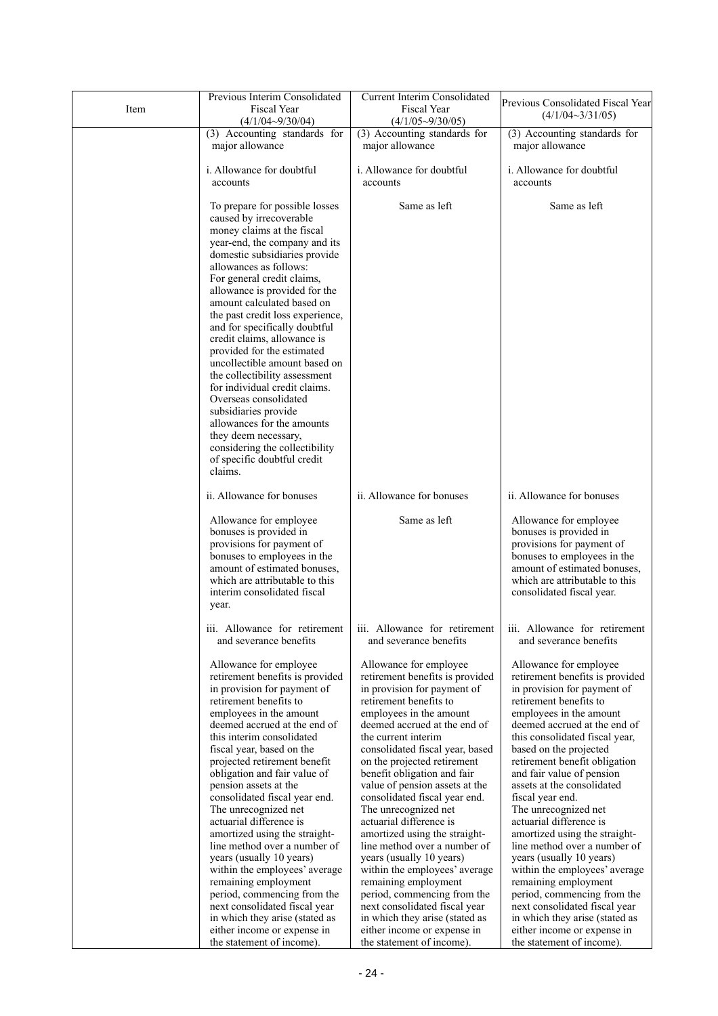|      | Previous Interim Consolidated                                  | <b>Current Interim Consolidated</b> | Previous Consolidated Fiscal Year                                                         |
|------|----------------------------------------------------------------|-------------------------------------|-------------------------------------------------------------------------------------------|
| Item | <b>Fiscal Year</b>                                             | <b>Fiscal Year</b>                  | $(4/1/04 \sim 3/31/05)$                                                                   |
|      | $(4/1/04 - 9/30/04)$                                           | $(4/1/05\sim9/30/05)$               |                                                                                           |
|      | (3) Accounting standards for                                   | (3) Accounting standards for        | (3) Accounting standards for                                                              |
|      | major allowance                                                | major allowance                     | major allowance                                                                           |
|      |                                                                |                                     |                                                                                           |
|      | i. Allowance for doubtful                                      | i. Allowance for doubtful           | i. Allowance for doubtful                                                                 |
|      | accounts                                                       | accounts                            | accounts                                                                                  |
|      |                                                                |                                     |                                                                                           |
|      |                                                                | Same as left                        |                                                                                           |
|      | To prepare for possible losses                                 |                                     | Same as left                                                                              |
|      | caused by irrecoverable                                        |                                     |                                                                                           |
|      | money claims at the fiscal                                     |                                     |                                                                                           |
|      | year-end, the company and its                                  |                                     |                                                                                           |
|      | domestic subsidiaries provide                                  |                                     |                                                                                           |
|      | allowances as follows:                                         |                                     |                                                                                           |
|      | For general credit claims,                                     |                                     |                                                                                           |
|      | allowance is provided for the                                  |                                     |                                                                                           |
|      | amount calculated based on                                     |                                     |                                                                                           |
|      | the past credit loss experience,                               |                                     |                                                                                           |
|      | and for specifically doubtful                                  |                                     |                                                                                           |
|      | credit claims, allowance is                                    |                                     |                                                                                           |
|      | provided for the estimated                                     |                                     |                                                                                           |
|      | uncollectible amount based on                                  |                                     |                                                                                           |
|      | the collectibility assessment                                  |                                     |                                                                                           |
|      | for individual credit claims.                                  |                                     |                                                                                           |
|      | Overseas consolidated                                          |                                     |                                                                                           |
|      | subsidiaries provide                                           |                                     |                                                                                           |
|      | allowances for the amounts                                     |                                     |                                                                                           |
|      | they deem necessary,                                           |                                     |                                                                                           |
|      | considering the collectibility                                 |                                     |                                                                                           |
|      | of specific doubtful credit                                    |                                     |                                                                                           |
|      | claims.                                                        |                                     |                                                                                           |
|      |                                                                |                                     |                                                                                           |
|      | ii. Allowance for bonuses                                      | ii. Allowance for bonuses           | ii. Allowance for bonuses                                                                 |
|      |                                                                |                                     |                                                                                           |
|      | Allowance for employee                                         | Same as left                        | Allowance for employee                                                                    |
|      | bonuses is provided in                                         |                                     | bonuses is provided in                                                                    |
|      | provisions for payment of                                      |                                     | provisions for payment of                                                                 |
|      | bonuses to employees in the                                    |                                     | bonuses to employees in the                                                               |
|      |                                                                |                                     | amount of estimated bonuses,                                                              |
|      | amount of estimated bonuses,<br>which are attributable to this |                                     | which are attributable to this                                                            |
|      |                                                                |                                     |                                                                                           |
|      | interim consolidated fiscal                                    |                                     | consolidated fiscal year.                                                                 |
|      | year.                                                          |                                     |                                                                                           |
|      |                                                                |                                     |                                                                                           |
|      |                                                                |                                     | iii. Allowance for retirement iii. Allowance for retirement iii. Allowance for retirement |
|      | and severance benefits                                         | and severance benefits              | and severance benefits                                                                    |
|      |                                                                |                                     |                                                                                           |
|      | Allowance for employee                                         | Allowance for employee              | Allowance for employee                                                                    |
|      | retirement benefits is provided                                | retirement benefits is provided     | retirement benefits is provided                                                           |
|      | in provision for payment of                                    | in provision for payment of         | in provision for payment of                                                               |
|      | retirement benefits to                                         | retirement benefits to              | retirement benefits to                                                                    |
|      | employees in the amount                                        | employees in the amount             | employees in the amount                                                                   |
|      | deemed accrued at the end of                                   | deemed accrued at the end of        | deemed accrued at the end of                                                              |
|      | this interim consolidated                                      | the current interim                 | this consolidated fiscal year,                                                            |
|      | fiscal year, based on the                                      | consolidated fiscal year, based     | based on the projected                                                                    |
|      | projected retirement benefit                                   | on the projected retirement         | retirement benefit obligation                                                             |
|      | obligation and fair value of                                   | benefit obligation and fair         | and fair value of pension                                                                 |
|      | pension assets at the                                          | value of pension assets at the      | assets at the consolidated                                                                |
|      | consolidated fiscal year end.                                  | consolidated fiscal year end.       | fiscal year end.                                                                          |
|      | The unrecognized net                                           | The unrecognized net                | The unrecognized net                                                                      |
|      | actuarial difference is                                        | actuarial difference is             | actuarial difference is                                                                   |
|      | amortized using the straight-                                  | amortized using the straight-       | amortized using the straight-                                                             |
|      | line method over a number of                                   | line method over a number of        | line method over a number of                                                              |
|      | years (usually 10 years)                                       | years (usually 10 years)            | years (usually 10 years)                                                                  |
|      | within the employees' average                                  | within the employees' average       | within the employees' average                                                             |
|      | remaining employment                                           | remaining employment                | remaining employment                                                                      |
|      | period, commencing from the                                    | period, commencing from the         | period, commencing from the                                                               |
|      | next consolidated fiscal year                                  | next consolidated fiscal year       | next consolidated fiscal year                                                             |
|      | in which they arise (stated as                                 | in which they arise (stated as      | in which they arise (stated as                                                            |
|      | either income or expense in                                    | either income or expense in         | either income or expense in                                                               |
|      | the statement of income).                                      | the statement of income).           | the statement of income).                                                                 |
|      |                                                                |                                     |                                                                                           |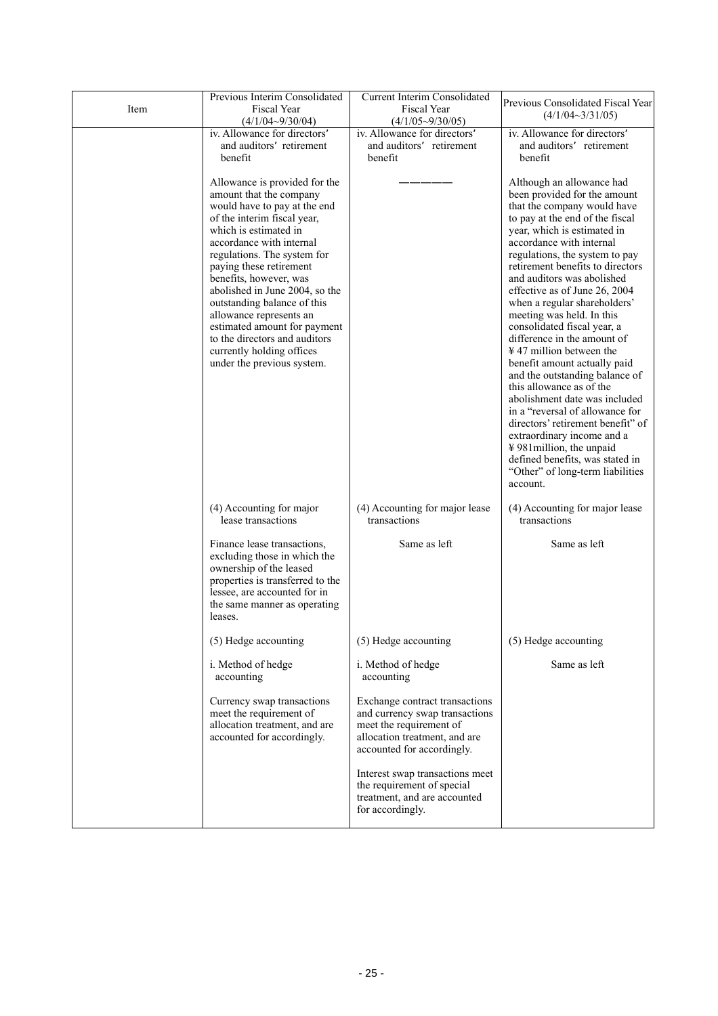| Item | Previous Interim Consolidated<br>Fiscal Year<br>$(4/1/04 - 9/30/04)$                                                                                                                                                                                                                                                                                                                                                                                                                     | <b>Current Interim Consolidated</b><br>Fiscal Year<br>$(4/1/05 \sim 9/30/05)$                                                                              | Previous Consolidated Fiscal Year<br>$(4/1/04 \sim 3/31/05)$                                                                                                                                                                                                                                                                                                                                                                                                                                                                                                                                                                                                                                                                                                                                                                                       |
|------|------------------------------------------------------------------------------------------------------------------------------------------------------------------------------------------------------------------------------------------------------------------------------------------------------------------------------------------------------------------------------------------------------------------------------------------------------------------------------------------|------------------------------------------------------------------------------------------------------------------------------------------------------------|----------------------------------------------------------------------------------------------------------------------------------------------------------------------------------------------------------------------------------------------------------------------------------------------------------------------------------------------------------------------------------------------------------------------------------------------------------------------------------------------------------------------------------------------------------------------------------------------------------------------------------------------------------------------------------------------------------------------------------------------------------------------------------------------------------------------------------------------------|
|      | iv. Allowance for directors<br>and auditors retirement<br>benefit                                                                                                                                                                                                                                                                                                                                                                                                                        | iv. Allowance for directors<br>and auditors retirement<br>benefit                                                                                          | iv. Allowance for directors<br>and auditors retirement<br>benefit                                                                                                                                                                                                                                                                                                                                                                                                                                                                                                                                                                                                                                                                                                                                                                                  |
|      | Allowance is provided for the<br>amount that the company<br>would have to pay at the end<br>of the interim fiscal year,<br>which is estimated in<br>accordance with internal<br>regulations. The system for<br>paying these retirement<br>benefits, however, was<br>abolished in June 2004, so the<br>outstanding balance of this<br>allowance represents an<br>estimated amount for payment<br>to the directors and auditors<br>currently holding offices<br>under the previous system. |                                                                                                                                                            | Although an allowance had<br>been provided for the amount<br>that the company would have<br>to pay at the end of the fiscal<br>year, which is estimated in<br>accordance with internal<br>regulations, the system to pay<br>retirement benefits to directors<br>and auditors was abolished<br>effective as of June 26, 2004<br>when a regular shareholders'<br>meeting was held. In this<br>consolidated fiscal year, a<br>difference in the amount of<br>$\frac{1}{2}$ 47 million between the<br>benefit amount actually paid<br>and the outstanding balance of<br>this allowance as of the<br>abolishment date was included<br>in a "reversal of allowance for<br>directors' retirement benefit" of<br>extraordinary income and a<br>¥981 million, the unpaid<br>defined benefits, was stated in<br>"Other" of long-term liabilities<br>account. |
|      | (4) Accounting for major<br>lease transactions                                                                                                                                                                                                                                                                                                                                                                                                                                           | (4) Accounting for major lease<br>transactions                                                                                                             | (4) Accounting for major lease<br>transactions                                                                                                                                                                                                                                                                                                                                                                                                                                                                                                                                                                                                                                                                                                                                                                                                     |
|      | Finance lease transactions,<br>excluding those in which the<br>ownership of the leased<br>properties is transferred to the<br>lessee, are accounted for in<br>the same manner as operating<br>leases.                                                                                                                                                                                                                                                                                    | Same as left                                                                                                                                               | Same as left                                                                                                                                                                                                                                                                                                                                                                                                                                                                                                                                                                                                                                                                                                                                                                                                                                       |
|      | (5) Hedge accounting                                                                                                                                                                                                                                                                                                                                                                                                                                                                     | (5) Hedge accounting                                                                                                                                       | (5) Hedge accounting                                                                                                                                                                                                                                                                                                                                                                                                                                                                                                                                                                                                                                                                                                                                                                                                                               |
|      | i. Method of hedge<br>accounting                                                                                                                                                                                                                                                                                                                                                                                                                                                         | i. Method of hedge<br>accounting                                                                                                                           | Same as left                                                                                                                                                                                                                                                                                                                                                                                                                                                                                                                                                                                                                                                                                                                                                                                                                                       |
|      | Currency swap transactions<br>meet the requirement of<br>allocation treatment, and are<br>accounted for accordingly.                                                                                                                                                                                                                                                                                                                                                                     | Exchange contract transactions<br>and currency swap transactions<br>meet the requirement of<br>allocation treatment, and are<br>accounted for accordingly. |                                                                                                                                                                                                                                                                                                                                                                                                                                                                                                                                                                                                                                                                                                                                                                                                                                                    |
|      |                                                                                                                                                                                                                                                                                                                                                                                                                                                                                          | Interest swap transactions meet<br>the requirement of special<br>treatment, and are accounted<br>for accordingly.                                          |                                                                                                                                                                                                                                                                                                                                                                                                                                                                                                                                                                                                                                                                                                                                                                                                                                                    |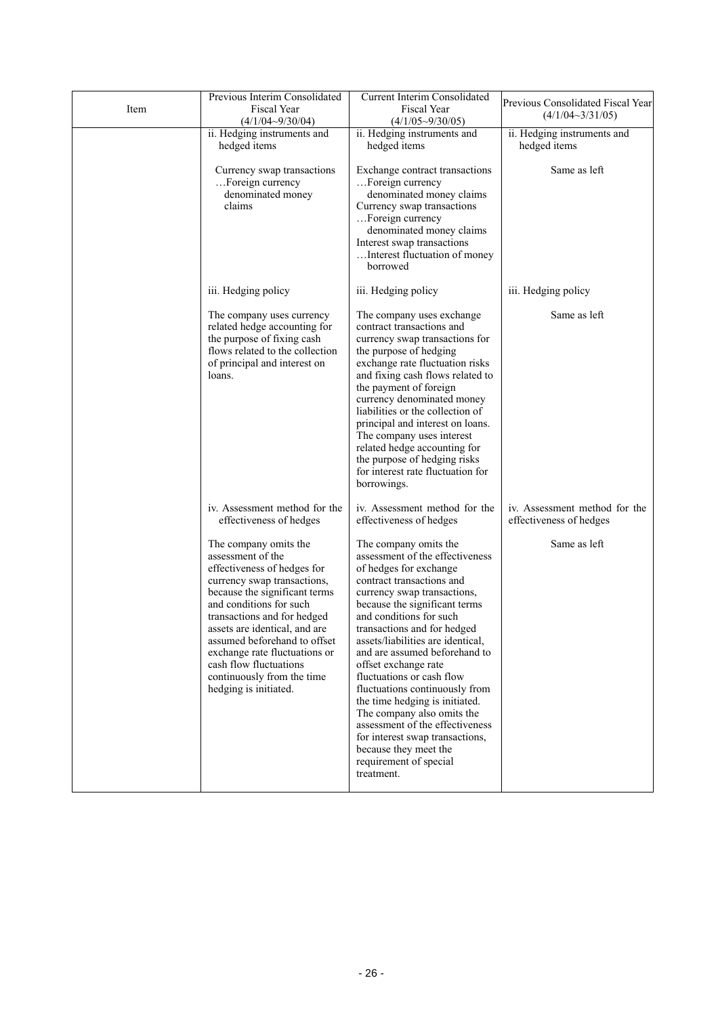| Item | Previous Interim Consolidated<br>Fiscal Year<br>$(4/1/04 - 9/30/04)$                                                                                                                                                                                                                                                                                                                   | Current Interim Consolidated<br>Fiscal Year<br>$(4/1/05 \sim 9/30/05)$                                                                                                                                                                                                                                                                                                                                                                                                                                                                                                                                        | Previous Consolidated Fiscal Year<br>$(4/1/04 \sim 3/31/05)$ |  |
|------|----------------------------------------------------------------------------------------------------------------------------------------------------------------------------------------------------------------------------------------------------------------------------------------------------------------------------------------------------------------------------------------|---------------------------------------------------------------------------------------------------------------------------------------------------------------------------------------------------------------------------------------------------------------------------------------------------------------------------------------------------------------------------------------------------------------------------------------------------------------------------------------------------------------------------------------------------------------------------------------------------------------|--------------------------------------------------------------|--|
|      | ii. Hedging instruments and<br>hedged items                                                                                                                                                                                                                                                                                                                                            | ii. Hedging instruments and<br>hedged items                                                                                                                                                                                                                                                                                                                                                                                                                                                                                                                                                                   | ii. Hedging instruments and<br>hedged items                  |  |
|      | Currency swap transactions<br>Foreign currency<br>denominated money<br>claims                                                                                                                                                                                                                                                                                                          | Exchange contract transactions<br>Foreign currency<br>denominated money claims<br>Currency swap transactions<br>Foreign currency<br>denominated money claims<br>Interest swap transactions<br>Interest fluctuation of money<br>borrowed                                                                                                                                                                                                                                                                                                                                                                       | Same as left                                                 |  |
|      | iii. Hedging policy                                                                                                                                                                                                                                                                                                                                                                    | iii. Hedging policy                                                                                                                                                                                                                                                                                                                                                                                                                                                                                                                                                                                           | iii. Hedging policy                                          |  |
|      | The company uses currency<br>related hedge accounting for<br>the purpose of fixing cash<br>flows related to the collection<br>of principal and interest on<br>loans.                                                                                                                                                                                                                   | The company uses exchange<br>contract transactions and<br>currency swap transactions for<br>the purpose of hedging<br>exchange rate fluctuation risks<br>and fixing cash flows related to<br>the payment of foreign<br>currency denominated money<br>liabilities or the collection of<br>principal and interest on loans.<br>The company uses interest<br>related hedge accounting for<br>the purpose of hedging risks<br>for interest rate fluctuation for<br>borrowings.                                                                                                                                    | Same as left                                                 |  |
|      | iv. Assessment method for the<br>effectiveness of hedges                                                                                                                                                                                                                                                                                                                               | iv. Assessment method for the<br>effectiveness of hedges                                                                                                                                                                                                                                                                                                                                                                                                                                                                                                                                                      | iv. Assessment method for the<br>effectiveness of hedges     |  |
|      | The company omits the<br>assessment of the<br>effectiveness of hedges for<br>currency swap transactions,<br>because the significant terms<br>and conditions for such<br>transactions and for hedged<br>assets are identical, and are<br>assumed beforehand to offset<br>exchange rate fluctuations or<br>cash flow fluctuations<br>continuously from the time<br>hedging is initiated. | The company omits the<br>assessment of the effectiveness<br>of hedges for exchange<br>contract transactions and<br>currency swap transactions,<br>because the significant terms<br>and conditions for such<br>transactions and for hedged<br>assets/liabilities are identical.<br>and are assumed beforehand to<br>offset exchange rate<br>fluctuations or cash flow<br>fluctuations continuously from<br>the time hedging is initiated.<br>The company also omits the<br>assessment of the effectiveness<br>for interest swap transactions,<br>because they meet the<br>requirement of special<br>treatment. | Same as left                                                 |  |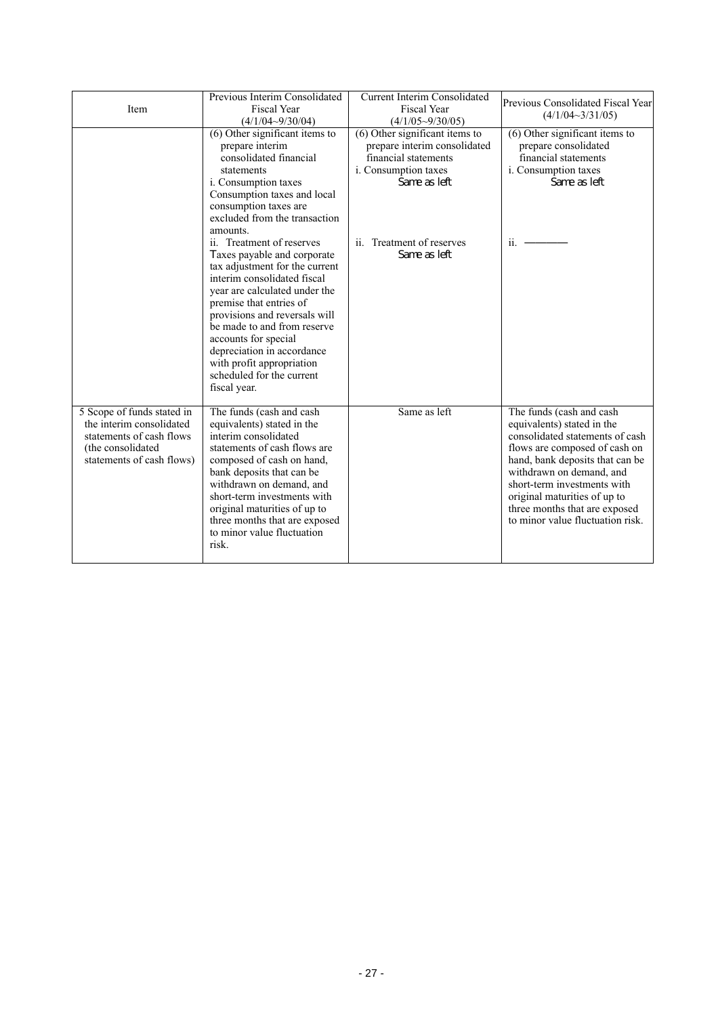| Item                                                                                                                                 | Previous Interim Consolidated<br><b>Fiscal Year</b><br>$(4/1/04 - 9/30/04)$                                                                                                                                                                                                                                                                                                                                                                                                                                                                                                                                             | <b>Current Interim Consolidated</b><br><b>Fiscal Year</b><br>$(4/1/05 \sim 9/30/05)$                                                                                        | Previous Consolidated Fiscal Year<br>$(4/1/04 \sim 3/31/05)$                                                                                                                                                                                                                                                                  |
|--------------------------------------------------------------------------------------------------------------------------------------|-------------------------------------------------------------------------------------------------------------------------------------------------------------------------------------------------------------------------------------------------------------------------------------------------------------------------------------------------------------------------------------------------------------------------------------------------------------------------------------------------------------------------------------------------------------------------------------------------------------------------|-----------------------------------------------------------------------------------------------------------------------------------------------------------------------------|-------------------------------------------------------------------------------------------------------------------------------------------------------------------------------------------------------------------------------------------------------------------------------------------------------------------------------|
|                                                                                                                                      | (6) Other significant items to<br>prepare interim<br>consolidated financial<br>statements<br><i>i</i> . Consumption taxes<br>Consumption taxes and local<br>consumption taxes are<br>excluded from the transaction<br>amounts.<br>ii. Treatment of reserves<br>Taxes payable and corporate<br>tax adjustment for the current<br>interim consolidated fiscal<br>year are calculated under the<br>premise that entries of<br>provisions and reversals will<br>be made to and from reserve<br>accounts for special<br>depreciation in accordance<br>with profit appropriation<br>scheduled for the current<br>fiscal year. | (6) Other significant items to<br>prepare interim consolidated<br>financial statements<br>i. Consumption taxes<br>Same as left<br>ii. Treatment of reserves<br>Same as left | (6) Other significant items to<br>prepare consolidated<br>financial statements<br>i. Consumption taxes<br>Same as left<br>ii.                                                                                                                                                                                                 |
| 5 Scope of funds stated in<br>the interim consolidated<br>statements of cash flows<br>(the consolidated<br>statements of cash flows) | The funds (cash and cash<br>equivalents) stated in the<br>interim consolidated<br>statements of cash flows are<br>composed of cash on hand,<br>bank deposits that can be<br>withdrawn on demand, and<br>short-term investments with<br>original maturities of up to<br>three months that are exposed<br>to minor value fluctuation<br>risk.                                                                                                                                                                                                                                                                             | Same as left                                                                                                                                                                | The funds (cash and cash<br>equivalents) stated in the<br>consolidated statements of cash<br>flows are composed of cash on<br>hand, bank deposits that can be<br>withdrawn on demand, and<br>short-term investments with<br>original maturities of up to<br>three months that are exposed<br>to minor value fluctuation risk. |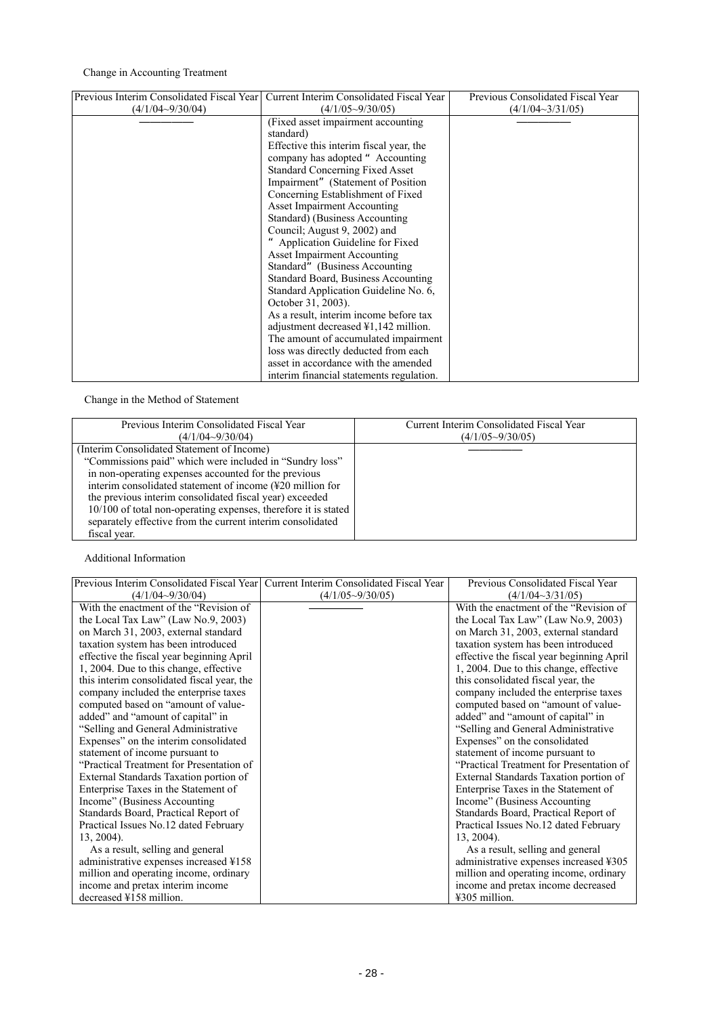### Change in Accounting Treatment

| Previous Interim Consolidated Fiscal Year | Current Interim Consolidated Fiscal Year | Previous Consolidated Fiscal Year |
|-------------------------------------------|------------------------------------------|-----------------------------------|
| $(4/1/04 - 9/30/04)$                      | $(4/1/05 \sim 9/30/05)$                  | $(4/1/04 \sim 3/31/05)$           |
|                                           | (Fixed asset impairment accounting       |                                   |
|                                           | standard)                                |                                   |
|                                           | Effective this interim fiscal year, the  |                                   |
|                                           | company has adopted "Accounting          |                                   |
|                                           | <b>Standard Concerning Fixed Asset</b>   |                                   |
|                                           | Impairment" (Statement of Position       |                                   |
|                                           | Concerning Establishment of Fixed        |                                   |
|                                           | Asset Impairment Accounting              |                                   |
|                                           | Standard) (Business Accounting           |                                   |
|                                           | Council; August 9, 2002) and             |                                   |
|                                           | Application Guideline for Fixed          |                                   |
|                                           | Asset Impairment Accounting              |                                   |
|                                           | Standard" (Business Accounting           |                                   |
|                                           | Standard Board, Business Accounting      |                                   |
|                                           | Standard Application Guideline No. 6,    |                                   |
|                                           | October 31, 2003).                       |                                   |
|                                           | As a result, interim income before tax   |                                   |
|                                           | adjustment decreased ¥1,142 million.     |                                   |
|                                           | The amount of accumulated impairment     |                                   |
|                                           | loss was directly deducted from each     |                                   |
|                                           | asset in accordance with the amended     |                                   |
|                                           | interim financial statements regulation. |                                   |

Change in the Method of Statement

| Previous Interim Consolidated Fiscal Year                                                                                                                                                                                                                                                                                                                                                                                             | Current Interim Consolidated Fiscal Year |
|---------------------------------------------------------------------------------------------------------------------------------------------------------------------------------------------------------------------------------------------------------------------------------------------------------------------------------------------------------------------------------------------------------------------------------------|------------------------------------------|
| $(4/1/04 \sim 9/30/04)$                                                                                                                                                                                                                                                                                                                                                                                                               | $(4/1/05\sim9/30/05)$                    |
| (Interim Consolidated Statement of Income)<br>"Commissions paid" which were included in "Sundry loss"<br>in non-operating expenses accounted for the previous<br>interim consolidated statement of income (¥20 million for<br>the previous interim consolidated fiscal year) exceeded<br>10/100 of total non-operating expenses, therefore it is stated<br>separately effective from the current interim consolidated<br>fiscal year. |                                          |

Additional Information

| Previous Interim Consolidated Fiscal Year   Current Interim Consolidated Fiscal Year |                         | Previous Consolidated Fiscal Year         |
|--------------------------------------------------------------------------------------|-------------------------|-------------------------------------------|
| $(4/1/04 \sim 9/30/04)$                                                              | $(4/1/05 \sim 9/30/05)$ | $(4/1/04 \sim 3/31/05)$                   |
| With the enactment of the "Revision of"                                              |                         | With the enactment of the "Revision of"   |
| the Local Tax Law" (Law No.9, 2003)                                                  |                         | the Local Tax Law" (Law No.9, 2003)       |
| on March 31, 2003, external standard                                                 |                         | on March 31, 2003, external standard      |
| taxation system has been introduced                                                  |                         | taxation system has been introduced       |
| effective the fiscal year beginning April                                            |                         | effective the fiscal year beginning April |
| 1, 2004. Due to this change, effective                                               |                         | 1, 2004. Due to this change, effective    |
| this interim consolidated fiscal year, the                                           |                         | this consolidated fiscal year, the        |
| company included the enterprise taxes                                                |                         | company included the enterprise taxes     |
| computed based on "amount of value-                                                  |                         | computed based on "amount of value-       |
| added" and "amount of capital" in                                                    |                         | added" and "amount of capital" in         |
| "Selling and General Administrative                                                  |                         | "Selling and General Administrative"      |
| Expenses" on the interim consolidated                                                |                         | Expenses" on the consolidated             |
| statement of income pursuant to                                                      |                         | statement of income pursuant to           |
| "Practical Treatment for Presentation of                                             |                         | "Practical Treatment for Presentation of  |
| External Standards Taxation portion of                                               |                         | External Standards Taxation portion of    |
| Enterprise Taxes in the Statement of                                                 |                         | Enterprise Taxes in the Statement of      |
| Income" (Business Accounting)                                                        |                         | Income" (Business Accounting)             |
| Standards Board, Practical Report of                                                 |                         | Standards Board, Practical Report of      |
| Practical Issues No.12 dated February                                                |                         | Practical Issues No.12 dated February     |
| $13, 2004$ ).                                                                        |                         | $13, 2004$ ).                             |
| As a result, selling and general                                                     |                         | As a result, selling and general          |
| administrative expenses increased ¥158                                               |                         | administrative expenses increased ¥305    |
| million and operating income, ordinary                                               |                         | million and operating income, ordinary    |
| income and pretax interim income                                                     |                         | income and pretax income decreased        |
| decreased $\text{\textsterling}158$ million.                                         |                         | ¥305 million.                             |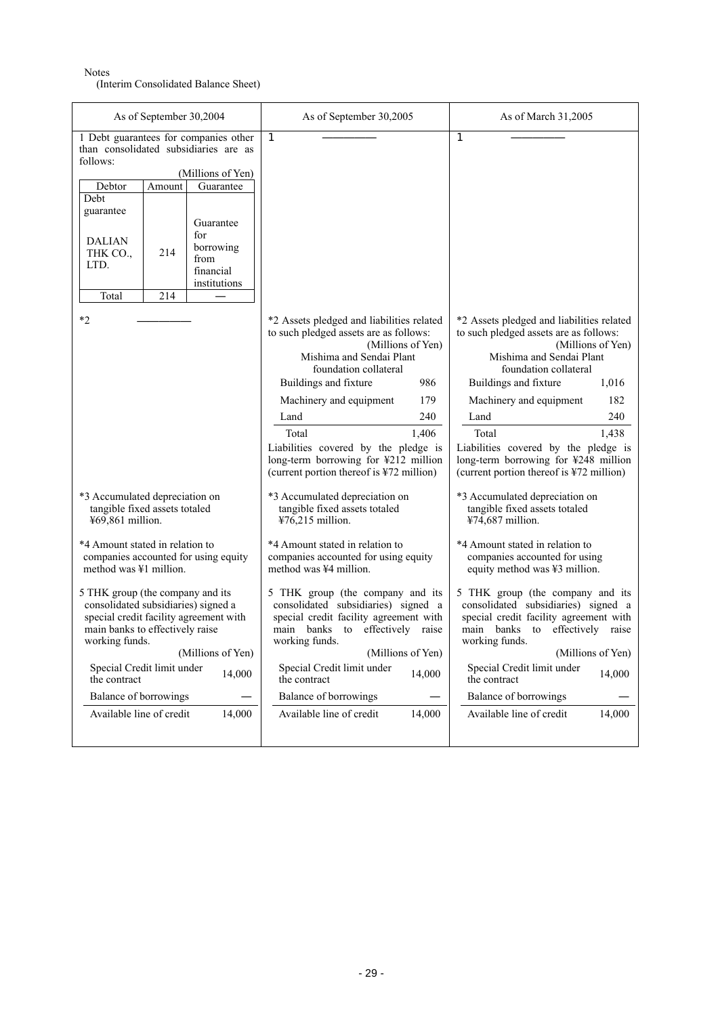### Notes

(Interim Consolidated Balance Sheet)

| As of September 30,2004                                                                                                                                                                                                                                                                                                                             | As of September 30,2005                                                                                                                                                                                                                                                                                                                                                                      | As of March 31,2005                                                                                                                                                                                                                                                                                                                                                                            |
|-----------------------------------------------------------------------------------------------------------------------------------------------------------------------------------------------------------------------------------------------------------------------------------------------------------------------------------------------------|----------------------------------------------------------------------------------------------------------------------------------------------------------------------------------------------------------------------------------------------------------------------------------------------------------------------------------------------------------------------------------------------|------------------------------------------------------------------------------------------------------------------------------------------------------------------------------------------------------------------------------------------------------------------------------------------------------------------------------------------------------------------------------------------------|
| 1 Debt guarantees for companies other<br>than consolidated subsidiaries are as<br>follows:<br>(Millions of Yen)<br>Guarantee<br>Debtor<br>Amount<br>Debt<br>guarantee<br>Guarantee<br>for<br>DALIAN<br>borrowing<br>214<br>THK CO.,<br>from<br>LTD.<br>financial<br>institutions<br>214<br>Total                                                    | $\mathbf{1}$                                                                                                                                                                                                                                                                                                                                                                                 | $\mathbf{1}$                                                                                                                                                                                                                                                                                                                                                                                   |
| $*2$                                                                                                                                                                                                                                                                                                                                                | *2 Assets pledged and liabilities related<br>to such pledged assets are as follows:<br>(Millions of Yen)<br>Mishima and Sendai Plant<br>foundation collateral<br>Buildings and fixture<br>986<br>Machinery and equipment<br>179<br>240<br>Land<br>Total<br>1,406<br>Liabilities covered by the pledge is<br>long-term borrowing for ¥212 million<br>(current portion thereof is ¥72 million) | *2 Assets pledged and liabilities related<br>to such pledged assets are as follows:<br>(Millions of Yen)<br>Mishima and Sendai Plant<br>foundation collateral<br>Buildings and fixture<br>1,016<br>Machinery and equipment<br>182<br>240<br>Land<br>Total<br>1,438<br>Liabilities covered by the pledge is<br>long-term borrowing for ¥248 million<br>(current portion thereof is ¥72 million) |
| *3 Accumulated depreciation on<br>tangible fixed assets totaled<br>¥69,861 million.<br>*4 Amount stated in relation to<br>companies accounted for using equity                                                                                                                                                                                      | *3 Accumulated depreciation on<br>*3 Accumulated depreciation on<br>tangible fixed assets totaled<br>tangible fixed assets totaled<br>¥76,215 million.<br>¥74,687 million.<br>*4 Amount stated in relation to<br>*4 Amount stated in relation to<br>companies accounted for using equity<br>companies accounted for using                                                                    |                                                                                                                                                                                                                                                                                                                                                                                                |
| method was ¥1 million.<br>5 THK group (the company and its<br>consolidated subsidiaries) signed a<br>special credit facility agreement with<br>main banks to effectively raise<br>working funds.<br>(Millions of Yen)<br>Special Credit limit under<br>14,000<br>the contract<br><b>Balance of borrowings</b><br>Available line of credit<br>14,000 | method was ¥4 million.<br>5 THK group (the company and its<br>consolidated subsidiaries) signed a<br>special credit facility agreement with<br>main banks to effectively raise<br>working funds.<br>(Millions of Yen)<br>Special Credit limit under<br>14,000<br>the contract<br><b>Balance of borrowings</b><br>Available line of credit<br>14,000                                          | equity method was ¥3 million.<br>5 THK group (the company and its<br>consolidated subsidiaries) signed a<br>special credit facility agreement with<br>main banks to effectively raise<br>working funds.<br>(Millions of Yen)<br>Special Credit limit under<br>14,000<br>the contract<br><b>Balance of borrowings</b><br>Available line of credit<br>14,000                                     |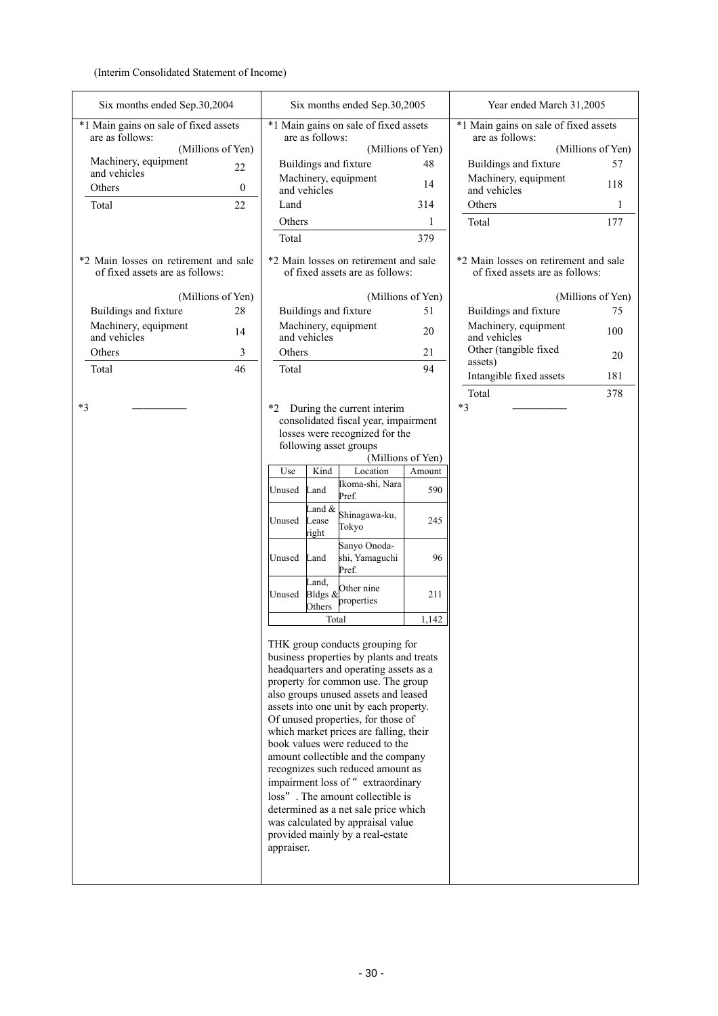(Interim Consolidated Statement of Income)

| Six months ended Sep.30,2004                                             |                   | Six months ended Sep.30,2005                             |                                                                                                                       |                   | Year ended March 31,2005                                                 |                   |
|--------------------------------------------------------------------------|-------------------|----------------------------------------------------------|-----------------------------------------------------------------------------------------------------------------------|-------------------|--------------------------------------------------------------------------|-------------------|
| *1 Main gains on sale of fixed assets<br>are as follows:                 |                   | *1 Main gains on sale of fixed assets<br>are as follows: |                                                                                                                       |                   | *1 Main gains on sale of fixed assets<br>are as follows:                 |                   |
|                                                                          | (Millions of Yen) |                                                          |                                                                                                                       | (Millions of Yen) |                                                                          | (Millions of Yen) |
| Machinery, equipment<br>and vehicles                                     | 22                | Buildings and fixture                                    |                                                                                                                       | 48                | Buildings and fixture                                                    | 57                |
| Others                                                                   | $\mathbf{0}$      | Machinery, equipment<br>and vehicles                     |                                                                                                                       | 14                | Machinery, equipment<br>and vehicles                                     | 118               |
| Total                                                                    | 22                | Land                                                     |                                                                                                                       | 314               | Others                                                                   | 1                 |
|                                                                          |                   | Others                                                   |                                                                                                                       | 1                 | Total                                                                    | 177               |
|                                                                          |                   | Total                                                    |                                                                                                                       | 379               |                                                                          |                   |
| *2 Main losses on retirement and sale<br>of fixed assets are as follows: |                   |                                                          | *2 Main losses on retirement and sale<br>of fixed assets are as follows:                                              |                   | *2 Main losses on retirement and sale<br>of fixed assets are as follows: |                   |
|                                                                          | (Millions of Yen) |                                                          |                                                                                                                       | (Millions of Yen) |                                                                          | (Millions of Yen) |
| Buildings and fixture                                                    | 28                | Buildings and fixture                                    |                                                                                                                       | 51                | Buildings and fixture                                                    | 75                |
| Machinery, equipment<br>and vehicles                                     | 14                | Machinery, equipment<br>and vehicles                     |                                                                                                                       | 20                | Machinery, equipment<br>and vehicles                                     | 100               |
| Others                                                                   | 3                 | Others                                                   |                                                                                                                       | 21                | Other (tangible fixed                                                    | 20                |
| Total                                                                    | 46                | Total                                                    |                                                                                                                       | 94                | assets)                                                                  |                   |
|                                                                          |                   |                                                          |                                                                                                                       |                   | Intangible fixed assets                                                  | 181               |
|                                                                          |                   |                                                          |                                                                                                                       |                   | Total                                                                    | 378               |
| $*3$                                                                     |                   |                                                          | *2 During the current interim<br>consolidated fiscal year, impairment                                                 |                   | $*3$                                                                     |                   |
|                                                                          |                   |                                                          | losses were recognized for the                                                                                        |                   |                                                                          |                   |
|                                                                          |                   | following asset groups                                   |                                                                                                                       |                   |                                                                          |                   |
|                                                                          |                   |                                                          |                                                                                                                       | (Millions of Yen) |                                                                          |                   |
|                                                                          |                   | Kind<br>Use                                              | Location<br>Ikoma-shi, Nara                                                                                           | Amount            |                                                                          |                   |
|                                                                          |                   | Land<br>Unused                                           | Pref.                                                                                                                 | 590               |                                                                          |                   |
|                                                                          |                   | Land &<br>Unused<br>Lease<br>right                       | Shinagawa-ku,<br>Tokyo                                                                                                | 245               |                                                                          |                   |
|                                                                          |                   | Unused<br>Land                                           | Sanyo Onoda-<br>shi, Yamaguchi                                                                                        | 96                |                                                                          |                   |
|                                                                          |                   | Land,<br>Bldgs &<br>Unused                               | Pref.<br>Other nine<br>properties                                                                                     | 211               |                                                                          |                   |
|                                                                          |                   | Others                                                   |                                                                                                                       |                   |                                                                          |                   |
|                                                                          |                   |                                                          | Total                                                                                                                 | 1,142             |                                                                          |                   |
|                                                                          |                   |                                                          | THK group conducts grouping for<br>business properties by plants and treats<br>headquarters and operating assets as a |                   |                                                                          |                   |
|                                                                          |                   |                                                          | property for common use. The group                                                                                    |                   |                                                                          |                   |
|                                                                          |                   |                                                          | also groups unused assets and leased<br>assets into one unit by each property.                                        |                   |                                                                          |                   |
|                                                                          |                   |                                                          | Of unused properties, for those of                                                                                    |                   |                                                                          |                   |
|                                                                          |                   |                                                          | which market prices are falling, their                                                                                |                   |                                                                          |                   |
|                                                                          |                   |                                                          | book values were reduced to the                                                                                       |                   |                                                                          |                   |
|                                                                          |                   |                                                          | amount collectible and the company<br>recognizes such reduced amount as                                               |                   |                                                                          |                   |
|                                                                          |                   |                                                          | impairment loss of "extraordinary                                                                                     |                   |                                                                          |                   |
|                                                                          |                   |                                                          | loss". The amount collectible is                                                                                      |                   |                                                                          |                   |
|                                                                          |                   |                                                          | determined as a net sale price which                                                                                  |                   |                                                                          |                   |
|                                                                          |                   |                                                          | was calculated by appraisal value                                                                                     |                   |                                                                          |                   |
|                                                                          |                   | appraiser.                                               | provided mainly by a real-estate                                                                                      |                   |                                                                          |                   |
|                                                                          |                   |                                                          |                                                                                                                       |                   |                                                                          |                   |
|                                                                          |                   |                                                          |                                                                                                                       |                   |                                                                          |                   |
|                                                                          |                   |                                                          |                                                                                                                       |                   |                                                                          |                   |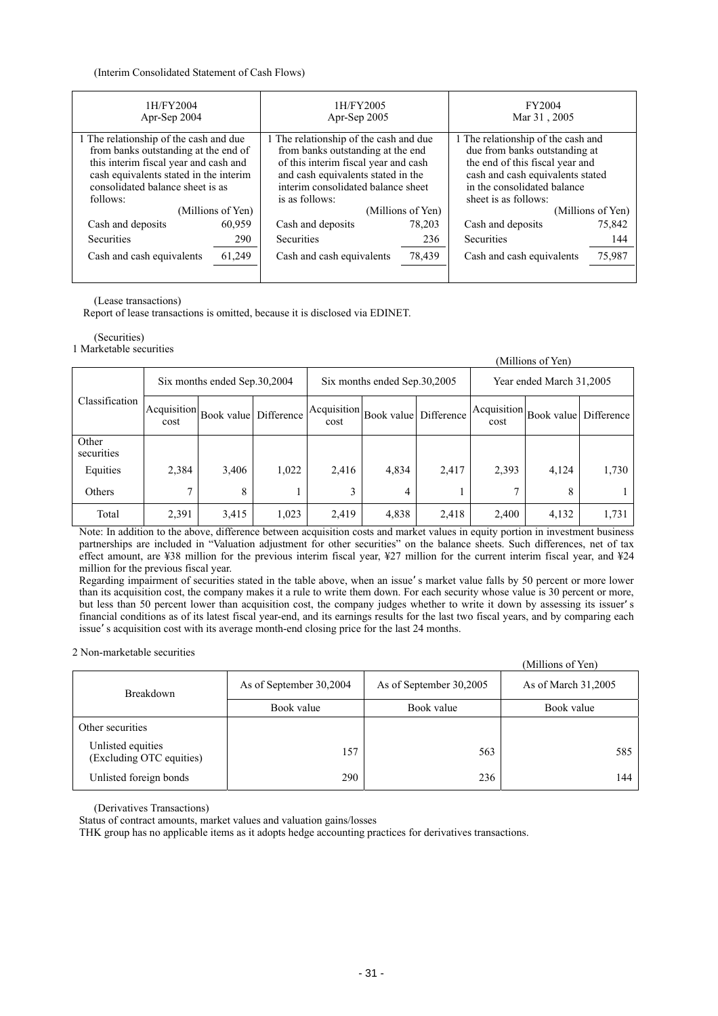(Interim Consolidated Statement of Cash Flows)

| 1H/FY2004<br>Apr-Sep 2004                                                                                                                                                                                         |                   | 1H/FY2005<br>Apr-Sep 2005                                                                                                                                                                                         |        | FY2004<br>Mar 31, 2005                                                                                                                                                                            |        |  |
|-------------------------------------------------------------------------------------------------------------------------------------------------------------------------------------------------------------------|-------------------|-------------------------------------------------------------------------------------------------------------------------------------------------------------------------------------------------------------------|--------|---------------------------------------------------------------------------------------------------------------------------------------------------------------------------------------------------|--------|--|
| 1 The relationship of the cash and due<br>from banks outstanding at the end of<br>this interim fiscal year and cash and<br>cash equivalents stated in the interim<br>consolidated balance sheet is as<br>follows: |                   | 1 The relationship of the cash and due<br>from banks outstanding at the end<br>of this interim fiscal year and cash<br>and cash equivalents stated in the<br>interim consolidated balance sheet<br>is as follows: |        | 1 The relationship of the cash and<br>due from banks outstanding at<br>the end of this fiscal year and<br>cash and cash equivalents stated<br>in the consolidated balance<br>sheet is as follows: |        |  |
|                                                                                                                                                                                                                   | (Millions of Yen) | (Millions of Yen)                                                                                                                                                                                                 |        | (Millions of Yen)                                                                                                                                                                                 |        |  |
| Cash and deposits                                                                                                                                                                                                 | 60,959            | Cash and deposits                                                                                                                                                                                                 | 78.203 | Cash and deposits                                                                                                                                                                                 | 75,842 |  |
| <b>Securities</b>                                                                                                                                                                                                 | 290               | <b>Securities</b>                                                                                                                                                                                                 | 236    | <b>Securities</b>                                                                                                                                                                                 | 144    |  |
| Cash and cash equivalents                                                                                                                                                                                         | 61,249            | Cash and cash equivalents                                                                                                                                                                                         | 78,439 | Cash and cash equivalents                                                                                                                                                                         | 75,987 |  |

#### (Lease transactions)

Report of lease transactions is omitted, because it is disclosed via EDINET.

### (Securities)

1 Marketable securities

|                     | (Millions of Yen)            |                                             |            |       |                                                    |       |                                                                                |       |       |  |
|---------------------|------------------------------|---------------------------------------------|------------|-------|----------------------------------------------------|-------|--------------------------------------------------------------------------------|-------|-------|--|
|                     | Six months ended Sep.30,2004 |                                             |            |       | Six months ended Sep.30,2005                       |       | Year ended March 31,2005                                                       |       |       |  |
| Classification      | cost                         | $ Acquisition $ Book value   $\overline{ }$ | Difference | cost  | Acquisition  Book value  Difference <sup>  2</sup> |       | $\left  \text{Acquisition} \right $ Book value Difference <sup>1</sup><br>cost |       |       |  |
| Other<br>securities |                              |                                             |            |       |                                                    |       |                                                                                |       |       |  |
| Equities            | 2,384                        | 3,406                                       | 1,022      | 2,416 | 4,834                                              | 2,417 | 2,393                                                                          | 4,124 | 1,730 |  |
| Others              | 7                            | 8                                           |            | 3     | 4                                                  |       |                                                                                | 8     |       |  |
| Total               | 2,391                        | 3,415                                       | 1,023      | 2,419 | 4,838                                              | 2,418 | 2,400                                                                          | 4,132 | 1,731 |  |

Note: In addition to the above, difference between acquisition costs and market values in equity portion in investment business partnerships are included in "Valuation adjustment for other securities" on the balance sheets. Such differences, net of tax effect amount, are ¥38 million for the previous interim fiscal year, ¥27 million for the current interim fiscal year, and ¥24 million for the previous fiscal year.

Regarding impairment of securities stated in the table above, when an issue s market value falls by 50 percent or more lower than its acquisition cost, the company makes it a rule to write them down. For each security whose value is 30 percent or more, but less than 50 percent lower than acquisition cost, the company judges whether to write it down by assessing its issuer s financial conditions as of its latest fiscal year-end, and its earnings results for the last two fiscal years, and by comparing each issue s acquisition cost with its average month-end closing price for the last 24 months.

2 Non-marketable securities

|                                               |                         |                         | (Millions of Yen)   |  |
|-----------------------------------------------|-------------------------|-------------------------|---------------------|--|
| <b>Breakdown</b>                              | As of September 30,2004 | As of September 30,2005 | As of March 31,2005 |  |
|                                               | Book value              | Book value              | Book value          |  |
| Other securities                              |                         |                         |                     |  |
| Unlisted equities<br>(Excluding OTC equities) | 157                     | 563                     | 585                 |  |
| Unlisted foreign bonds                        | 290                     | 236                     | 144                 |  |

(Derivatives Transactions)

Status of contract amounts, market values and valuation gains/losses

THK group has no applicable items as it adopts hedge accounting practices for derivatives transactions.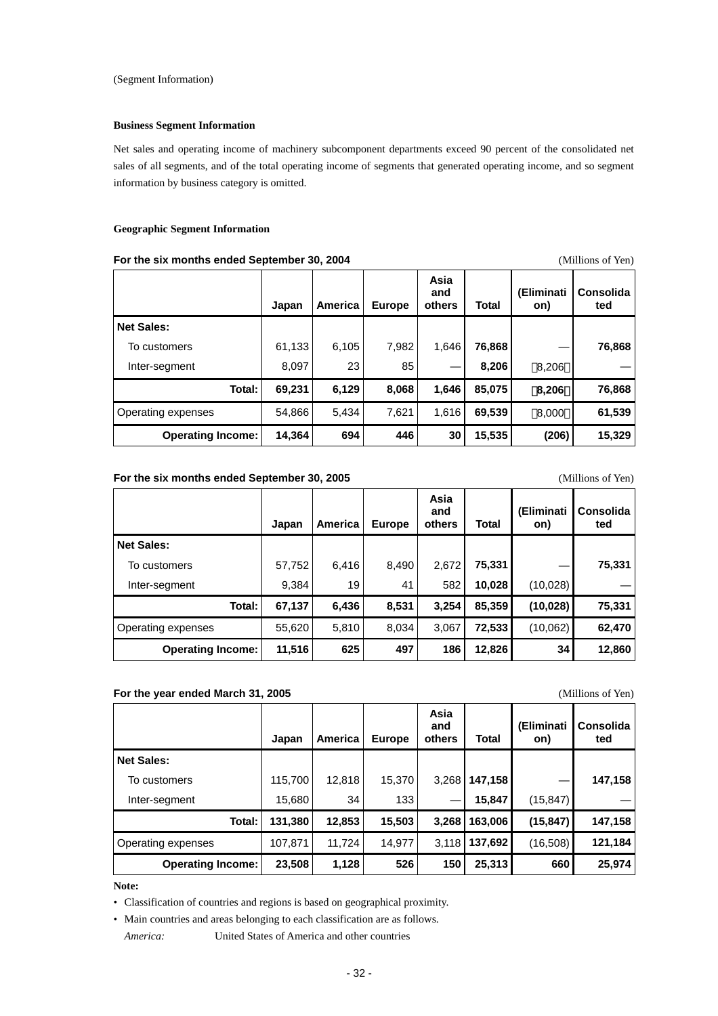### **Business Segment Information**

Net sales and operating income of machinery subcomponent departments exceed 90 percent of the consolidated net sales of all segments, and of the total operating income of segments that generated operating income, and so segment information by business category is omitted.

#### **Geographic Segment Information**

#### **For the six months ended September 30, 2004** (Millions of Yen)

|                          | Japan  | <b>America</b> | <b>Europe</b> | Asia<br>and<br>others | <b>Total</b> | (Eliminati<br>on) | <b>Consolida</b><br>ted |
|--------------------------|--------|----------------|---------------|-----------------------|--------------|-------------------|-------------------------|
| <b>Net Sales:</b>        |        |                |               |                       |              |                   |                         |
| To customers             | 61,133 | 6,105          | 7,982         | 1,646                 | 76,868       |                   | 76,868                  |
| Inter-segment            | 8,097  | 23             | 85            |                       | 8,206        | 8,206             |                         |
| Total:                   | 69,231 | 6,129          | 8,068         | 1,646                 | 85,075       | 8,206             | 76,868                  |
| Operating expenses       | 54,866 | 5,434          | 7,621         | 1,616                 | 69,539       | 8,000             | 61,539                  |
| <b>Operating Income:</b> | 14,364 | 694            | 446           | 30                    | 15,535       | (206)             | 15,329                  |

### For the six months ended September 30, 2005<br>
(Millions of Yen)

|                           | Japan  | America | <b>Europe</b> | Asia<br>and<br>others | Total  | (Eliminati<br>on) | <b>Consolida</b><br>ted |
|---------------------------|--------|---------|---------------|-----------------------|--------|-------------------|-------------------------|
| <b>Net Sales:</b>         |        |         |               |                       |        |                   |                         |
| To customers              | 57,752 | 6,416   | 8,490         | 2,672                 | 75,331 |                   | 75,331                  |
| Inter-segment             | 9,384  | 19      | 41            | 582                   | 10,028 | (10,028)          |                         |
| Total:                    | 67,137 | 6,436   | 8,531         | 3,254                 | 85,359 | (10, 028)         | 75,331                  |
| <b>Operating expenses</b> | 55,620 | 5,810   | 8,034         | 3,067                 | 72,533 | (10,062)          | 62,470                  |
| <b>Operating Income:</b>  | 11,516 | 625     | 497           | 186                   | 12,826 | 34                | 12,860                  |

### **For the year ended March 31, 2005 CONFIDENTIAL CONFIDENTIAL CONFIDENTIAL CONFIDENTIAL CONFIDENTIAL CONFIDENTIAL CONFIDENTIAL CONFIDENTIAL CONFIDENTIAL CONFIDENTIAL CONFIDENTIAL CONFIDENTIAL CONFIDENTIAL CONFIDENTIAL CON**

|                          | Japan   | America | <b>Europe</b> | Asia<br>and<br>others | Total   | (Eliminati<br>on) | <b>Consolida</b><br>ted |
|--------------------------|---------|---------|---------------|-----------------------|---------|-------------------|-------------------------|
| <b>Net Sales:</b>        |         |         |               |                       |         |                   |                         |
| To customers             | 115,700 | 12,818  | 15,370        | 3,268                 | 147,158 |                   | 147,158                 |
| Inter-segment            | 15,680  | 34      | 133           |                       | 15,847  | (15, 847)         |                         |
| Total:                   | 131,380 | 12,853  | 15,503        | 3,268                 | 163,006 | (15, 847)         | 147,158                 |
| Operating expenses       | 107,871 | 11,724  | 14,977        | 3,118                 | 137,692 | (16,508)          | 121,184                 |
| <b>Operating Income:</b> | 23,508  | 1,128   | 526           | 150                   | 25,313  | 660               | 25,974                  |

#### **Note:**

• Classification of countries and regions is based on geographical proximity.

• Main countries and areas belonging to each classification are as follows.

*America:* United States of America and other countries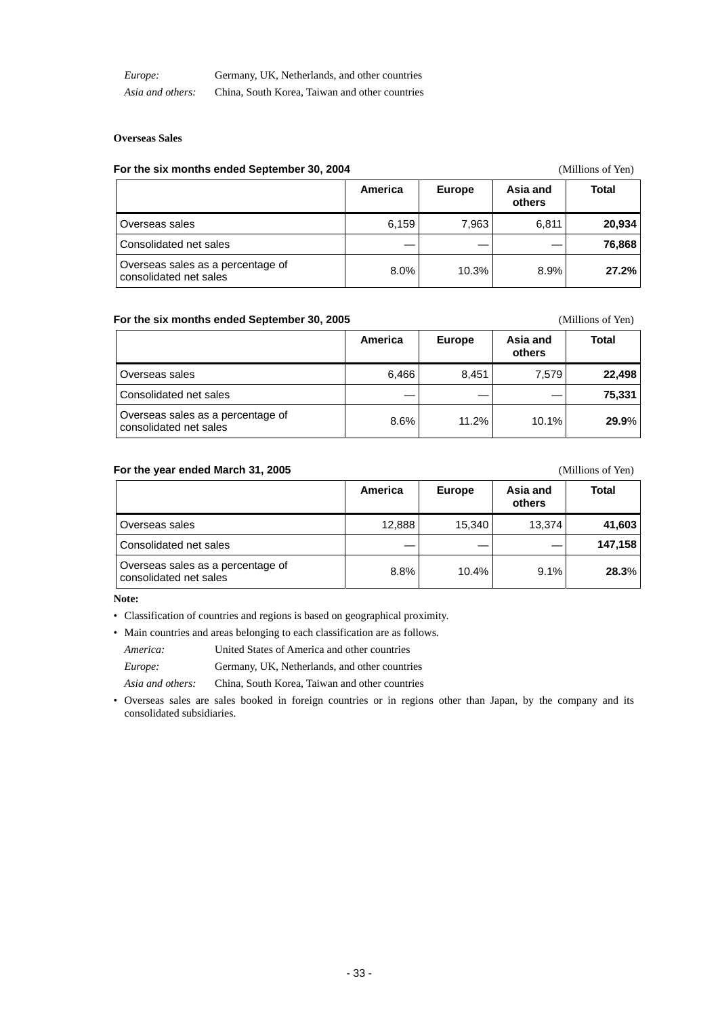| Europe:          | Germany, UK, Netherlands, and other countries  |
|------------------|------------------------------------------------|
| Asia and others: | China, South Korea, Taiwan and other countries |

### **Overseas Sales**

### **For the six months ended September 30, 2004** (Millions of Yen)

|                                                             | America | <b>Europe</b> | Asia and<br>others | <b>Total</b> |
|-------------------------------------------------------------|---------|---------------|--------------------|--------------|
| Overseas sales                                              | 6,159   | 7,963         | 6.811              | 20,934       |
| Consolidated net sales                                      |         |               |                    | 76,868       |
| Overseas sales as a percentage of<br>consolidated net sales | 8.0%    | 10.3%         | 8.9%               | 27.2%        |

### **For the six months ended September 30, 2005** (Millions of Yen)

|                                                             | America | <b>Europe</b> | Asia and<br>others | Total  |
|-------------------------------------------------------------|---------|---------------|--------------------|--------|
| Overseas sales                                              | 6.466   | 8,451         | 7.579              | 22,498 |
| Consolidated net sales                                      |         |               |                    | 75,331 |
| Overseas sales as a percentage of<br>consolidated net sales | 8.6%    | 11.2%         | 10.1%              | 29.9%  |

### For the year ended March 31, 2005 **For the year ended March 31, 2005** (Millions of Yen)

|                                                             | America | <b>Europe</b> | Asia and<br>others | <b>Total</b> |
|-------------------------------------------------------------|---------|---------------|--------------------|--------------|
| Overseas sales                                              | 12,888  | 15,340        | 13.374             | 41,603       |
| Consolidated net sales                                      |         |               |                    | 147,158      |
| Overseas sales as a percentage of<br>consolidated net sales | 8.8%    | 10.4%         | 9.1%               | 28.3%        |

**Note:** 

• Classification of countries and regions is based on geographical proximity.

• Main countries and areas belonging to each classification are as follows.

*America:* United States of America and other countries

*Europe:* Germany, UK, Netherlands, and other countries

*Asia and others:* China, South Korea, Taiwan and other countries

• Overseas sales are sales booked in foreign countries or in regions other than Japan, by the company and its consolidated subsidiaries.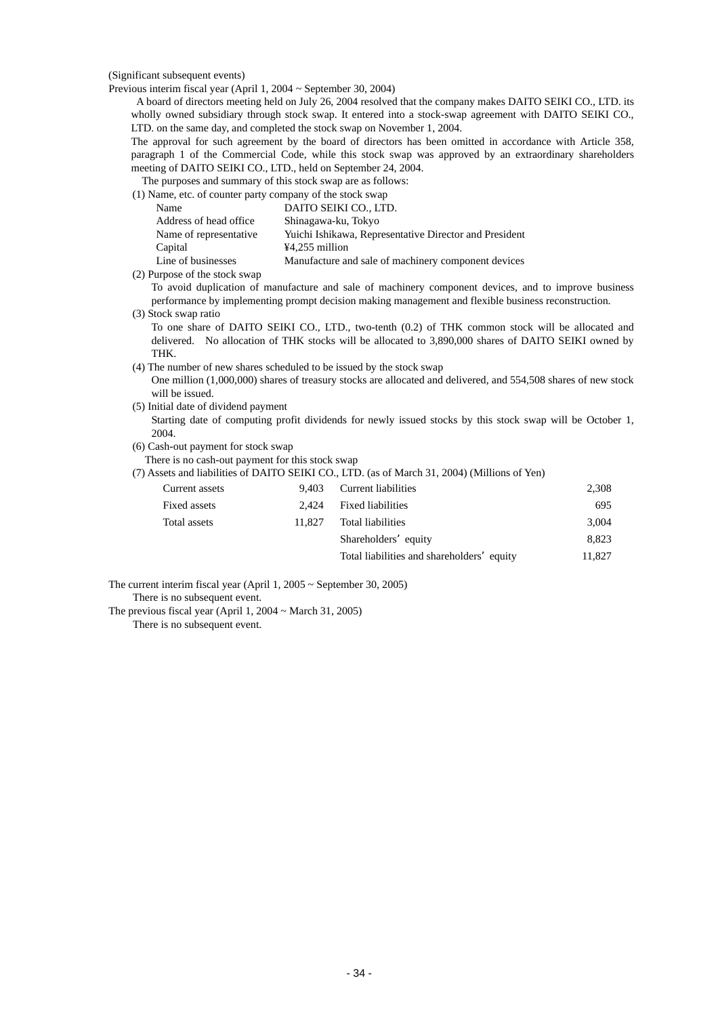(Significant subsequent events)

Previous interim fiscal year (April 1, 2004 ~ September 30, 2004)

A board of directors meeting held on July 26, 2004 resolved that the company makes DAITO SEIKI CO., LTD. its wholly owned subsidiary through stock swap. It entered into a stock-swap agreement with DAITO SEIKI CO., LTD. on the same day, and completed the stock swap on November 1, 2004.

The approval for such agreement by the board of directors has been omitted in accordance with Article 358, paragraph 1 of the Commercial Code, while this stock swap was approved by an extraordinary shareholders meeting of DAITO SEIKI CO., LTD., held on September 24, 2004.

The purposes and summary of this stock swap are as follows:

(1) Name, etc. of counter party company of the stock swap

| Name                   | DAITO SEIKI CO., LTD.                                  |
|------------------------|--------------------------------------------------------|
| Address of head office | Shinagawa-ku, Tokyo                                    |
| Name of representative | Yuichi Ishikawa, Representative Director and President |
| Capital                | $44,255$ million                                       |
| Line of businesses     | Manufacture and sale of machinery component devices    |

(2) Purpose of the stock swap

To avoid duplication of manufacture and sale of machinery component devices, and to improve business performance by implementing prompt decision making management and flexible business reconstruction. (3) Stock swap ratio

To one share of DAITO SEIKI CO., LTD., two-tenth (0.2) of THK common stock will be allocated and delivered. No allocation of THK stocks will be allocated to 3,890,000 shares of DAITO SEIKI owned by THK.

(4) The number of new shares scheduled to be issued by the stock swap

One million (1,000,000) shares of treasury stocks are allocated and delivered, and 554,508 shares of new stock will be issued.

(5) Initial date of dividend payment

Starting date of computing profit dividends for newly issued stocks by this stock swap will be October 1, 2004.

(6) Cash-out payment for stock swap

There is no cash-out payment for this stock swap

|                |        | (7) Assets and liabilities of DAITO SEIKI CO., LTD. (as of March 31, 2004) (Millions of Yen) |        |
|----------------|--------|----------------------------------------------------------------------------------------------|--------|
| Current assets | 9.403  | Current liabilities                                                                          | 2,308  |
| Fixed assets   | 2.424  | <b>Fixed liabilities</b>                                                                     | 695    |
| Total assets   | 11.827 | Total liabilities                                                                            | 3.004  |
|                |        | Shareholders equity                                                                          | 8.823  |
|                |        | Total liabilities and shareholders equity                                                    | 11.827 |

The current interim fiscal year (April 1, 2005 ~ September 30, 2005) There is no subsequent event.

There is no subsequent event.

The previous fiscal year (April 1, 2004 ~ March 31, 2005)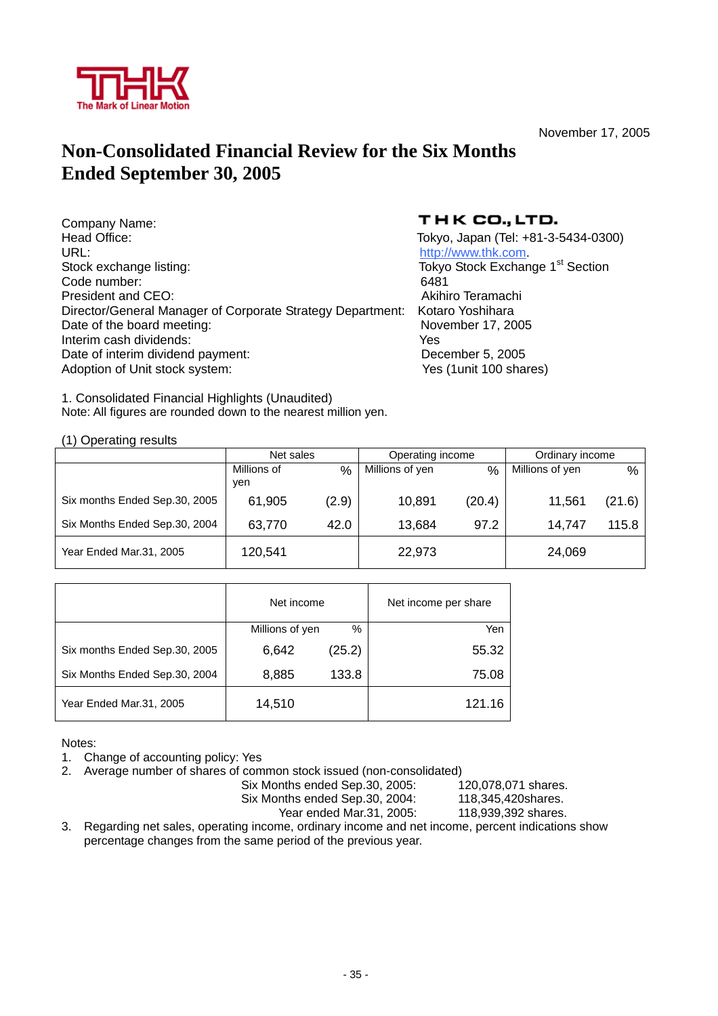

November 17, 2005

### **Non-Consolidated Financial Review for the Six Months Ended September 30, 2005**

| Company Name:                                              | тн      |
|------------------------------------------------------------|---------|
| Head Office:                                               | Tokyo,  |
| URL:                                                       | http:// |
| Stock exchange listing:                                    | Tokyo   |
| Code number:                                               | 6481    |
| President and CEO:                                         | Akihir  |
| Director/General Manager of Corporate Strategy Department: | Kotaro  |
| Date of the board meeting:                                 | Nover   |
| Interim cash dividends:                                    | Yes     |
| Date of interim dividend payment:                          | Dece    |
| Adoption of Unit stock system:                             | Yes (ˈ  |

### THK CO., LTD.

Tokyo, Japan (Tel: +81-3-5434-0300) http://www.thk.com. Tokyo Stock Exchange 1<sup>st</sup> Section Akihiro Teramachi Kotaro Yoshihara November 17, 2005 December 5, 2005 Yes (1unit 100 shares)

1. Consolidated Financial Highlights (Unaudited) Note: All figures are rounded down to the nearest million yen.

(1) Operating results

|                               | Net sales          |       | Operating income |        | Ordinary income |        |
|-------------------------------|--------------------|-------|------------------|--------|-----------------|--------|
|                               | Millions of<br>ven | %     | Millions of yen  | %      | Millions of yen | $\%$   |
| Six months Ended Sep.30, 2005 | 61,905             | (2.9) | 10,891           | (20.4) | 11,561          | (21.6) |
| Six Months Ended Sep.30, 2004 | 63,770             | 42.0  | 13,684           | 97.2   | 14.747          | 115.8  |
| Year Ended Mar.31, 2005       | 120,541            |       | 22,973           |        | 24,069          |        |

|                               | Net income      |        | Net income per share |
|-------------------------------|-----------------|--------|----------------------|
|                               | Millions of yen | $\%$   | Yen                  |
| Six months Ended Sep.30, 2005 | 6,642           | (25.2) | 55.32                |
| Six Months Ended Sep.30, 2004 | 8,885           | 133.8  | 75.08                |
| Year Ended Mar.31, 2005       | 14,510          |        | 121.16               |

Notes:

1. Change of accounting policy: Yes

2. Average number of shares of common stock issued (non-consolidated)

Six Months ended Sep.30, 2005: 120,078,071 shares.

Six Months ended Sep.30, 2004: 118,345,420shares.

Year ended Mar.31, 2005: 118,939,392 shares.

3. Regarding net sales, operating income, ordinary income and net income, percent indications show percentage changes from the same period of the previous year.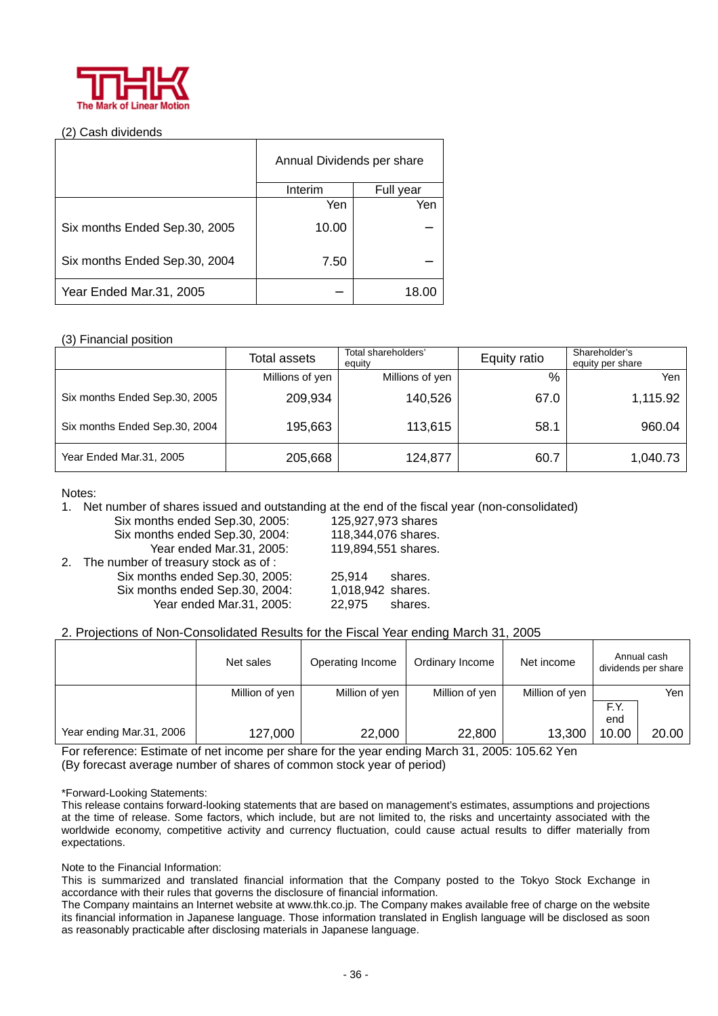

### (2) Cash dividends

|                               | Annual Dividends per share |           |  |  |
|-------------------------------|----------------------------|-----------|--|--|
|                               | Interim                    | Full year |  |  |
|                               | Yen                        | Yen       |  |  |
| Six months Ended Sep.30, 2005 | 10.00                      |           |  |  |
| Six months Ended Sep.30, 2004 | 7.50                       |           |  |  |
| Year Ended Mar.31, 2005       |                            | 18.0      |  |  |

### (3) Financial position

|                               | Total assets    | Total shareholders'<br>equity | Equity ratio | Shareholder's<br>equity per share |  |
|-------------------------------|-----------------|-------------------------------|--------------|-----------------------------------|--|
|                               | Millions of yen | Millions of yen               | %            | Yen                               |  |
| Six months Ended Sep.30, 2005 | 209,934         | 140,526                       | 67.0         | 1,115.92                          |  |
| Six months Ended Sep.30, 2004 | 195,663         | 113,615                       | 58.1         | 960.04                            |  |
| Year Ended Mar.31, 2005       | 205,668         | 124,877                       | 60.7         | 1,040.73                          |  |

### Notes:

1. Net number of shares issued and outstanding at the end of the fiscal year (non-consolidated)

Six months ended Sep.30, 2005: 125,927,973 shares Six months ended Sep.30, 2004: 118,344,076 shares. Year ended Mar.31, 2005: 119,894,551 shares.

- 2. The number of treasury stock as of : Six months ended Sep.30, 2005: 25,914 shares. Six months ended Sep.30, 2004: 1,018,942 shares. Year ended Mar.31, 2005: 22,975 shares.
	-

### 2. Projections of Non-Consolidated Results for the Fiscal Year ending March 31, 2005

|                          | Net sales      | Operating Income | Ordinary Income | Net income     |       | Annual cash<br>dividends per share |
|--------------------------|----------------|------------------|-----------------|----------------|-------|------------------------------------|
|                          | Million of yen | Million of yen   | Million of yen  | Million of yen |       | Yen                                |
|                          |                |                  |                 |                | F.Y.  |                                    |
|                          |                |                  |                 |                | end   |                                    |
| Year ending Mar.31, 2006 | 127,000        | 22,000           | 22,800          | 13,300         | 10.00 | 20.00                              |

For reference: Estimate of net income per share for the year ending March 31, 2005: 105.62 Yen (By forecast average number of shares of common stock year of period)

### \*Forward-Looking Statements:

This release contains forward-looking statements that are based on management's estimates, assumptions and projections at the time of release. Some factors, which include, but are not limited to, the risks and uncertainty associated with the worldwide economy, competitive activity and currency fluctuation, could cause actual results to differ materially from expectations.

Note to the Financial Information:

This is summarized and translated financial information that the Company posted to the Tokyo Stock Exchange in accordance with their rules that governs the disclosure of financial information.

The Company maintains an Internet website at www.thk.co.jp. The Company makes available free of charge on the website its financial information in Japanese language. Those information translated in English language will be disclosed as soon as reasonably practicable after disclosing materials in Japanese language.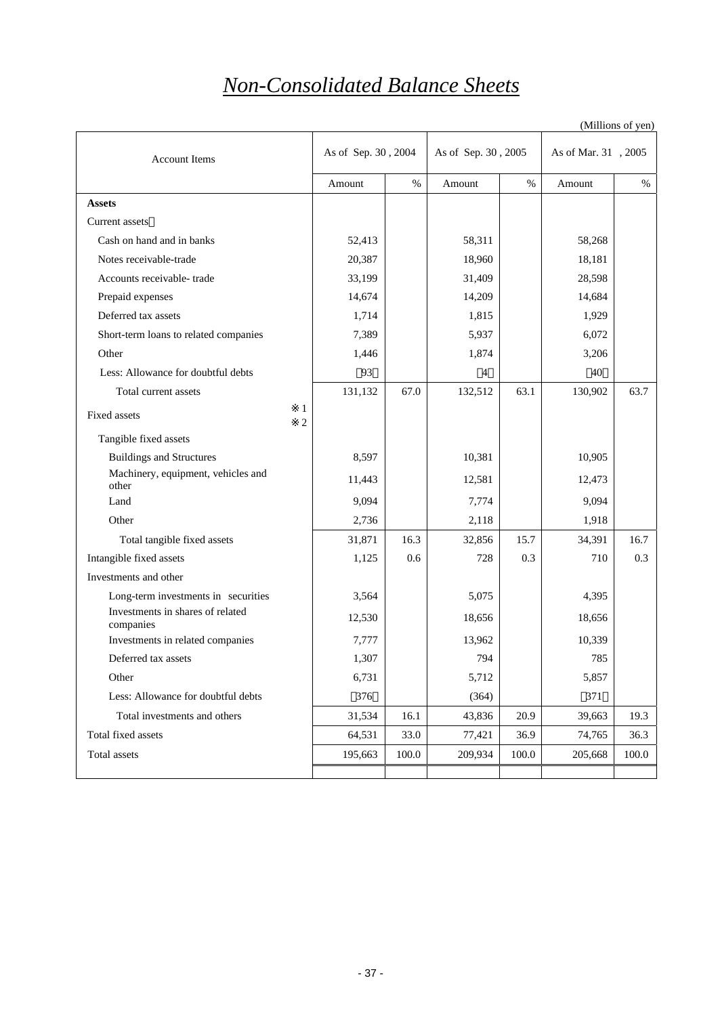### *Non-Consolidated Balance Sheets*

|                                                                         |                     |       |                     |       |                     | (Millions of yen) |
|-------------------------------------------------------------------------|---------------------|-------|---------------------|-------|---------------------|-------------------|
| <b>Account Items</b>                                                    | As of Sep. 30, 2004 |       | As of Sep. 30, 2005 |       | As of Mar. 31, 2005 |                   |
|                                                                         | Amount              | $\%$  | Amount              | $\%$  | Amount              | $\%$              |
| <b>Assets</b>                                                           |                     |       |                     |       |                     |                   |
| Current assets                                                          |                     |       |                     |       |                     |                   |
| Cash on hand and in banks                                               | 52,413              |       | 58,311              |       | 58,268              |                   |
| Notes receivable-trade                                                  | 20,387              |       | 18,960              |       | 18,181              |                   |
| Accounts receivable-trade                                               | 33,199              |       | 31,409              |       | 28,598              |                   |
| Prepaid expenses                                                        | 14,674              |       | 14,209              |       | 14,684              |                   |
| Deferred tax assets                                                     | 1,714               |       | 1,815               |       | 1,929               |                   |
| Short-term loans to related companies                                   | 7,389               |       | 5,937               |       | 6,072               |                   |
| Other                                                                   | 1,446               |       | 1,874               |       | 3,206               |                   |
| Less: Allowance for doubtful debts                                      | 93                  |       | 4                   |       | 40                  |                   |
| Total current assets                                                    | 131,132             | 67.0  | 132,512             | 63.1  | 130,902             | 63.7              |
| 1<br>Fixed assets<br>$\overline{c}$                                     |                     |       |                     |       |                     |                   |
| Tangible fixed assets                                                   |                     |       |                     |       |                     |                   |
| <b>Buildings and Structures</b>                                         | 8,597               |       | 10,381              |       | 10,905              |                   |
| Machinery, equipment, vehicles and<br>other                             | 11,443              |       | 12,581              |       | 12,473              |                   |
| Land                                                                    | 9,094               |       | 7,774               |       | 9,094               |                   |
| Other                                                                   | 2,736               |       | 2,118               |       | 1,918               |                   |
| Total tangible fixed assets                                             | 31,871              | 16.3  | 32,856              | 15.7  | 34,391              | 16.7              |
| Intangible fixed assets                                                 | 1,125               | 0.6   | 728                 | 0.3   | 710                 | 0.3               |
| Investments and other                                                   |                     |       |                     |       |                     |                   |
| Long-term investments in securities<br>Investments in shares of related | 3,564               |       | 5,075               |       | 4,395               |                   |
| companies                                                               | 12,530              |       | 18,656              |       | 18,656              |                   |
| Investments in related companies                                        | 7,777               |       | 13,962              |       | 10,339              |                   |
| Deferred tax assets                                                     | 1,307               |       | 794                 |       | 785                 |                   |
| Other                                                                   | 6,731               |       | 5,712               |       | 5,857               |                   |
| Less: Allowance for doubtful debts                                      | 376                 |       | (364)               |       | 371                 |                   |
| Total investments and others                                            | 31,534              | 16.1  | 43,836              | 20.9  | 39,663              | 19.3              |
| Total fixed assets                                                      | 64,531              | 33.0  | 77,421              | 36.9  | 74,765              | 36.3              |
| Total assets                                                            | 195,663             | 100.0 | 209,934             | 100.0 | 205,668             | 100.0             |
|                                                                         |                     |       |                     |       |                     |                   |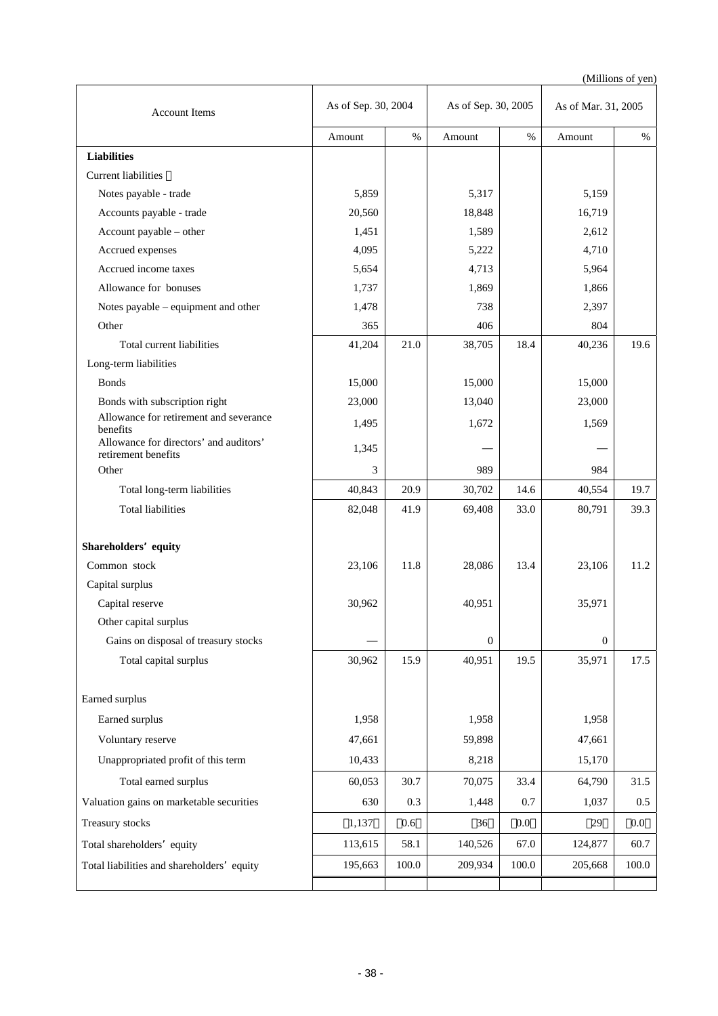(Millions of yen)

| <b>Account Items</b>                                          |         | As of Sep. 30, 2004 |                  | As of Sep. 30, 2005 |              | As of Mar. 31, 2005 |  |
|---------------------------------------------------------------|---------|---------------------|------------------|---------------------|--------------|---------------------|--|
|                                                               | Amount  | $\%$                | Amount           | $\%$                | Amount       | $\%$                |  |
| <b>Liabilities</b>                                            |         |                     |                  |                     |              |                     |  |
| <b>Current liabilities</b>                                    |         |                     |                  |                     |              |                     |  |
| Notes payable - trade                                         | 5,859   |                     | 5,317            |                     | 5,159        |                     |  |
| Accounts payable - trade                                      | 20,560  |                     | 18,848           |                     | 16,719       |                     |  |
| Account payable - other                                       | 1,451   |                     | 1,589            |                     | 2,612        |                     |  |
| Accrued expenses                                              | 4,095   |                     | 5,222            |                     | 4,710        |                     |  |
| Accrued income taxes                                          | 5,654   |                     | 4,713            |                     | 5,964        |                     |  |
| Allowance for bonuses                                         | 1,737   |                     | 1,869            |                     | 1,866        |                     |  |
| Notes payable – equipment and other                           | 1,478   |                     | 738              |                     | 2,397        |                     |  |
| Other                                                         | 365     |                     | 406              |                     | 804          |                     |  |
| Total current liabilities                                     | 41,204  | 21.0                | 38,705           | 18.4                | 40,236       | 19.6                |  |
| Long-term liabilities                                         |         |                     |                  |                     |              |                     |  |
| <b>Bonds</b>                                                  | 15,000  |                     | 15,000           |                     | 15,000       |                     |  |
| Bonds with subscription right                                 | 23,000  |                     | 13,040           |                     | 23,000       |                     |  |
| Allowance for retirement and severance<br>benefits            | 1,495   |                     | 1,672            |                     | 1,569        |                     |  |
| Allowance for directors' and auditors'<br>retirement benefits | 1,345   |                     |                  |                     |              |                     |  |
| Other                                                         | 3       |                     | 989              |                     | 984          |                     |  |
| Total long-term liabilities                                   | 40,843  | 20.9                | 30,702           | 14.6                | 40,554       | 19.7                |  |
| <b>Total liabilities</b>                                      | 82,048  | 41.9                | 69,408           | 33.0                | 80,791       | 39.3                |  |
| Shareholders equity                                           |         |                     |                  |                     |              |                     |  |
| Common stock                                                  | 23,106  | 11.8                | 28,086           | 13.4                | 23,106       | 11.2                |  |
| Capital surplus                                               |         |                     |                  |                     |              |                     |  |
| Capital reserve                                               | 30,962  |                     | 40,951           |                     | 35,971       |                     |  |
| Other capital surplus                                         |         |                     |                  |                     |              |                     |  |
| Gains on disposal of treasury stocks                          |         |                     | $\boldsymbol{0}$ |                     | $\mathbf{0}$ |                     |  |
| Total capital surplus                                         | 30,962  | 15.9                | 40,951           | 19.5                | 35,971       | 17.5                |  |
| Earned surplus                                                |         |                     |                  |                     |              |                     |  |
| Earned surplus                                                | 1,958   |                     | 1,958            |                     | 1,958        |                     |  |
| Voluntary reserve                                             | 47,661  |                     | 59,898           |                     | 47,661       |                     |  |
| Unappropriated profit of this term                            | 10,433  |                     | 8,218            |                     | 15,170       |                     |  |
| Total earned surplus                                          | 60,053  | 30.7                | 70,075           | 33.4                | 64,790       | 31.5                |  |
| Valuation gains on marketable securities                      | 630     | 0.3                 | 1,448            | 0.7                 | 1,037        | 0.5                 |  |
| Treasury stocks                                               | 1,137   | 0.6                 | 36               | $0.0\,$             | 29           | 0.0                 |  |
| Total shareholders equity                                     | 113,615 | 58.1                | 140,526          | 67.0                | 124,877      | 60.7                |  |
| Total liabilities and shareholders equity                     | 195,663 | 100.0               | 209,934          | 100.0               | 205,668      | 100.0               |  |
|                                                               |         |                     |                  |                     |              |                     |  |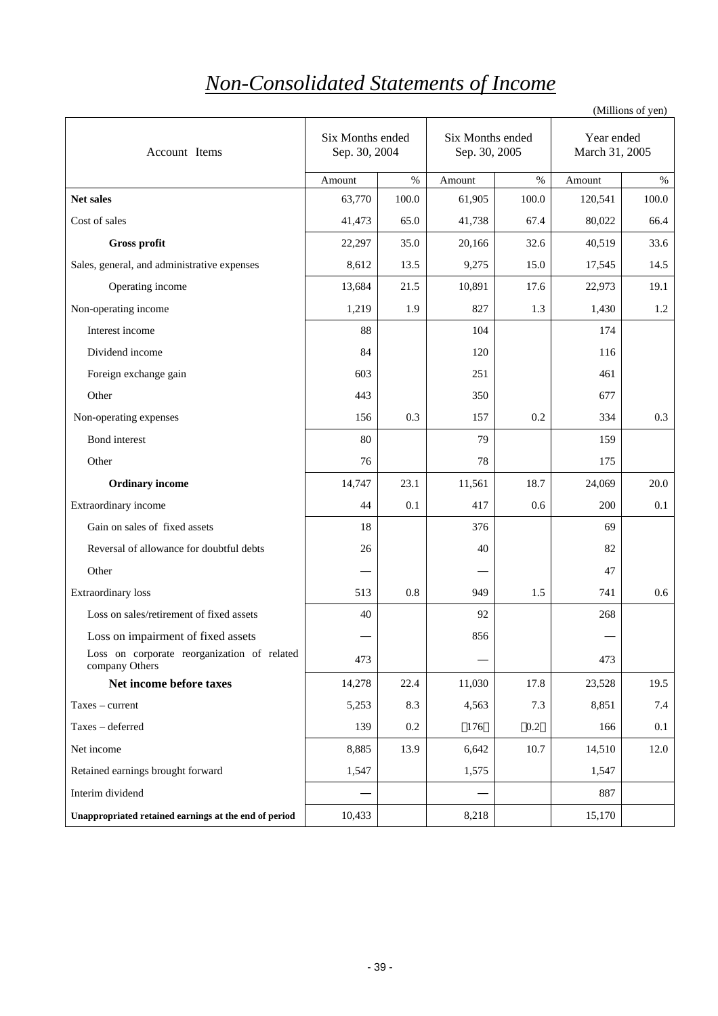# *Non-Consolidated Statements of Income*

(Millions of yen)

| Account Items                                                 | Six Months ended<br>Sep. 30, 2004 |       | Six Months ended<br>Sep. 30, 2005 |         | Year ended<br>March 31, 2005 |       |
|---------------------------------------------------------------|-----------------------------------|-------|-----------------------------------|---------|------------------------------|-------|
|                                                               | Amount                            | $\%$  | Amount                            | $\%$    | Amount                       | $\%$  |
| Net sales                                                     | 63,770                            | 100.0 | 61,905                            | 100.0   | 120,541                      | 100.0 |
| Cost of sales                                                 | 41,473                            | 65.0  | 41,738                            | 67.4    | 80,022                       | 66.4  |
| Gross profit                                                  | 22,297                            | 35.0  | 20,166                            | 32.6    | 40,519                       | 33.6  |
| Sales, general, and administrative expenses                   | 8,612                             | 13.5  | 9,275                             | 15.0    | 17,545                       | 14.5  |
| Operating income                                              | 13,684                            | 21.5  | 10,891                            | 17.6    | 22,973                       | 19.1  |
| Non-operating income                                          | 1,219                             | 1.9   | 827                               | 1.3     | 1,430                        | 1.2   |
| Interest income                                               | 88                                |       | 104                               |         | 174                          |       |
| Dividend income                                               | 84                                |       | 120                               |         | 116                          |       |
| Foreign exchange gain                                         | 603                               |       | 251                               |         | 461                          |       |
| Other                                                         | 443                               |       | 350                               |         | 677                          |       |
| Non-operating expenses                                        | 156                               | 0.3   | 157                               | 0.2     | 334                          | 0.3   |
| Bond interest                                                 | 80                                |       | 79                                |         | 159                          |       |
| Other                                                         | 76                                |       | 78                                |         | 175                          |       |
| <b>Ordinary income</b>                                        | 14,747                            | 23.1  | 11,561                            | 18.7    | 24,069                       | 20.0  |
| Extraordinary income                                          | 44                                | 0.1   | 417                               | 0.6     | 200                          | 0.1   |
| Gain on sales of fixed assets                                 | 18                                |       | 376                               |         | 69                           |       |
| Reversal of allowance for doubtful debts                      | 26                                |       | 40                                |         | 82                           |       |
| Other                                                         |                                   |       |                                   |         | 47                           |       |
| Extraordinary loss                                            | 513                               | 0.8   | 949                               | 1.5     | 741                          | 0.6   |
| Loss on sales/retirement of fixed assets                      | 40                                |       | 92                                |         | 268                          |       |
| Loss on impairment of fixed assets                            |                                   |       | 856                               |         |                              |       |
| Loss on corporate reorganization of related<br>company Others | 473                               |       |                                   |         | 473                          |       |
| Net income before taxes                                       | 14,278                            | 22.4  | 11,030                            | 17.8    | 23,528                       | 19.5  |
| Taxes - current                                               | 5,253                             | 8.3   | 4,563                             | 7.3     | 8,851                        | 7.4   |
| Taxes - deferred                                              | 139                               | 0.2   | 176                               | $0.2\,$ | 166                          | 0.1   |
| Net income                                                    | 8,885                             | 13.9  | 6,642                             | 10.7    | 14,510                       | 12.0  |
| Retained earnings brought forward                             | 1,547                             |       | 1,575                             |         | 1,547                        |       |
| Interim dividend                                              |                                   |       |                                   |         | 887                          |       |
| Unappropriated retained earnings at the end of period         | 10,433                            |       | 8,218                             |         | 15,170                       |       |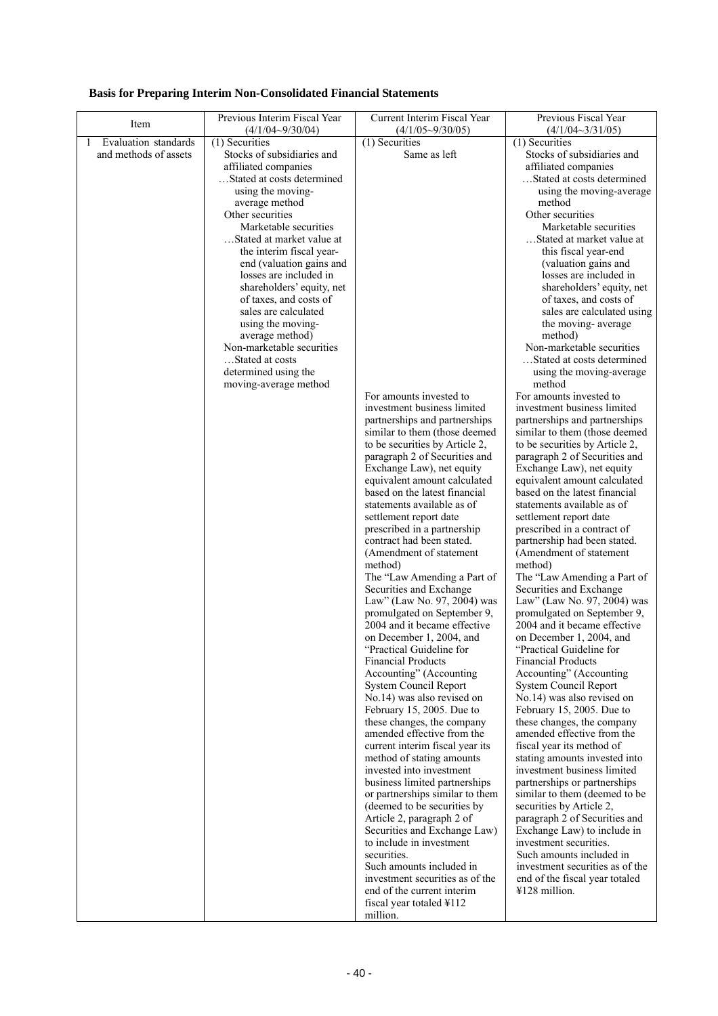|  |  |  | <b>Basis for Preparing Interim Non-Consolidated Financial Statements</b> |  |
|--|--|--|--------------------------------------------------------------------------|--|
|--|--|--|--------------------------------------------------------------------------|--|

| Item                      | Previous Interim Fiscal Year                 | Current Interim Fiscal Year                                     | Previous Fiscal Year                                            |
|---------------------------|----------------------------------------------|-----------------------------------------------------------------|-----------------------------------------------------------------|
| Evaluation standards<br>1 | $(4/1/04 - 9/30/04)$                         | $(4/1/05\sim9/30/05)$<br>$(1)$ Securities                       | (4/1/04~3/31/05)<br>$(1)$ Securities                            |
| and methods of assets     | (1) Securities<br>Stocks of subsidiaries and | Same as left                                                    | Stocks of subsidiaries and                                      |
|                           | affiliated companies                         |                                                                 | affiliated companies                                            |
|                           | Stated at costs determined                   |                                                                 | Stated at costs determined                                      |
|                           | using the moving-                            |                                                                 | using the moving-average                                        |
|                           | average method                               |                                                                 | method                                                          |
|                           | Other securities                             |                                                                 | Other securities                                                |
|                           | Marketable securities                        |                                                                 | Marketable securities                                           |
|                           | Stated at market value at                    |                                                                 | Stated at market value at                                       |
|                           | the interim fiscal year-                     |                                                                 | this fiscal year-end                                            |
|                           | end (valuation gains and                     |                                                                 | (valuation gains and                                            |
|                           | losses are included in                       |                                                                 | losses are included in                                          |
|                           | shareholders' equity, net                    |                                                                 | shareholders' equity, net                                       |
|                           | of taxes, and costs of                       |                                                                 | of taxes, and costs of                                          |
|                           | sales are calculated                         |                                                                 | sales are calculated using                                      |
|                           | using the moving-                            |                                                                 | the moving-average                                              |
|                           | average method)                              |                                                                 | method)                                                         |
|                           | Non-marketable securities                    |                                                                 | Non-marketable securities                                       |
|                           | Stated at costs                              |                                                                 | Stated at costs determined                                      |
|                           | determined using the                         |                                                                 | using the moving-average                                        |
|                           | moving-average method                        |                                                                 | method                                                          |
|                           |                                              | For amounts invested to                                         | For amounts invested to                                         |
|                           |                                              | investment business limited                                     | investment business limited                                     |
|                           |                                              | partnerships and partnerships<br>similar to them (those deemed  | partnerships and partnerships<br>similar to them (those deemed  |
|                           |                                              |                                                                 |                                                                 |
|                           |                                              | to be securities by Article 2,<br>paragraph 2 of Securities and | to be securities by Article 2,<br>paragraph 2 of Securities and |
|                           |                                              | Exchange Law), net equity                                       | Exchange Law), net equity                                       |
|                           |                                              | equivalent amount calculated                                    | equivalent amount calculated                                    |
|                           |                                              | based on the latest financial                                   | based on the latest financial                                   |
|                           |                                              | statements available as of                                      | statements available as of                                      |
|                           |                                              | settlement report date                                          | settlement report date                                          |
|                           |                                              | prescribed in a partnership                                     | prescribed in a contract of                                     |
|                           |                                              | contract had been stated.                                       | partnership had been stated.                                    |
|                           |                                              | (Amendment of statement                                         | (Amendment of statement                                         |
|                           |                                              | method)                                                         | method)                                                         |
|                           |                                              | The "Law Amending a Part of                                     | The "Law Amending a Part of                                     |
|                           |                                              | Securities and Exchange                                         | Securities and Exchange                                         |
|                           |                                              | Law" (Law No. 97, 2004) was                                     | Law" (Law No. 97, 2004) was                                     |
|                           |                                              | promulgated on September 9,                                     | promulgated on September 9,                                     |
|                           |                                              | 2004 and it became effective                                    | 2004 and it became effective                                    |
|                           |                                              | on December 1, 2004, and                                        | on December 1, 2004, and                                        |
|                           |                                              | "Practical Guideline for                                        | "Practical Guideline for                                        |
|                           |                                              | <b>Financial Products</b>                                       | <b>Financial Products</b>                                       |
|                           |                                              | Accounting" (Accounting<br><b>System Council Report</b>         | Accounting" (Accounting                                         |
|                           |                                              | No.14) was also revised on                                      | System Council Report<br>No.14) was also revised on             |
|                           |                                              | February 15, 2005. Due to                                       | February 15, 2005. Due to                                       |
|                           |                                              | these changes, the company                                      | these changes, the company                                      |
|                           |                                              | amended effective from the                                      | amended effective from the                                      |
|                           |                                              | current interim fiscal year its                                 | fiscal year its method of                                       |
|                           |                                              | method of stating amounts                                       | stating amounts invested into                                   |
|                           |                                              | invested into investment                                        | investment business limited                                     |
|                           |                                              | business limited partnerships                                   | partnerships or partnerships                                    |
|                           |                                              | or partnerships similar to them                                 | similar to them (deemed to be                                   |
|                           |                                              | (deemed to be securities by                                     | securities by Article 2,                                        |
|                           |                                              | Article 2, paragraph 2 of                                       | paragraph 2 of Securities and                                   |
|                           |                                              | Securities and Exchange Law)                                    | Exchange Law) to include in                                     |
|                           |                                              | to include in investment                                        | investment securities.                                          |
|                           |                                              | securities.                                                     | Such amounts included in                                        |
|                           |                                              | Such amounts included in                                        | investment securities as of the                                 |
|                           |                                              | investment securities as of the                                 | end of the fiscal year totaled                                  |
|                           |                                              | end of the current interim                                      | ¥128 million.                                                   |
|                           |                                              | fiscal year totaled ¥112                                        |                                                                 |
|                           |                                              | million.                                                        |                                                                 |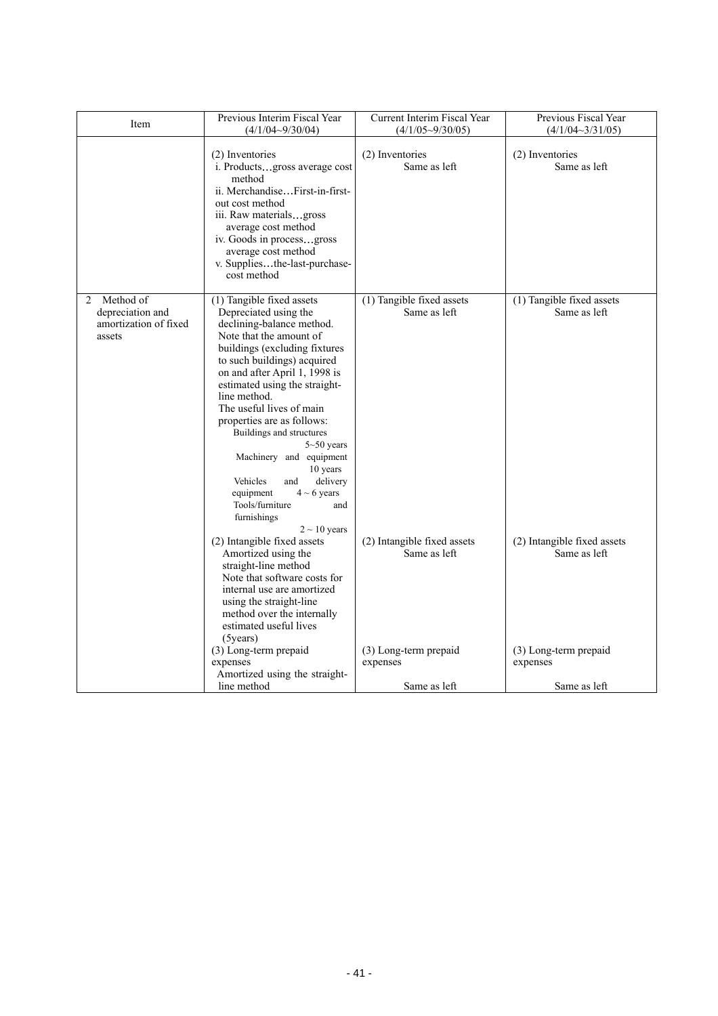| Item                                                                               | Previous Interim Fiscal Year<br>$(4/1/04 - 9/30/04)$                                                                                                                                                                                                                                                                                                                                                                                                                                                                                      | Current Interim Fiscal Year<br>$(4/1/05 \sim 9/30/05)$ | Previous Fiscal Year                        |
|------------------------------------------------------------------------------------|-------------------------------------------------------------------------------------------------------------------------------------------------------------------------------------------------------------------------------------------------------------------------------------------------------------------------------------------------------------------------------------------------------------------------------------------------------------------------------------------------------------------------------------------|--------------------------------------------------------|---------------------------------------------|
|                                                                                    |                                                                                                                                                                                                                                                                                                                                                                                                                                                                                                                                           |                                                        | $(4/1/04 \sim 3/31/05)$                     |
|                                                                                    | (2) Inventories<br>i. Productsgross average cost<br>method<br>ii. MerchandiseFirst-in-first-<br>out cost method<br>iii. Raw materialsgross<br>average cost method<br>iv. Goods in processgross<br>average cost method<br>v. Suppliesthe-last-purchase-<br>cost method                                                                                                                                                                                                                                                                     | (2) Inventories<br>Same as left                        | (2) Inventories<br>Same as left             |
| Method of<br>$\mathfrak{D}$<br>depreciation and<br>amortization of fixed<br>assets | (1) Tangible fixed assets<br>Depreciated using the<br>declining-balance method.<br>Note that the amount of<br>buildings (excluding fixtures<br>to such buildings) acquired<br>on and after April 1, 1998 is<br>estimated using the straight-<br>line method.<br>The useful lives of main<br>properties are as follows:<br>Buildings and structures<br>$5 - 50$ years<br>Machinery and equipment<br>10 years<br>Vehicles<br>delivery<br>and<br>equipment<br>$4 \sim 6$ years<br>Tools/furniture<br>and<br>furnishings<br>$2 \sim 10$ years | (1) Tangible fixed assets<br>Same as left              | (1) Tangible fixed assets<br>Same as left   |
|                                                                                    | (2) Intangible fixed assets<br>Amortized using the<br>straight-line method<br>Note that software costs for<br>internal use are amortized<br>using the straight-line<br>method over the internally<br>estimated useful lives<br>$(5 \text{years})$                                                                                                                                                                                                                                                                                         | (2) Intangible fixed assets<br>Same as left            | (2) Intangible fixed assets<br>Same as left |
|                                                                                    | (3) Long-term prepaid<br>expenses<br>Amortized using the straight-                                                                                                                                                                                                                                                                                                                                                                                                                                                                        | (3) Long-term prepaid<br>expenses                      | (3) Long-term prepaid<br>expenses           |
|                                                                                    | line method                                                                                                                                                                                                                                                                                                                                                                                                                                                                                                                               | Same as left                                           | Same as left                                |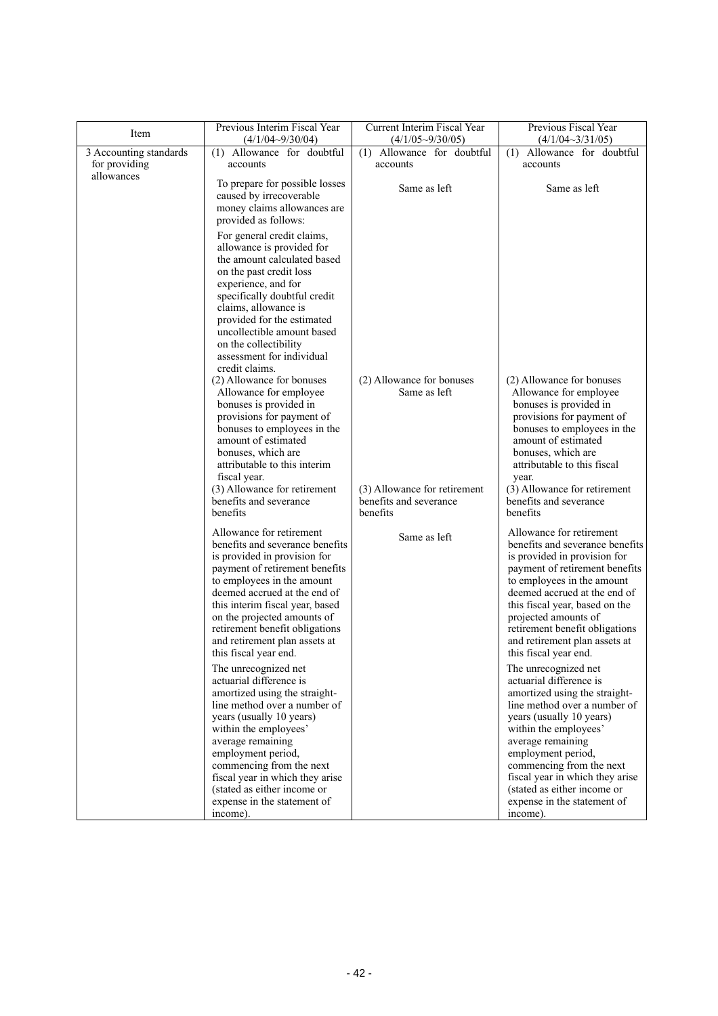| Item                                    | Previous Interim Fiscal Year<br>$(4/1/04 - 9/30/04)$                                                                                                                                                                                                                                                                                                      | Current Interim Fiscal Year<br>$(4/1/05\sim9/30/05)$               | Previous Fiscal Year<br>$(4/1/04 \sim 3/31/05)$                                                                                                                                                                                                                                                                                                   |
|-----------------------------------------|-----------------------------------------------------------------------------------------------------------------------------------------------------------------------------------------------------------------------------------------------------------------------------------------------------------------------------------------------------------|--------------------------------------------------------------------|---------------------------------------------------------------------------------------------------------------------------------------------------------------------------------------------------------------------------------------------------------------------------------------------------------------------------------------------------|
| 3 Accounting standards<br>for providing | (1) Allowance for doubtful<br>accounts                                                                                                                                                                                                                                                                                                                    | (1) Allowance for doubtful<br>accounts                             | Allowance for doubtful<br>(1)<br>accounts                                                                                                                                                                                                                                                                                                         |
| allowances                              | To prepare for possible losses<br>caused by irrecoverable<br>money claims allowances are<br>provided as follows:                                                                                                                                                                                                                                          | Same as left                                                       | Same as left                                                                                                                                                                                                                                                                                                                                      |
|                                         | For general credit claims,<br>allowance is provided for<br>the amount calculated based<br>on the past credit loss<br>experience, and for<br>specifically doubtful credit<br>claims, allowance is<br>provided for the estimated<br>uncollectible amount based<br>on the collectibility<br>assessment for individual                                        |                                                                    |                                                                                                                                                                                                                                                                                                                                                   |
|                                         | credit claims.<br>(2) Allowance for bonuses<br>Allowance for employee<br>bonuses is provided in<br>provisions for payment of<br>bonuses to employees in the<br>amount of estimated<br>bonuses, which are<br>attributable to this interim<br>fiscal year.                                                                                                  | (2) Allowance for bonuses<br>Same as left                          | (2) Allowance for bonuses<br>Allowance for employee<br>bonuses is provided in<br>provisions for payment of<br>bonuses to employees in the<br>amount of estimated<br>bonuses, which are<br>attributable to this fiscal<br>year.                                                                                                                    |
|                                         | (3) Allowance for retirement<br>benefits and severance<br>benefits                                                                                                                                                                                                                                                                                        | (3) Allowance for retirement<br>benefits and severance<br>benefits | (3) Allowance for retirement<br>benefits and severance<br>benefits                                                                                                                                                                                                                                                                                |
|                                         | Allowance for retirement<br>benefits and severance benefits<br>is provided in provision for<br>payment of retirement benefits<br>to employees in the amount<br>deemed accrued at the end of<br>this interim fiscal year, based<br>on the projected amounts of<br>retirement benefit obligations<br>and retirement plan assets at<br>this fiscal year end. | Same as left                                                       | Allowance for retirement<br>benefits and severance benefits<br>is provided in provision for<br>payment of retirement benefits<br>to employees in the amount<br>deemed accrued at the end of<br>this fiscal year, based on the<br>projected amounts of<br>retirement benefit obligations<br>and retirement plan assets at<br>this fiscal year end. |
|                                         | The unrecognized net<br>actuarial difference is<br>amortized using the straight-<br>line method over a number of<br>years (usually 10 years)<br>within the employees'<br>average remaining<br>employment period,<br>commencing from the next<br>fiscal year in which they arise<br>(stated as either income or                                            |                                                                    | The unrecognized net<br>actuarial difference is<br>amortized using the straight-<br>line method over a number of<br>years (usually 10 years)<br>within the employees'<br>average remaining<br>employment period,<br>commencing from the next<br>fiscal year in which they arise<br>(stated as either income or                                    |
|                                         | expense in the statement of<br>income).                                                                                                                                                                                                                                                                                                                   |                                                                    | expense in the statement of<br>income).                                                                                                                                                                                                                                                                                                           |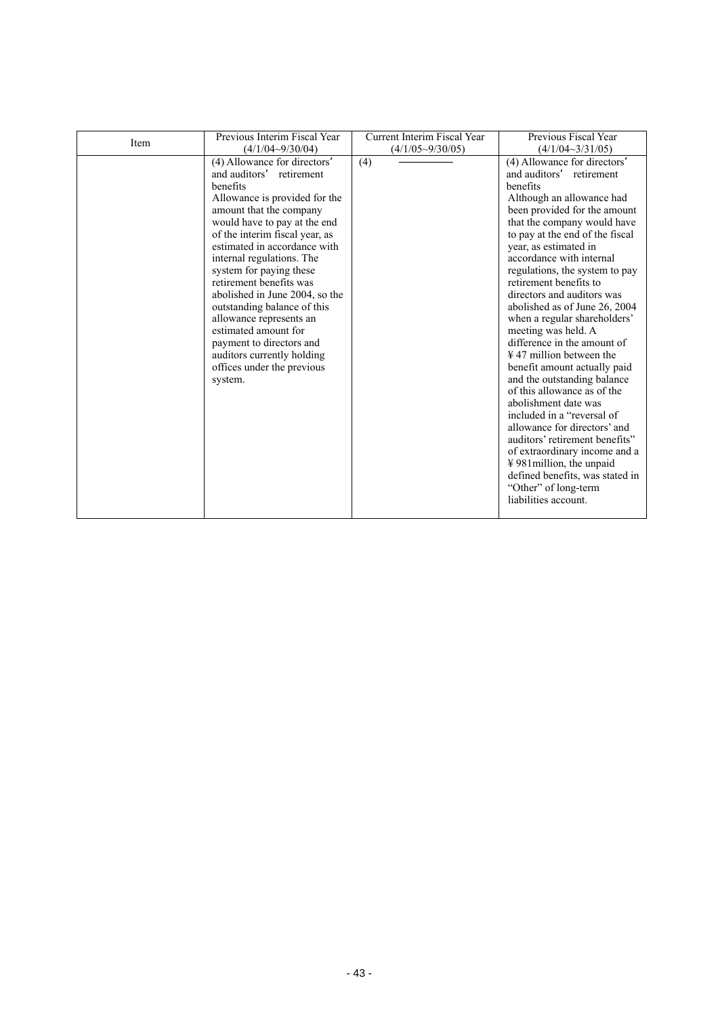|      | Previous Interim Fiscal Year                                                                                                                                                                                                                                                                                                                                                                                                                                                                                                                  | Current Interim Fiscal Year | Previous Fiscal Year                                                                                                                                                                                                                                                                                                                                                                                                                                                                                                                                                                                                                                                                                                                                                                                                                                                                     |
|------|-----------------------------------------------------------------------------------------------------------------------------------------------------------------------------------------------------------------------------------------------------------------------------------------------------------------------------------------------------------------------------------------------------------------------------------------------------------------------------------------------------------------------------------------------|-----------------------------|------------------------------------------------------------------------------------------------------------------------------------------------------------------------------------------------------------------------------------------------------------------------------------------------------------------------------------------------------------------------------------------------------------------------------------------------------------------------------------------------------------------------------------------------------------------------------------------------------------------------------------------------------------------------------------------------------------------------------------------------------------------------------------------------------------------------------------------------------------------------------------------|
| Item | $(4/1/04 - 9/30/04)$                                                                                                                                                                                                                                                                                                                                                                                                                                                                                                                          | $(4/1/05 \sim 9/30/05)$     | $(4/1/04 \sim 3/31/05)$                                                                                                                                                                                                                                                                                                                                                                                                                                                                                                                                                                                                                                                                                                                                                                                                                                                                  |
|      | (4) Allowance for directors<br>and auditors<br>retirement<br>benefits<br>Allowance is provided for the<br>amount that the company<br>would have to pay at the end<br>of the interim fiscal year, as<br>estimated in accordance with<br>internal regulations. The<br>system for paying these<br>retirement benefits was<br>abolished in June 2004, so the<br>outstanding balance of this<br>allowance represents an<br>estimated amount for<br>payment to directors and<br>auditors currently holding<br>offices under the previous<br>system. | (4)                         | (4) Allowance for directors<br>and auditors<br>retirement<br>benefits<br>Although an allowance had<br>been provided for the amount<br>that the company would have<br>to pay at the end of the fiscal<br>year, as estimated in<br>accordance with internal<br>regulations, the system to pay<br>retirement benefits to<br>directors and auditors was<br>abolished as of June 26, 2004<br>when a regular shareholders'<br>meeting was held. A<br>difference in the amount of<br>$\frac{1}{2}$ 47 million between the<br>benefit amount actually paid<br>and the outstanding balance<br>of this allowance as of the<br>abolishment date was<br>included in a "reversal of<br>allowance for directors' and<br>auditors' retirement benefits"<br>of extraordinary income and a<br>¥981 million, the unpaid<br>defined benefits, was stated in<br>"Other" of long-term<br>liabilities account. |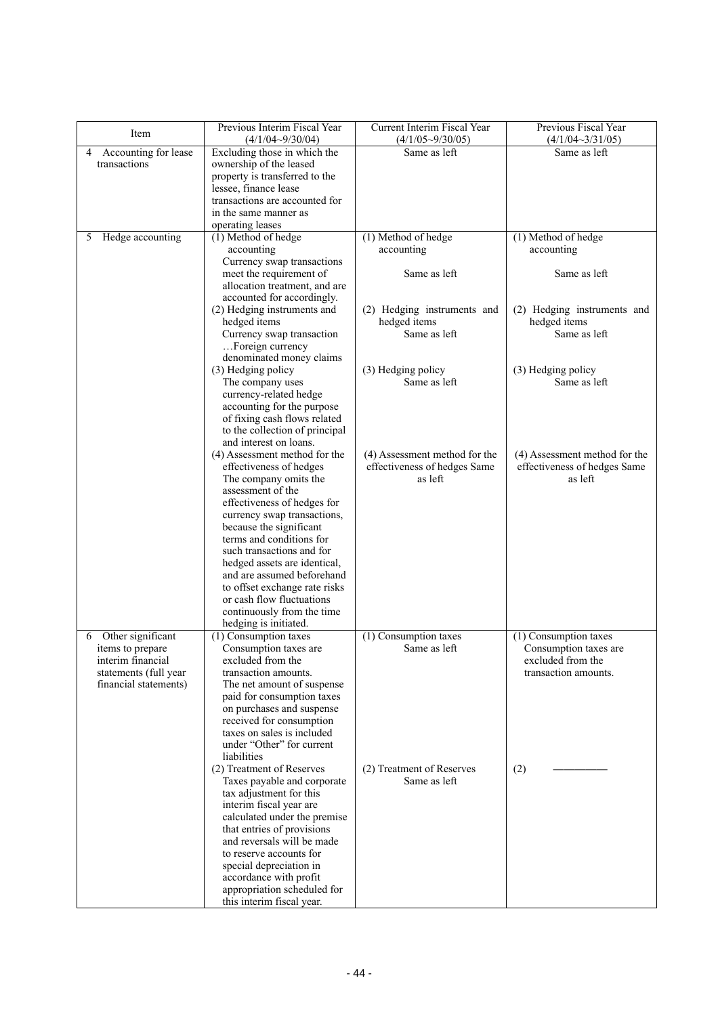| Item                                  | Previous Interim Fiscal Year                               | Current Interim Fiscal Year                                   | Previous Fiscal Year                                          |
|---------------------------------------|------------------------------------------------------------|---------------------------------------------------------------|---------------------------------------------------------------|
| 4 Accounting for lease                | $(4/1/04 - 9/30/04)$<br>Excluding those in which the       | $(4/1/05 \sim 9/30/05)$<br>Same as left                       | $(4/1/04 \sim 3/31/05)$<br>Same as left                       |
| transactions                          | ownership of the leased                                    |                                                               |                                                               |
|                                       | property is transferred to the                             |                                                               |                                                               |
|                                       | lessee, finance lease                                      |                                                               |                                                               |
|                                       | transactions are accounted for<br>in the same manner as    |                                                               |                                                               |
|                                       | operating leases                                           |                                                               |                                                               |
| Hedge accounting<br>5                 | (1) Method of hedge                                        | (1) Method of hedge                                           | (1) Method of hedge                                           |
|                                       | accounting                                                 | accounting                                                    | accounting                                                    |
|                                       | Currency swap transactions                                 | Same as left                                                  |                                                               |
|                                       | meet the requirement of<br>allocation treatment, and are   |                                                               | Same as left                                                  |
|                                       | accounted for accordingly.                                 |                                                               |                                                               |
|                                       | (2) Hedging instruments and                                | (2) Hedging instruments and                                   | (2) Hedging instruments and                                   |
|                                       | hedged items                                               | hedged items                                                  | hedged items                                                  |
|                                       | Currency swap transaction<br>Foreign currency              | Same as left                                                  | Same as left                                                  |
|                                       | denominated money claims                                   |                                                               |                                                               |
|                                       | (3) Hedging policy                                         | (3) Hedging policy                                            | (3) Hedging policy                                            |
|                                       | The company uses                                           | Same as left                                                  | Same as left                                                  |
|                                       | currency-related hedge<br>accounting for the purpose       |                                                               |                                                               |
|                                       | of fixing cash flows related                               |                                                               |                                                               |
|                                       | to the collection of principal                             |                                                               |                                                               |
|                                       | and interest on loans.                                     |                                                               |                                                               |
|                                       | (4) Assessment method for the                              | (4) Assessment method for the<br>effectiveness of hedges Same | (4) Assessment method for the<br>effectiveness of hedges Same |
|                                       | effectiveness of hedges<br>The company omits the           | as left                                                       | as left                                                       |
|                                       | assessment of the                                          |                                                               |                                                               |
|                                       | effectiveness of hedges for                                |                                                               |                                                               |
|                                       | currency swap transactions,                                |                                                               |                                                               |
|                                       | because the significant<br>terms and conditions for        |                                                               |                                                               |
|                                       | such transactions and for                                  |                                                               |                                                               |
|                                       | hedged assets are identical,                               |                                                               |                                                               |
|                                       | and are assumed beforehand                                 |                                                               |                                                               |
|                                       | to offset exchange rate risks<br>or cash flow fluctuations |                                                               |                                                               |
|                                       | continuously from the time                                 |                                                               |                                                               |
|                                       | hedging is initiated.                                      |                                                               |                                                               |
| Other significant<br>6                | (1) Consumption taxes                                      | (1) Consumption taxes                                         | (1) Consumption taxes                                         |
| items to prepare<br>interim financial | Consumption taxes are<br>excluded from the                 | Same as left                                                  | Consumption taxes are<br>excluded from the                    |
| statements (full year                 | transaction amounts.                                       |                                                               | transaction amounts.                                          |
| financial statements)                 | The net amount of suspense                                 |                                                               |                                                               |
|                                       | paid for consumption taxes                                 |                                                               |                                                               |
|                                       | on purchases and suspense<br>received for consumption      |                                                               |                                                               |
|                                       | taxes on sales is included                                 |                                                               |                                                               |
|                                       | under "Other" for current                                  |                                                               |                                                               |
|                                       | liabilities                                                |                                                               |                                                               |
|                                       | (2) Treatment of Reserves                                  | (2) Treatment of Reserves<br>Same as left                     | (2)                                                           |
|                                       | Taxes payable and corporate<br>tax adjustment for this     |                                                               |                                                               |
|                                       | interim fiscal year are                                    |                                                               |                                                               |
|                                       | calculated under the premise                               |                                                               |                                                               |
|                                       | that entries of provisions                                 |                                                               |                                                               |
|                                       | and reversals will be made<br>to reserve accounts for      |                                                               |                                                               |
|                                       | special depreciation in                                    |                                                               |                                                               |
|                                       | accordance with profit                                     |                                                               |                                                               |
|                                       | appropriation scheduled for                                |                                                               |                                                               |
|                                       | this interim fiscal year.                                  |                                                               |                                                               |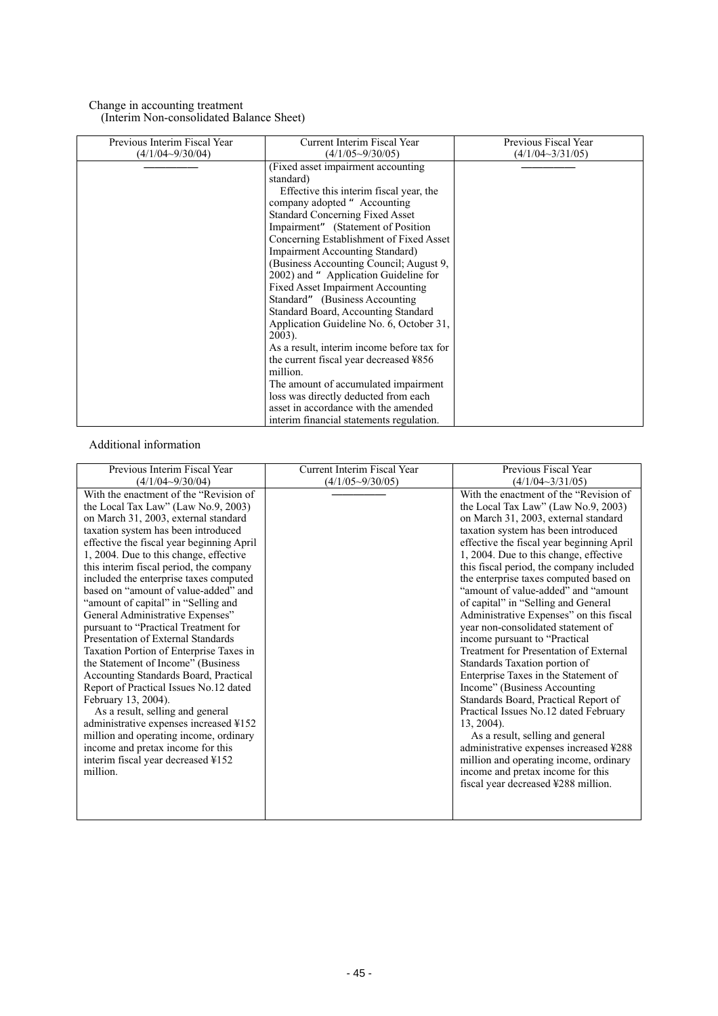### Change in accounting treatment (Interim Non-consolidated Balance Sheet)

| Previous Interim Fiscal Year | Current Interim Fiscal Year                | Previous Fiscal Year    |
|------------------------------|--------------------------------------------|-------------------------|
|                              |                                            |                         |
| $(4/1/04 - 9/30/04)$         | $(4/1/05 \sim 9/30/05)$                    | $(4/1/04 \sim 3/31/05)$ |
|                              | (Fixed asset impairment accounting         |                         |
|                              | standard)                                  |                         |
|                              | Effective this interim fiscal year, the    |                         |
|                              | company adopted "Accounting"               |                         |
|                              | <b>Standard Concerning Fixed Asset</b>     |                         |
|                              | Impairment" (Statement of Position         |                         |
|                              | Concerning Establishment of Fixed Asset    |                         |
|                              | <b>Impairment Accounting Standard)</b>     |                         |
|                              | (Business Accounting Council; August 9,    |                         |
|                              | 2002) and "Application Guideline for       |                         |
|                              | <b>Fixed Asset Impairment Accounting</b>   |                         |
|                              | Standard" (Business Accounting)            |                         |
|                              | Standard Board, Accounting Standard        |                         |
|                              |                                            |                         |
|                              | Application Guideline No. 6, October 31,   |                         |
|                              | $2003$ ).                                  |                         |
|                              | As a result, interim income before tax for |                         |
|                              | the current fiscal year decreased ¥856     |                         |
|                              | million.                                   |                         |
|                              | The amount of accumulated impairment       |                         |
|                              | loss was directly deducted from each       |                         |
|                              | asset in accordance with the amended       |                         |
|                              | interim financial statements regulation.   |                         |

### Additional information

| Previous Interim Fiscal Year                   | Current Interim Fiscal Year | Previous Fiscal Year                      |
|------------------------------------------------|-----------------------------|-------------------------------------------|
|                                                |                             |                                           |
| $(4/1/04 \sim 9/30/04)$                        | $(4/1/05 \sim 9/30/05)$     | $(4/1/04 \sim 3/31/05)$                   |
| With the enactment of the "Revision of         |                             | With the enactment of the "Revision of    |
| the Local Tax Law" (Law No.9, 2003)            |                             | the Local Tax Law" (Law No.9, 2003)       |
| on March 31, 2003, external standard           |                             | on March 31, 2003, external standard      |
| taxation system has been introduced            |                             | taxation system has been introduced       |
| effective the fiscal year beginning April      |                             | effective the fiscal year beginning April |
| 1, 2004. Due to this change, effective         |                             | 1, 2004. Due to this change, effective    |
| this interim fiscal period, the company        |                             | this fiscal period, the company included  |
| included the enterprise taxes computed         |                             | the enterprise taxes computed based on    |
| based on "amount of value-added" and           |                             | "amount of value-added" and "amount"      |
| "amount of capital" in "Selling and            |                             | of capital" in "Selling and General       |
| General Administrative Expenses"               |                             | Administrative Expenses" on this fiscal   |
| pursuant to "Practical Treatment for           |                             | year non-consolidated statement of        |
| Presentation of External Standards             |                             | income pursuant to "Practical             |
| Taxation Portion of Enterprise Taxes in        |                             | Treatment for Presentation of External    |
| the Statement of Income" (Business             |                             | Standards Taxation portion of             |
| Accounting Standards Board, Practical          |                             | Enterprise Taxes in the Statement of      |
| Report of Practical Issues No.12 dated         |                             | Income" (Business Accounting              |
| February 13, 2004).                            |                             | Standards Board, Practical Report of      |
| As a result, selling and general               |                             | Practical Issues No.12 dated February     |
| administrative expenses increased ¥152         |                             | $13, 2004$ ).                             |
| million and operating income, ordinary         |                             | As a result, selling and general          |
| income and pretax income for this              |                             | administrative expenses increased ¥288    |
|                                                |                             |                                           |
| interim fiscal year decreased ¥152<br>million. |                             | million and operating income, ordinary    |
|                                                |                             | income and pretax income for this         |
|                                                |                             | fiscal year decreased ¥288 million.       |
|                                                |                             |                                           |
|                                                |                             |                                           |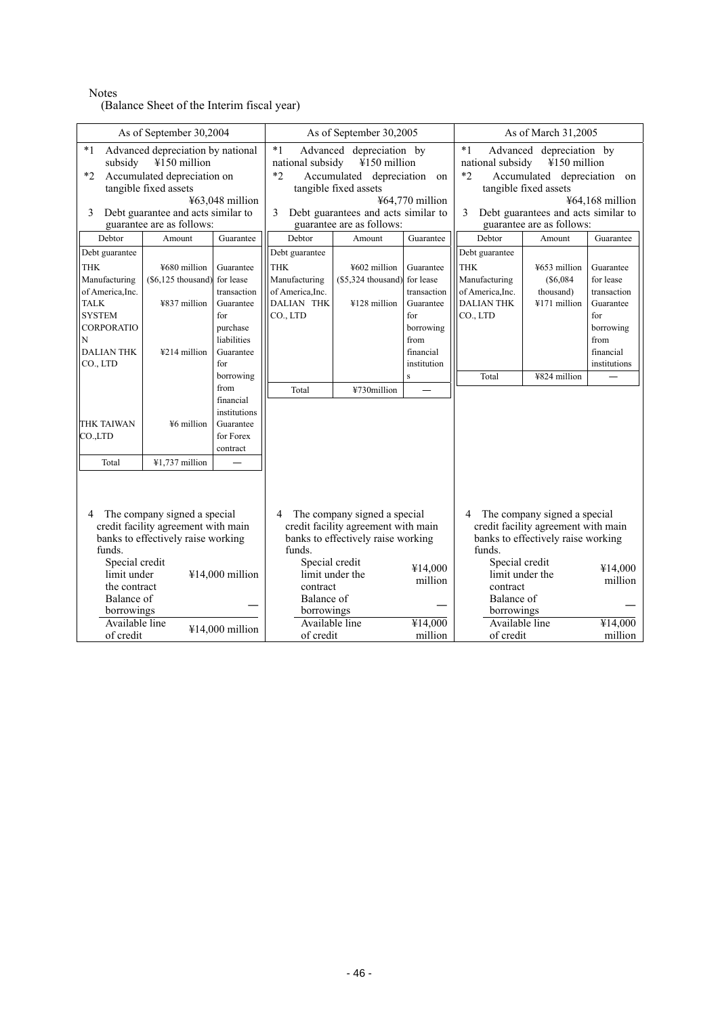#### Notes

(Balance Sheet of the Interim fiscal year)

| As of September 30,2004                                                                                                                                                                                                         |                                                                                                           |                                                                                                                                                                                                  | As of September 30,2005                                                                                                                                                                                                          |                                                                                                           |                                                                                                                                                                                                                                    | As of March 31,2005                                                                                                     |                                                                                                           |                                                                                                             |
|---------------------------------------------------------------------------------------------------------------------------------------------------------------------------------------------------------------------------------|-----------------------------------------------------------------------------------------------------------|--------------------------------------------------------------------------------------------------------------------------------------------------------------------------------------------------|----------------------------------------------------------------------------------------------------------------------------------------------------------------------------------------------------------------------------------|-----------------------------------------------------------------------------------------------------------|------------------------------------------------------------------------------------------------------------------------------------------------------------------------------------------------------------------------------------|-------------------------------------------------------------------------------------------------------------------------|-----------------------------------------------------------------------------------------------------------|-------------------------------------------------------------------------------------------------------------|
| $*1$<br>Advanced depreciation by national<br>¥150 million<br>subsidy<br>Accumulated depreciation on<br>$*2$<br>tangible fixed assets<br>¥63,048 million<br>3<br>Debt guarantee and acts similar to<br>guarantee are as follows: |                                                                                                           |                                                                                                                                                                                                  | $*1$<br>Advanced depreciation by<br>¥150 million<br>national subsidy<br>$*2$<br>Accumulated depreciation on<br>tangible fixed assets<br>¥64,770 million<br>3<br>Debt guarantees and acts similar to<br>guarantee are as follows: |                                                                                                           | $*1$<br>Advanced depreciation by<br>¥150 million<br>national subsidy<br>$*2$<br>Accumulated depreciation on<br>tangible fixed assets<br>$464,168$ million<br>3<br>Debt guarantees and acts similar to<br>guarantee are as follows: |                                                                                                                         |                                                                                                           |                                                                                                             |
| Debtor                                                                                                                                                                                                                          | Amount                                                                                                    | Guarantee                                                                                                                                                                                        | Debtor                                                                                                                                                                                                                           | Amount                                                                                                    | Guarantee                                                                                                                                                                                                                          | Debtor                                                                                                                  | Amount                                                                                                    | Guarantee                                                                                                   |
| Debt guarantee<br><b>THK</b><br>Manufacturing<br>of America, Inc.<br><b>TALK</b><br><b>SYSTEM</b><br>CORPORATIO<br>N<br><b>DALIAN THK</b><br>CO., LTD<br><b>THK TAIWAN</b><br>CO.,LTD                                           | ¥680 million<br>$(\$6,125$ thousand)<br>¥837 million<br>¥214 million<br>¥6 million                        | Guarantee<br>for lease<br>transaction<br>Guarantee<br>for<br>purchase<br>liabilities<br>Guarantee<br>for<br>borrowing<br>from<br>financial<br>institutions<br>Guarantee<br>for Forex<br>contract | Debt guarantee<br><b>THK</b><br>Manufacturing<br>of America, Inc.<br><b>DALIAN THK</b><br>CO., LTD<br>Total                                                                                                                      | ¥602 million<br>$(\$5,324$ thousand)<br>¥128 million<br>¥730million                                       | Guarantee<br>for lease<br>transaction<br>Guarantee<br>for<br>borrowing<br>from<br>financial<br>institution<br>$\mathbf{s}$                                                                                                         | Debt guarantee<br><b>THK</b><br>Manufacturing<br>of America, Inc.<br><b>DALIAN THK</b><br>CO., LTD<br>Total             | ¥653 million<br>(S6,084)<br>thousand)<br>¥171 million<br>¥824 million                                     | Guarantee<br>for lease<br>transaction<br>Guarantee<br>for<br>borrowing<br>from<br>financial<br>institutions |
| Total                                                                                                                                                                                                                           | ¥1,737 million                                                                                            |                                                                                                                                                                                                  |                                                                                                                                                                                                                                  |                                                                                                           |                                                                                                                                                                                                                                    |                                                                                                                         |                                                                                                           |                                                                                                             |
| 4<br>funds.<br>Special credit<br>limit under<br>the contract<br>Balance of<br>borrowings<br>Available line<br>of credit                                                                                                         | The company signed a special<br>credit facility agreement with main<br>banks to effectively raise working | ¥14,000 million<br>¥14,000 million                                                                                                                                                               | 4<br>funds.<br>Special credit<br>limit under the<br>contract<br>Balance of<br>borrowings<br>Available line<br>of credit                                                                                                          | The company signed a special<br>credit facility agreement with main<br>banks to effectively raise working | ¥14,000<br>million<br>¥14,000<br>million                                                                                                                                                                                           | 4<br>funds.<br>Special credit<br>limit under the<br>contract<br>Balance of<br>borrowings<br>Available line<br>of credit | The company signed a special<br>credit facility agreement with main<br>banks to effectively raise working | ¥14,000<br>million<br>¥14,000<br>million                                                                    |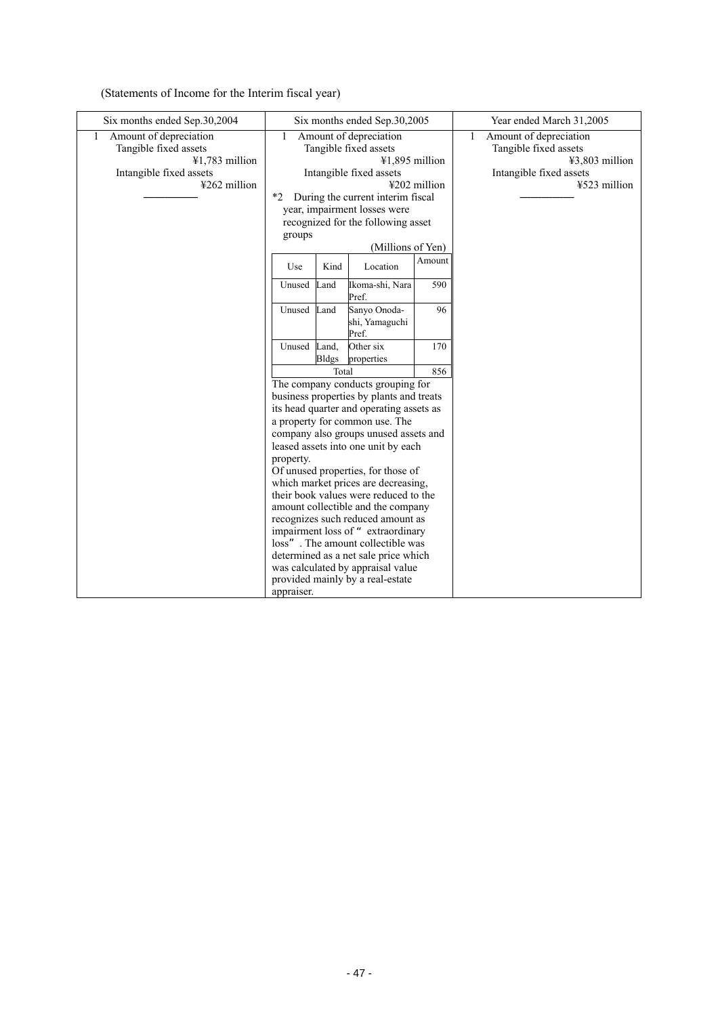(Statements of Income for the Interim fiscal year)

| Six months ended Sep.30,2004                                                                                      | Six months ended Sep.30,2005                                                 |                                                                                                                                                                                                                                |              | Year ended March 31,2005                                                                                            |
|-------------------------------------------------------------------------------------------------------------------|------------------------------------------------------------------------------|--------------------------------------------------------------------------------------------------------------------------------------------------------------------------------------------------------------------------------|--------------|---------------------------------------------------------------------------------------------------------------------|
| Amount of depreciation<br>1<br>Tangible fixed assets<br>¥1,783 million<br>Intangible fixed assets<br>¥262 million | 1<br>$*$<br>groups                                                           | Amount of depreciation<br>Tangible fixed assets<br>$41,895$ million<br>Intangible fixed assets<br>During the current interim fiscal<br>year, impairment losses were<br>recognized for the following asset<br>(Millions of Yen) | ¥202 million | Amount of depreciation<br>1<br>Tangible fixed assets<br>$43,803$ million<br>Intangible fixed assets<br>¥523 million |
|                                                                                                                   | Use                                                                          | Kind<br>Location                                                                                                                                                                                                               | Amount       |                                                                                                                     |
|                                                                                                                   | Unused<br>Land                                                               | Ikoma-shi, Nara<br>Pref.                                                                                                                                                                                                       | 590          |                                                                                                                     |
|                                                                                                                   | Land<br>Unused                                                               | Sanyo Onoda-<br>shi, Yamaguchi<br>Pref.                                                                                                                                                                                        | 96           |                                                                                                                     |
|                                                                                                                   | Unused Land,<br><b>Bldgs</b>                                                 | Other six<br>properties                                                                                                                                                                                                        | 170          |                                                                                                                     |
|                                                                                                                   | 856<br>Total                                                                 |                                                                                                                                                                                                                                |              |                                                                                                                     |
|                                                                                                                   | The company conducts grouping for                                            |                                                                                                                                                                                                                                |              |                                                                                                                     |
|                                                                                                                   | business properties by plants and treats                                     |                                                                                                                                                                                                                                |              |                                                                                                                     |
|                                                                                                                   | its head quarter and operating assets as                                     |                                                                                                                                                                                                                                |              |                                                                                                                     |
|                                                                                                                   | a property for common use. The                                               |                                                                                                                                                                                                                                |              |                                                                                                                     |
|                                                                                                                   | company also groups unused assets and                                        |                                                                                                                                                                                                                                |              |                                                                                                                     |
|                                                                                                                   | leased assets into one unit by each<br>property.                             |                                                                                                                                                                                                                                |              |                                                                                                                     |
|                                                                                                                   |                                                                              |                                                                                                                                                                                                                                |              |                                                                                                                     |
|                                                                                                                   | Of unused properties, for those of                                           |                                                                                                                                                                                                                                |              |                                                                                                                     |
|                                                                                                                   | which market prices are decreasing,<br>their book values were reduced to the |                                                                                                                                                                                                                                |              |                                                                                                                     |
|                                                                                                                   |                                                                              |                                                                                                                                                                                                                                |              |                                                                                                                     |
|                                                                                                                   | amount collectible and the company<br>recognizes such reduced amount as      |                                                                                                                                                                                                                                |              |                                                                                                                     |
|                                                                                                                   | impairment loss of "extraordinary                                            |                                                                                                                                                                                                                                |              |                                                                                                                     |
|                                                                                                                   | loss". The amount collectible was                                            |                                                                                                                                                                                                                                |              |                                                                                                                     |
|                                                                                                                   | determined as a net sale price which                                         |                                                                                                                                                                                                                                |              |                                                                                                                     |
|                                                                                                                   | was calculated by appraisal value                                            |                                                                                                                                                                                                                                |              |                                                                                                                     |
|                                                                                                                   | provided mainly by a real-estate                                             |                                                                                                                                                                                                                                |              |                                                                                                                     |
|                                                                                                                   | appraiser.                                                                   |                                                                                                                                                                                                                                |              |                                                                                                                     |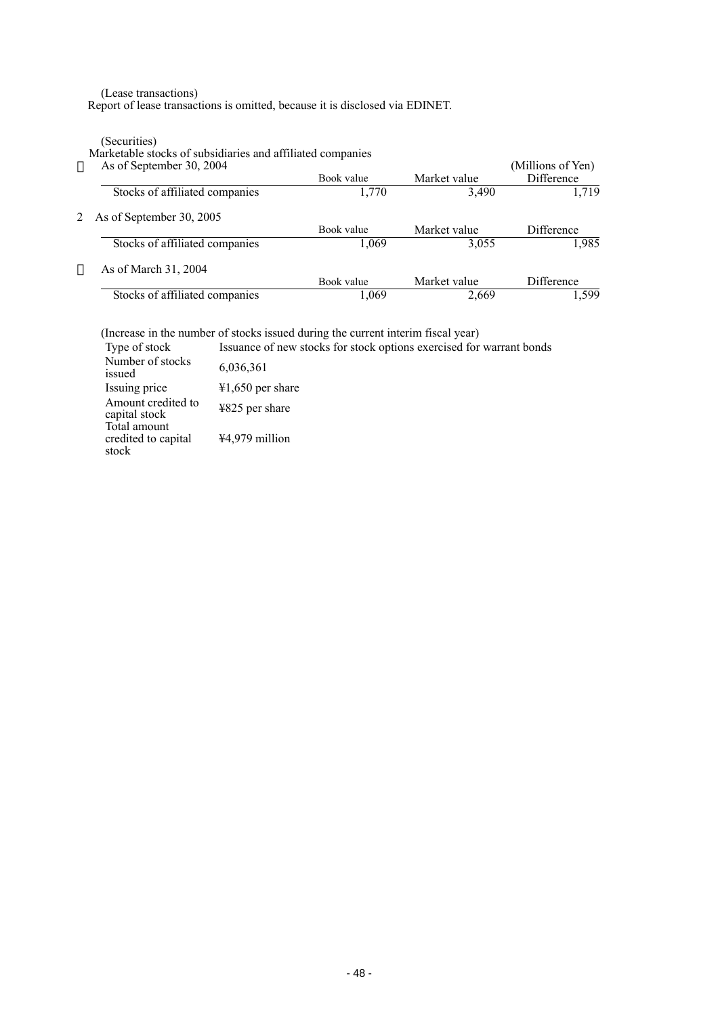(Lease transactions)

Report of lease transactions is omitted, because it is disclosed via EDINET.

(Securities)

Marketable stocks of subsidiaries and affiliated companies

|  | As of September 30, 2 |  |  |
|--|-----------------------|--|--|
|--|-----------------------|--|--|

| As of September 30, 2004       |            |              | (Millions of Yen) |
|--------------------------------|------------|--------------|-------------------|
|                                | Book value | Market value | <b>Difference</b> |
| Stocks of affiliated companies | 1,770      | 3,490        | 1.719             |
| As of September 30, 2005       |            |              |                   |
|                                | Book value | Market value | Difference        |
| Stocks of affiliated companies | 1,069      | 3,055        | 1.985             |
| As of March 31, 2004           |            |              |                   |
|                                | Book value | Market value | <b>Difference</b> |
| Stocks of affiliated companies | 1,069      | 2,669        | 1.599             |

(Increase in the number of stocks issued during the current interim fiscal year)

| Type of stock                                | Issuance of new stocks for stock options exercised for warrant bonds |
|----------------------------------------------|----------------------------------------------------------------------|
| Number of stocks<br>issued                   | 6,036,361                                                            |
| Issuing price                                | $\text{\#1,650}$ per share                                           |
| Amount credited to<br>capital stock          | ¥825 per share                                                       |
| Total amount<br>credited to capital<br>stock | $44,979$ million                                                     |